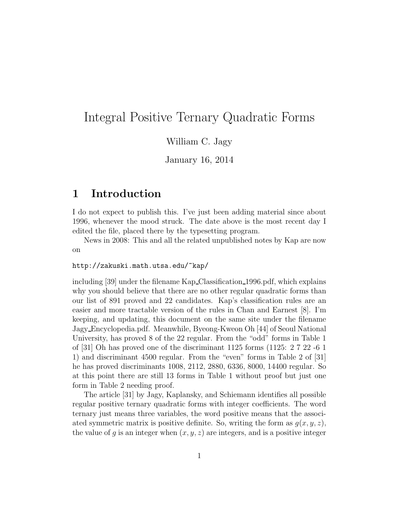# Integral Positive Ternary Quadratic Forms

#### William C. Jagy

January 16, 2014

## 1 Introduction

I do not expect to publish this. I've just been adding material since about 1996, whenever the mood struck. The date above is the most recent day I edited the file, placed there by the typesetting program.

News in 2008: This and all the related unpublished notes by Kap are now on

#### http://zakuski.math.utsa.edu/~kap/

including [39] under the filename Kap Classification 1996.pdf, which explains why you should believe that there are no other regular quadratic forms than our list of 891 proved and 22 candidates. Kap's classification rules are an easier and more tractable version of the rules in Chan and Earnest [8]. I'm keeping, and updating, this document on the same site under the filename Jagy Encyclopedia.pdf. Meanwhile, Byeong-Kweon Oh [44] of Seoul National University, has proved 8 of the 22 regular. From the "odd" forms in Table 1 of [31] Oh has proved one of the discriminant 1125 forms (1125: 2 7 22 -6 1 1) and discriminant 4500 regular. From the "even" forms in Table 2 of [31] he has proved discriminants 1008, 2112, 2880, 6336, 8000, 14400 regular. So at this point there are still 13 forms in Table 1 without proof but just one form in Table 2 needing proof.

The article [31] by Jagy, Kaplansky, and Schiemann identifies all possible regular positive ternary quadratic forms with integer coefficients. The word ternary just means three variables, the word positive means that the associated symmetric matrix is positive definite. So, writing the form as  $q(x, y, z)$ , the value of q is an integer when  $(x, y, z)$  are integers, and is a positive integer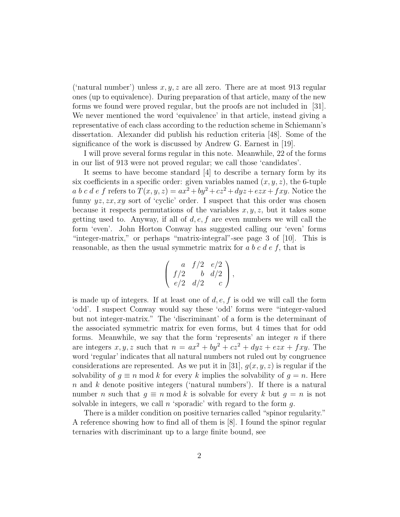('natural number') unless  $x, y, z$  are all zero. There are at most 913 regular ones (up to equivalence). During preparation of that article, many of the new forms we found were proved regular, but the proofs are not included in [31]. We never mentioned the word 'equivalence' in that article, instead giving a representative of each class according to the reduction scheme in Schiemann's dissertation. Alexander did publish his reduction criteria [48]. Some of the significance of the work is discussed by Andrew G. Earnest in [19].

I will prove several forms regular in this note. Meanwhile, 22 of the forms in our list of 913 were not proved regular; we call those 'candidates'.

It seems to have become standard [4] to describe a ternary form by its six coefficients in a specific order: given variables named  $(x, y, z)$ , the 6-tuple a b c d e f refers to  $T(x, y, z) = ax^2 + by^2 + cz^2 + dyz + ezx + fxy$ . Notice the funny  $yz, zx, xy$  sort of 'cyclic' order. I suspect that this order was chosen because it respects permutations of the variables  $x, y, z$ , but it takes some getting used to. Anyway, if all of  $d, e, f$  are even numbers we will call the form 'even'. John Horton Conway has suggested calling our 'even' forms "integer-matrix," or perhaps "matrix-integral"-see page 3 of [10]. This is reasonable, as then the usual symmetric matrix for  $a\,b\,c\,d\,e\,f$ , that is

$$
\left(\begin{array}{ccc} a & f/2 & e/2 \\ f/2 & b & d/2 \\ e/2 & d/2 & c \end{array}\right),
$$

is made up of integers. If at least one of  $d, e, f$  is odd we will call the form 'odd'. I suspect Conway would say these 'odd' forms were "integer-valued but not integer-matrix." The 'discriminant' of a form is the determinant of the associated symmetric matrix for even forms, but 4 times that for odd forms. Meanwhile, we say that the form 'represents' an integer  $n$  if there are integers x, y, z such that  $n = ax^2 + by^2 + cz^2 + dyz + ezx + fxy$ . The word 'regular' indicates that all natural numbers not ruled out by congruence considerations are represented. As we put it in [31],  $g(x, y, z)$  is regular if the solvability of  $g \equiv n \mod k$  for every k implies the solvability of  $g = n$ . Here n and k denote positive integers ('natural numbers'). If there is a natural number *n* such that  $g \equiv n \mod k$  is solvable for every k but  $g = n$  is not solvable in integers, we call  $n$  'sporadic' with regard to the form  $q$ .

There is a milder condition on positive ternaries called "spinor regularity." A reference showing how to find all of them is [8]. I found the spinor regular ternaries with discriminant up to a large finite bound, see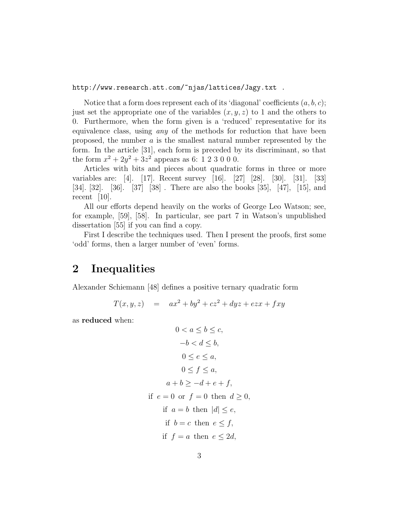#### http://www.research.att.com/~njas/lattices/Jagy.txt .

Notice that a form does represent each of its 'diagonal' coefficients  $(a, b, c)$ ; just set the appropriate one of the variables  $(x, y, z)$  to 1 and the others to 0. Furthermore, when the form given is a 'reduced' representative for its equivalence class, using *any* of the methods for reduction that have been proposed, the number  $\alpha$  is the smallest natural number represented by the form. In the article [31], each form is preceded by its discriminant, so that the form  $x^2 + 2y^2 + 3z^2$  appears as 6: 1 2 3 0 0 0.

Articles with bits and pieces about quadratic forms in three or more variables are: [4]. [17]. Recent survey [16]. [27] [28]. [30]. [31]. [33] [34]. [32]. [36]. [37] [38] . There are also the books [35], [47], [15], and recent [10].

All our efforts depend heavily on the works of George Leo Watson; see, for example, [59], [58]. In particular, see part 7 in Watson's unpublished dissertation [55] if you can find a copy.

First I describe the techniques used. Then I present the proofs, first some 'odd' forms, then a larger number of 'even' forms.

### 2 Inequalities

Alexander Schiemann [48] defines a positive ternary quadratic form

$$
T(x, y, z) = ax2 + by2 + cz2 + dyz + ezx + fxy
$$

as reduced when:

$$
0 < a \leq b \leq c,
$$
\n
$$
-b < d \leq b,
$$
\n
$$
0 \leq e \leq a,
$$
\n
$$
0 \leq f \leq a,
$$
\n
$$
a + b \geq -d + e + f,
$$
\nif  $e = 0$  or  $f = 0$  then  $d \geq 0$ ,  
\nif  $a = b$  then  $|d| \leq e$ ,  
\nif  $b = c$  then  $e \leq f$ ,  
\nif  $f = a$  then  $e \leq 2d$ ,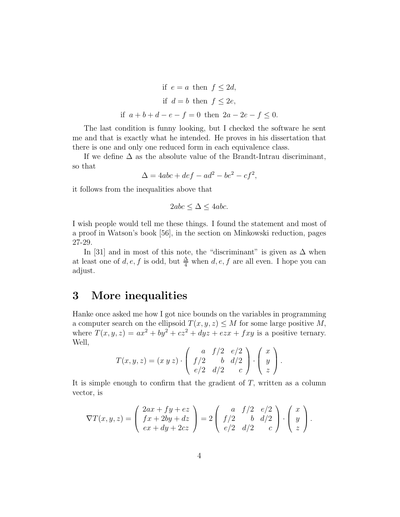if 
$$
e = a
$$
 then  $f \le 2d$ ,  
if  $d = b$  then  $f \le 2e$ ,  
if  $a + b + d - e - f = 0$  then  $2a - 2e - f \le 0$ .

The last condition is funny looking, but I checked the software he sent me and that is exactly what he intended. He proves in his dissertation that there is one and only one reduced form in each equivalence class.

If we define  $\Delta$  as the absolute value of the Brandt-Intrau discriminant, so that

$$
\Delta = 4abc + def - ad^2 - be^2 - cf^2,
$$

it follows from the inequalities above that

$$
2abc \le \Delta \le 4abc.
$$

I wish people would tell me these things. I found the statement and most of a proof in Watson's book [56], in the section on Minkowski reduction, pages 27-29.

In [31] and in most of this note, the "discriminant" is given as  $\Delta$  when at least one of  $d, e, f$  is odd, but  $\frac{\Delta}{4}$  when  $d, e, f$  are all even. I hope you can adjust.

# 3 More inequalities

Hanke once asked me how I got nice bounds on the variables in programming a computer search on the ellipsoid  $T(x, y, z) \leq M$  for some large positive M, where  $T(x, y, z) = ax^2 + by^2 + cz^2 + dyz + ezx + fxy$  is a positive ternary. Well,

$$
T(x,y,z) = (x\ y\ z) \cdot \left( \begin{array}{ccc} a & f/2 & e/2 \\ f/2 & b & d/2 \\ e/2 & d/2 & c \end{array} \right) \cdot \left( \begin{array}{c} x \\ y \\ z \end{array} \right).
$$

It is simple enough to confirm that the gradient of  $T$ , written as a column vector, is

$$
\nabla T(x,y,z) = \begin{pmatrix} 2ax + fy + ez \\ fx + 2by + dz \\ ex + dy + 2cz \end{pmatrix} = 2 \begin{pmatrix} a & f/2 & e/2 \\ f/2 & b & d/2 \\ e/2 & d/2 & c \end{pmatrix} \cdot \begin{pmatrix} x \\ y \\ z \end{pmatrix}.
$$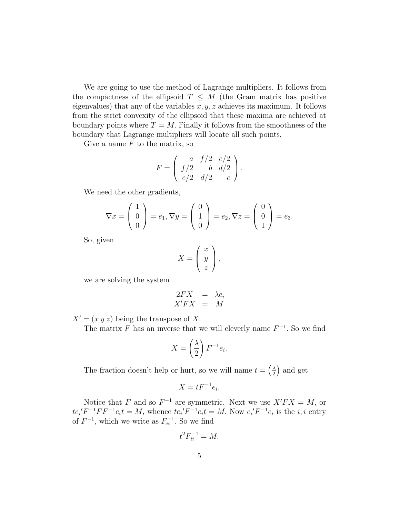We are going to use the method of Lagrange multipliers. It follows from the compactness of the ellipsoid  $T \leq M$  (the Gram matrix has positive eigenvalues) that any of the variables  $x, y, z$  achieves its maximum. It follows from the strict convexity of the ellipsoid that these maxima are achieved at boundary points where  $T = M$ . Finally it follows from the smoothness of the boundary that Lagrange multipliers will locate all such points.

Give a name  $F$  to the matrix, so

$$
F = \begin{pmatrix} a & f/2 & e/2 \\ f/2 & b & d/2 \\ e/2 & d/2 & c \end{pmatrix}.
$$

We need the other gradients,

$$
\nabla x = \begin{pmatrix} 1 \\ 0 \\ 0 \end{pmatrix} = e_1, \nabla y = \begin{pmatrix} 0 \\ 1 \\ 0 \end{pmatrix} = e_2, \nabla z = \begin{pmatrix} 0 \\ 0 \\ 1 \end{pmatrix} = e_3.
$$

So, given

$$
X = \left(\begin{array}{c} x \\ y \\ z \end{array}\right),
$$

we are solving the system

$$
\begin{array}{rcl}\n2FX & = & \lambda e_i \\
X'FX & = & M\n\end{array}
$$

 $X' = (x y z)$  being the transpose of X.

The matrix F has an inverse that we will cleverly name  $F^{-1}$ . So we find

$$
X = \left(\frac{\lambda}{2}\right) F^{-1} e_i.
$$

The fraction doesn't help or hurt, so we will name  $t = \left(\frac{\lambda}{2}\right)$  $\frac{\lambda}{2}$  and get

$$
X = tF^{-1}e_i.
$$

Notice that F and so  $F^{-1}$  are symmetric. Next we use  $X'FX = M$ , or  $te_i' F^{-1} F F^{-1} e_i t = M$ , whence  $te_i' F^{-1} e_i t = M$ . Now  $e_i' F^{-1} e_i$  is the *i*, *i* entry of  $F^{-1}$ , which we write as  $F_{ii}^{-1}$ . So we find

$$
t^2 F_{ii}^{-1} = M.
$$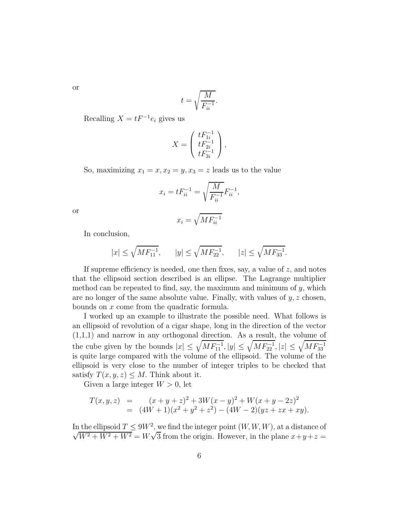or

$$
t = \sqrt{\frac{M}{F_{ii}^{-1}}}.
$$

Recalling  $X = tF^{-1}e_i$  gives us

$$
X = \begin{pmatrix} tF_{1i}^{-1} \\ tF_{2i}^{-1} \\ tF_{3i}^{-1} \end{pmatrix},
$$

So, maximizing  $x_1 = x, x_2 = y, x_3 = z$  leads us to the value

$$
x_i = t F_{ii}^{-1} = \sqrt{\frac{M}{F_{ii}^{-1}}} F_{ii}^{-1},
$$

or

$$
x_i = \sqrt{M F_{ii}^{-1}}
$$

In conclusion,

$$
|x|\leq \sqrt{M F_{11}^{-1}},\qquad |y|\leq \sqrt{M F_{22}^{-1}},\qquad |z|\leq \sqrt{M F_{33}^{-1}}.
$$

If supreme efficiency is needed, one then fixes, say, a value of  $z$ , and notes that the ellipsoid section described is an ellipse. The Lagrange multiplier method can be repeated to find, say, the maximum and minimum of  $y$ , which are no longer of the same absolute value. Finally, with values of  $y, z$  chosen, bounds on x come from the quadratic formula.

I worked up an example to illustrate the possible need. What follows is an ellipsoid of revolution of a cigar shape, long in the direction of the vector (1,1,1) and narrow in any orthogonal direction. As a result, the volume of the cube given by the bounds  $|x| \leq \sqrt{MF_{11}^{-1}}, |y| \leq \sqrt{MF_{22}^{-1}}, |z| \leq \sqrt{MF_{33}^{-1}}$ is quite large compared with the volume of the ellipsoid. The volume of the ellipsoid is very close to the number of integer triples to be checked that satisfy  $T(x, y, z) \leq M$ . Think about it.

Given a large integer  $W > 0$ , let

$$
T(x,y,z) = (x+y+z)^2 + 3W(x - y)^2 + W(x + y - 2z)^2
$$
  
= 
$$
(4W + 1)(x^2 + y^2 + z^2) - (4W - 2)(yz + zx + xy).
$$

In the ellipsoid  $T \le 9W^2$ , we find the integer point  $(W, W, W)$ , at a distance of  $\sqrt{W^2 + W^2 + W^2} = W\sqrt{3}$  from the origin. However, in the plane  $x+y+z=$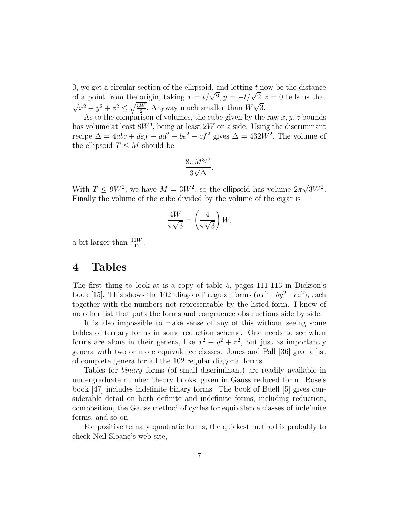0, we get a circular section of the ellipsoid, and letting  $t$  now be the distance of a point from the origin, taking  $x = t/\sqrt{2}$ ,  $y = -t/\sqrt{2}$ ,  $z = 0$  tells us that  $\sqrt{x^2 + y^2 + z^2} \leq \sqrt{\frac{3W}{2}}$  $\frac{\overline{W}}{2}$ . Anyway much smaller than  $W\sqrt{3}$ .

As to the comparison of volumes, the cube given by the raw  $x, y, z$  bounds has volume at least  $8W^3$ , being at least  $2W$  on a side. Using the discriminant recipe  $\Delta = 4abc + def - ad^2 - be^2 - cf^2$  gives  $\Delta = 432W^2$ . The volume of the ellipsoid  $T \leq M$  should be

$$
\frac{8\pi M^{3/2}}{3\sqrt{\Delta}}.
$$

With  $T \le 9W^2$ , we have  $M = 3W^2$ , so the ellipsoid has volume  $2\pi\sqrt{3}W^2$ . Finally the volume of the cube divided by the volume of the cigar is

$$
\frac{4W}{\pi\sqrt{3}} = \left(\frac{4}{\pi\sqrt{3}}\right)W,
$$

a bit larger than  $\frac{11W}{15}$ .

# 4 Tables

The first thing to look at is a copy of table 5, pages 111-113 in Dickson's book [15]. This shows the 102 'diagonal' regular forms  $(ax^2 + by^2 + cz^2)$ , each together with the numbers not representable by the listed form. I know of no other list that puts the forms and congruence obstructions side by side.

It is also impossible to make sense of any of this without seeing some tables of ternary forms in some reduction scheme. One needs to see when forms are alone in their genera, like  $x^2 + y^2 + z^2$ , but just as importantly genera with two or more equivalence classes. Jones and Pall [36] give a list of complete genera for all the 102 regular diagonal forms.

Tables for *binary* forms (of small discriminant) are readily available in undergraduate number theory books, given in Gauss reduced form. Rose's book [47] includes indefinite binary forms. The book of Buell [5] gives considerable detail on both definite and indefinite forms, including reduction, composition, the Gauss method of cycles for equivalence classes of indefinite forms, and so on.

For positive ternary quadratic forms, the quickest method is probably to check Neil Sloane's web site,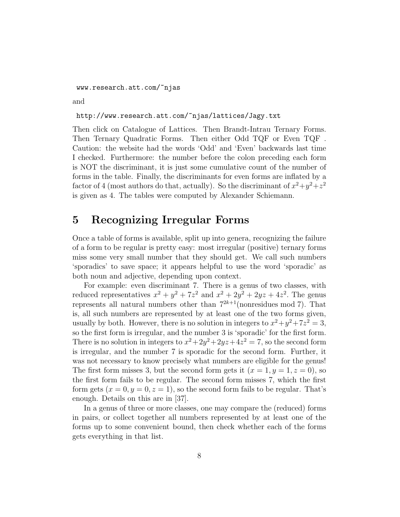www.research.att.com/~njas

and

#### http://www.research.att.com/~njas/lattices/Jagy.txt

Then click on Catalogue of Lattices. Then Brandt-Intrau Ternary Forms. Then Ternary Quadratic Forms. Then either Odd TQF or Even TQF . Caution: the website had the words 'Odd' and 'Even' backwards last time I checked. Furthermore: the number before the colon preceding each form is NOT the discriminant, it is just some cumulative count of the number of forms in the table. Finally, the discriminants for even forms are inflated by a factor of 4 (most authors do that, actually). So the discriminant of  $x^2+y^2+z^2$ is given as 4. The tables were computed by Alexander Schiemann.

# 5 Recognizing Irregular Forms

Once a table of forms is available, split up into genera, recognizing the failure of a form to be regular is pretty easy: most irregular (positive) ternary forms miss some very small number that they should get. We call such numbers 'sporadics' to save space; it appears helpful to use the word 'sporadic' as both noun and adjective, depending upon context.

For example: even discriminant 7. There is a genus of two classes, with reduced representatives  $x^2 + y^2 + 7z^2$  and  $x^2 + 2y^2 + 2yz + 4z^2$ . The genus represents all natural numbers other than  $7^{2k+1}$ (nonresidues mod 7). That is, all such numbers are represented by at least one of the two forms given, usually by both. However, there is no solution in integers to  $x^2 + y^2 + 7z^2 = 3$ , so the first form is irregular, and the number 3 is 'sporadic' for the first form. There is no solution in integers to  $x^2 + 2y^2 + 2yz + 4z^2 = 7$ , so the second form is irregular, and the number 7 is sporadic for the second form. Further, it was not necessary to know precisely what numbers are eligible for the genus! The first form misses 3, but the second form gets it  $(x = 1, y = 1, z = 0)$ , so the first form fails to be regular. The second form misses 7, which the first form gets  $(x = 0, y = 0, z = 1)$ , so the second form fails to be regular. That's enough. Details on this are in [37].

In a genus of three or more classes, one may compare the (reduced) forms in pairs, or collect together all numbers represented by at least one of the forms up to some convenient bound, then check whether each of the forms gets everything in that list.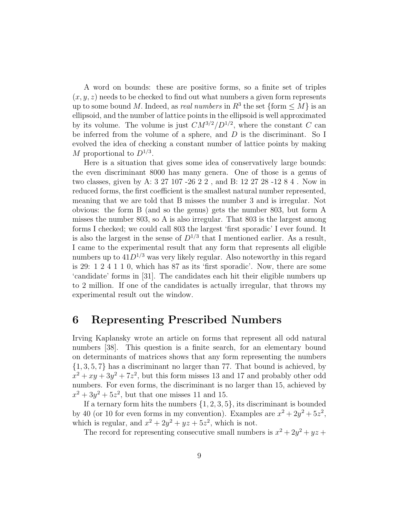A word on bounds: these are positive forms, so a finite set of triples  $(x, y, z)$  needs to be checked to find out what numbers a given form represents up to some bound M. Indeed, as *real numbers* in  $R^3$  the set  $\{ \text{form} \leq M \}$  is an ellipsoid, and the number of lattice points in the ellipsoid is well approximated by its volume. The volume is just  $CM^{3/2}/D^{1/2}$ , where the constant C can be inferred from the volume of a sphere, and  $D$  is the discriminant. So I evolved the idea of checking a constant number of lattice points by making M proportional to  $D^{1/3}$ .

Here is a situation that gives some idea of conservatively large bounds: the even discriminant 8000 has many genera. One of those is a genus of two classes, given by A: 3 27 107 -26 2 2 , and B: 12 27 28 -12 8 4 . Now in reduced forms, the first coefficient is the smallest natural number represented, meaning that we are told that B misses the number 3 and is irregular. Not obvious: the form B (and so the genus) gets the number 803, but form A misses the number 803, so A is also irregular. That 803 is the largest among forms I checked; we could call 803 the largest 'first sporadic' I ever found. It is also the largest in the sense of  $D^{1/3}$  that I mentioned earlier. As a result, I came to the experimental result that any form that represents all eligible numbers up to  $41D^{1/3}$  was very likely regular. Also noteworthy in this regard is 29: 1 2 4 1 1 0, which has 87 as its 'first sporadic'. Now, there are some 'candidate' forms in [31]. The candidates each hit their eligible numbers up to 2 million. If one of the candidates is actually irregular, that throws my experimental result out the window.

# 6 Representing Prescribed Numbers

Irving Kaplansky wrote an article on forms that represent all odd natural numbers [38]. This question is a finite search, for an elementary bound on determinants of matrices shows that any form representing the numbers {1, 3, 5, 7} has a discriminant no larger than 77. That bound is achieved, by  $x^2 + xy + 3y^2 + 7z^2$ , but this form misses 13 and 17 and probably other odd numbers. For even forms, the discriminant is no larger than 15, achieved by  $x^2 + 3y^2 + 5z^2$ , but that one misses 11 and 15.

If a ternary form hits the numbers  $\{1, 2, 3, 5\}$ , its discriminant is bounded by 40 (or 10 for even forms in my convention). Examples are  $x^2 + 2y^2 + 5z^2$ , which is regular, and  $x^2 + 2y^2 + yz + 5z^2$ , which is not.

The record for representing consecutive small numbers is  $x^2 + 2y^2 + yz$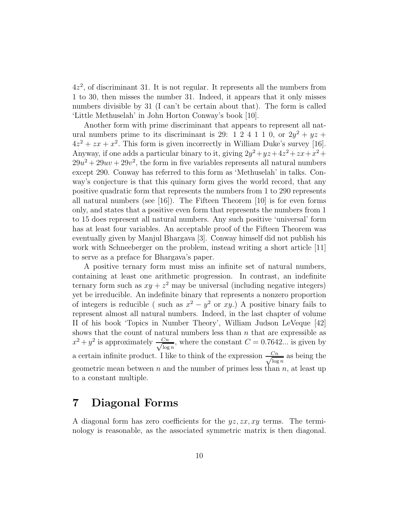4z 2 , of discriminant 31. It is not regular. It represents all the numbers from 1 to 30, then misses the number 31. Indeed, it appears that it only misses numbers divisible by 31 (I can't be certain about that). The form is called 'Little Methuselah' in John Horton Conway's book [10].

Another form with prime discriminant that appears to represent all natural numbers prime to its discriminant is 29: 1 2 4 1 1 0, or  $2y^2 + yz +$  $4z^2 + zx + x^2$ . This form is given incorrectly in William Duke's survey [16]. Anyway, if one adds a particular binary to it, giving  $2y^2 + yz + 4z^2 + zx + x^2 +$  $29u^2 + 29uv + 29v^2$ , the form in five variables represents all natural numbers except 290. Conway has referred to this form as 'Methuselah' in talks. Conway's conjecture is that this quinary form gives the world record, that any positive quadratic form that represents the numbers from 1 to 290 represents all natural numbers (see [16]). The Fifteen Theorem [10] is for even forms only, and states that a positive even form that represents the numbers from 1 to 15 does represent all natural numbers. Any such positive 'universal' form has at least four variables. An acceptable proof of the Fifteen Theorem was eventually given by Manjul Bhargava [3]. Conway himself did not publish his work with Schneeberger on the problem, instead writing a short article [11] to serve as a preface for Bhargava's paper.

A positive ternary form must miss an infinite set of natural numbers, containing at least one arithmetic progression. In contrast, an indefinite ternary form such as  $xy + z^2$  may be universal (including negative integers) yet be irreducible. An indefinite binary that represents a nonzero proportion of integers is reducible ( such as  $x^2 - y^2$  or xy.) A positive binary fails to represent almost all natural numbers. Indeed, in the last chapter of volume II of his book 'Topics in Number Theory', William Judson LeVeque [42] shows that the count of natural numbers less than  $n$  that are expressible as  $x^2 + y^2$  is approximately  $\frac{Cn}{\sqrt{\log n}}$  $\frac{\sum n}{\log n}$ , where the constant  $C = 0.7642...$  is given by a certain infinite product. I like to think of the expression  $\frac{Cn}{\sqrt{\log n}}$  $\frac{\sum n}{\log n}$  as being the geometric mean between  $n$  and the number of primes less than  $n$ , at least up to a constant multiple.

## 7 Diagonal Forms

A diagonal form has zero coefficients for the  $yz, zx, xy$  terms. The terminology is reasonable, as the associated symmetric matrix is then diagonal.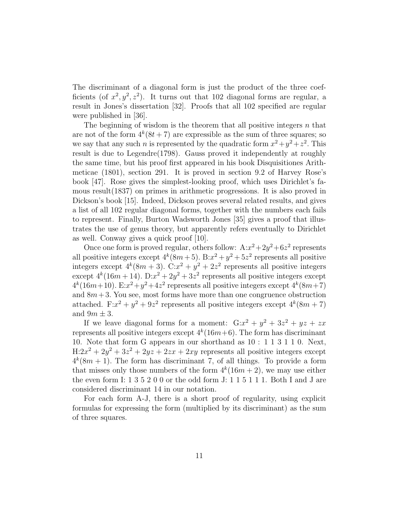The discriminant of a diagonal form is just the product of the three coefficients (of  $x^2, y^2, z^2$ ). It turns out that 102 diagonal forms are regular, a result in Jones's dissertation [32]. Proofs that all 102 specified are regular were published in [36].

The beginning of wisdom is the theorem that all positive integers  $n$  that are not of the form  $4^k(8t+7)$  are expressible as the sum of three squares; so we say that any such *n* is represented by the quadratic form  $x^2 + y^2 + z^2$ . This result is due to Legendre(1798). Gauss proved it independently at roughly the same time, but his proof first appeared in his book Disquisitiones Arithmeticae (1801), section 291. It is proved in section 9.2 of Harvey Rose's book [47]. Rose gives the simplest-looking proof, which uses Dirichlet's famous result(1837) on primes in arithmetic progressions. It is also proved in Dickson's book [15]. Indeed, Dickson proves several related results, and gives a list of all 102 regular diagonal forms, together with the numbers each fails to represent. Finally, Burton Wadsworth Jones [35] gives a proof that illustrates the use of genus theory, but apparently refers eventually to Dirichlet as well. Conway gives a quick proof [10].

Once one form is proved regular, others follow:  $A:x^2+2y^2+6z^2$  represents all positive integers except  $4^k(8m+5)$ .  $B:x^2+y^2+5z^2$  represents all positive integers except  $4^k(8m+3)$ . C: $x^2 + y^2 + 2z^2$  represents all positive integers except  $4^k(16m+14)$ .  $D:x^2+2y^2+3z^2$  represents all positive integers except  $4^k(16m+10)$ . E: $x^2+y^2+4z^2$  represents all positive integers except  $4^k(8m+7)$ and  $8m + 3$ . You see, most forms have more than one congruence obstruction attached. F: $x^2 + y^2 + 9z^2$  represents all positive integers except  $4^k(8m + 7)$ and  $9m \pm 3$ .

If we leave diagonal forms for a moment:  $G:x^2 + y^2 + 3z^2 + yz + zx$ represents all positive integers except  $4^k(16m+6)$ . The form has discriminant 10. Note that form G appears in our shorthand as 10 : 1 1 3 1 1 0. Next,  $H: 2x^2 + 2y^2 + 3z^2 + 2yz + 2zx + 2xy$  represents all positive integers except  $4^k(8m + 1)$ . The form has discriminant 7, of all things. To provide a form that misses only those numbers of the form  $4^k(16m+2)$ , we may use either the even form I: 1 3 5 2 0 0 or the odd form J: 1 1 5 1 1 1. Both I and J are considered discriminant 14 in our notation.

For each form A-J, there is a short proof of regularity, using explicit formulas for expressing the form (multiplied by its discriminant) as the sum of three squares.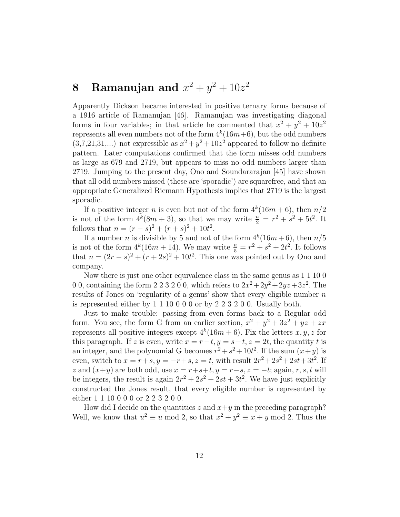# 8 Ramanujan and  $x^2 + y^2 + 10z^2$

Apparently Dickson became interested in positive ternary forms because of a 1916 article of Ramanujan [46]. Ramanujan was investigating diagonal forms in four variables; in that article he commented that  $x^2 + y^2 + 10z^2$ represents all even numbers not of the form  $4^k(16m+6)$ , but the odd numbers  $(3,7,21,31,...)$  not expressible as  $x^2 + y^2 + 10z^2$  appeared to follow no definite pattern. Later computations confirmed that the form misses odd numbers as large as 679 and 2719, but appears to miss no odd numbers larger than 2719. Jumping to the present day, Ono and Soundararajan [45] have shown that all odd numbers missed (these are 'sporadic') are squarefree, and that an appropriate Generalized Riemann Hypothesis implies that 2719 is the largest sporadic.

If a positive integer *n* is even but not of the form  $4^k(16m+6)$ , then  $n/2$ is not of the form  $4^k(8m+3)$ , so that we may write  $\frac{n}{2} = r^2 + s^2 + 5t^2$ . It follows that  $n = (r - s)^2 + (r + s)^2 + 10t^2$ .

If a number *n* is divisible by 5 and not of the form  $4^k(16m+6)$ , then  $n/5$ is not of the form  $4^k(16m + 14)$ . We may write  $\frac{n}{5} = r^2 + s^2 + 2t^2$ . It follows that  $n = (2r - s)^2 + (r + 2s)^2 + 10t^2$ . This one was pointed out by Ono and company.

Now there is just one other equivalence class in the same genus as 1 1 10 0 0 0, containing the form 2 2 3 2 0 0, which refers to  $2x^2 + 2y^2 + 2yz + 3z^2$ . The results of Jones on 'regularity of a genus' show that every eligible number  $n$ is represented either by 1 1 10 0 0 0 or by 2 2 3 2 0 0. Usually both.

Just to make trouble: passing from even forms back to a Regular odd form. You see, the form G from an earlier section,  $x^2 + y^2 + 3z^2 + yz + zx$ represents all positive integers except  $4^k(16m+6)$ . Fix the letters  $x, y, z$  for this paragraph. If z is even, write  $x = r-t$ ,  $y = s-t$ ,  $z = 2t$ , the quantity t is an integer, and the polynomial G becomes  $r^2 + s^2 + 10t^2$ . If the sum  $(x + y)$  is even, switch to  $x = r + s$ ,  $y = -r + s$ ,  $z = t$ , with result  $2r^2 + 2s^2 + 2st + 3t^2$ . If z and  $(x+y)$  are both odd, use  $x = r+s+t$ ,  $y = r-s$ ,  $z = -t$ ; again, r, s, t will be integers, the result is again  $2r^2 + 2s^2 + 2st + 3t^2$ . We have just explicitly constructed the Jones result, that every eligible number is represented by either 1 1 10 0 0 0 or 2 2 3 2 0 0.

How did I decide on the quantities z and  $x+y$  in the preceding paragraph? Well, we know that  $u^2 \equiv u \mod 2$ , so that  $x^2 + y^2 \equiv x + y \mod 2$ . Thus the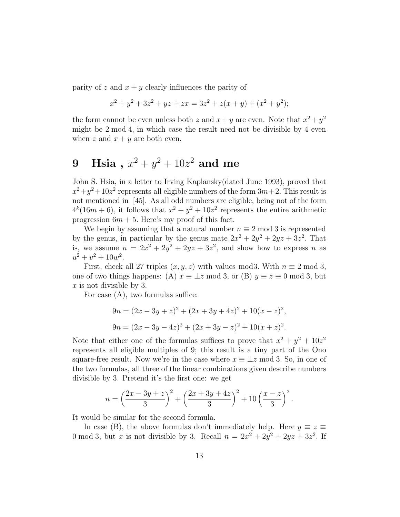parity of z and  $x + y$  clearly influences the parity of

$$
x^{2} + y^{2} + 3z^{2} + yz + zx = 3z^{2} + z(x + y) + (x^{2} + y^{2});
$$

the form cannot be even unless both z and  $x + y$  are even. Note that  $x^2 + y^2$ might be 2 mod 4, in which case the result need not be divisible by 4 even when z and  $x + y$  are both even.

# $9\quad\text{Hsia}\,\,,\,x^2+y^2+10z^2\,\,\text{and}\,\,\text{me}$

John S. Hsia, in a letter to Irving Kaplansky(dated June 1993), proved that  $x^2+y^2+10z^2$  represents all eligible numbers of the form  $3m+2$ . This result is not mentioned in [45]. As all odd numbers are eligible, being not of the form  $4^k(16m+6)$ , it follows that  $x^2 + y^2 + 10z^2$  represents the entire arithmetic progression  $6m + 5$ . Here's my proof of this fact.

We begin by assuming that a natural number  $n \equiv 2 \mod 3$  is represented by the genus, in particular by the genus mate  $2x^2 + 2y^2 + 2yz + 3z^2$ . That is, we assume  $n = 2x^2 + 2y^2 + 2yz + 3z^2$ , and show how to express n as  $u^2 + v^2 + 10w^2$ .

First, check all 27 triples  $(x, y, z)$  with values mod3. With  $n \equiv 2 \mod 3$ , one of two things happens: (A)  $x \equiv \pm z \mod 3$ , or (B)  $y \equiv z \equiv 0 \mod 3$ , but  $x$  is not divisible by 3.

For case  $(A)$ , two formulas suffice:

$$
9n = (2x - 3y + z)^2 + (2x + 3y + 4z)^2 + 10(x - z)^2,
$$
  
\n
$$
9n = (2x - 3y - 4z)^2 + (2x + 3y - z)^2 + 10(x + z)^2.
$$

Note that either one of the formulas suffices to prove that  $x^2 + y^2 + 10z^2$ represents all eligible multiples of 9; this result is a tiny part of the Ono square-free result. Now we're in the case where  $x \equiv \pm z \mod 3$ . So, in one of the two formulas, all three of the linear combinations given describe numbers divisible by 3. Pretend it's the first one: we get

$$
n = \left(\frac{2x - 3y + z}{3}\right)^2 + \left(\frac{2x + 3y + 4z}{3}\right)^2 + 10\left(\frac{x - z}{3}\right)^2.
$$

It would be similar for the second formula.

In case (B), the above formulas don't immediately help. Here  $y \equiv z \equiv$ 0 mod 3, but x is not divisible by 3. Recall  $n = 2x^2 + 2y^2 + 2yz + 3z^2$ . If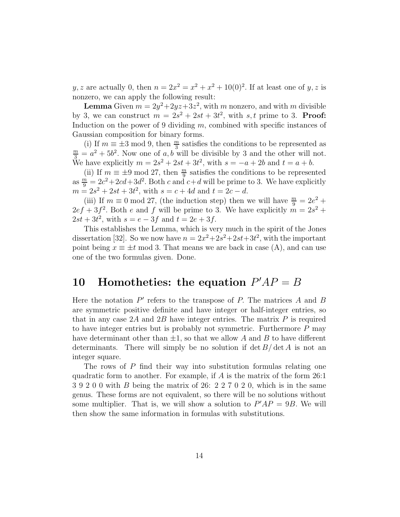y, z are actually 0, then  $n = 2x^2 = x^2 + x^2 + 10(0)^2$ . If at least one of y, z is nonzero, we can apply the following result:

**Lemma** Given  $m = 2y^2+2yz+3z^2$ , with m nonzero, and with m divisible by 3, we can construct  $m = 2s^2 + 2st + 3t^2$ , with s, t prime to 3. **Proof:** Induction on the power of 9 dividing  $m$ , combined with specific instances of Gaussian composition for binary forms.

(i) If  $m \equiv \pm 3 \mod 9$ , then  $\frac{m}{3}$  satisfies the conditions to be represented as  $\frac{m}{3} = a^2 + 5b^2$ . Now one of a, b will be divisible by 3 and the other will not. We have explicitly  $m = 2s^2 + 2st + 3t^2$ , with  $s = -a + 2b$  and  $t = a + b$ .

(ii) If  $m \equiv \pm 9 \mod 27$ , then  $\frac{m}{9}$  satisfies the conditions to be represented as  $\frac{m}{9} = 2c^2 + 2cd + 3d^2$ . Both c and  $c + d$  will be prime to 3. We have explicitly  $m = 2s^2 + 2st + 3t^2$ , with  $s = c + 4d$  and  $t = 2c - d$ .

(iii) If  $m \equiv 0 \mod 27$ , (the induction step) then we will have  $\frac{m}{9} = 2e^2 +$  $2ef + 3f^2$ . Both e and f will be prime to 3. We have explicitly  $m = 2s^2 +$  $2st + 3t^2$ , with  $s = e - 3f$  and  $t = 2e + 3f$ .

This establishes the Lemma, which is very much in the spirit of the Jones dissertation [32]. So we now have  $n = 2x^2+2s^2+2st+3t^2$ , with the important point being  $x \equiv \pm t \mod 3$ . That means we are back in case (A), and can use one of the two formulas given. Done.

# 10 Homotheties: the equation  $P'AP = B$

Here the notation  $P'$  refers to the transpose of  $P$ . The matrices  $A$  and  $B$ are symmetric positive definite and have integer or half-integer entries, so that in any case 2A and 2B have integer entries. The matrix  $P$  is required to have integer entries but is probably not symmetric. Furthermore P may have determinant other than  $\pm 1$ , so that we allow A and B to have different determinants. There will simply be no solution if  $\det B/\det A$  is not an integer square.

The rows of P find their way into substitution formulas relating one quadratic form to another. For example, if  $A$  is the matrix of the form 26:1 3 9 2 0 0 with B being the matrix of 26: 2 2 7 0 2 0, which is in the same genus. These forms are not equivalent, so there will be no solutions without some multiplier. That is, we will show a solution to  $P'AP = 9B$ . We will then show the same information in formulas with substitutions.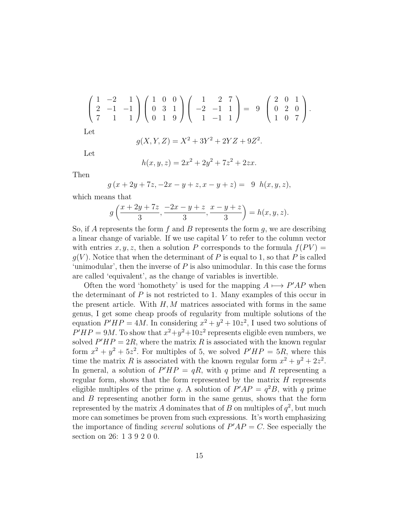$$
\begin{pmatrix} 1 & -2 & 1 \ 2 & -1 & -1 \ 7 & 1 & 1 \end{pmatrix} \begin{pmatrix} 1 & 0 & 0 \ 0 & 3 & 1 \ 0 & 1 & 9 \end{pmatrix} \begin{pmatrix} 1 & 2 & 7 \ -2 & -1 & 1 \ 1 & -1 & 1 \end{pmatrix} = 9 \begin{pmatrix} 2 & 0 & 1 \ 0 & 2 & 0 \ 1 & 0 & 7 \end{pmatrix}.
$$

Let

$$
g(X, Y, Z) = X^2 + 3Y^2 + 2YZ + 9Z^2.
$$

Let

$$
h(x, y, z) = 2x^2 + 2y^2 + 7z^2 + 2zx.
$$

Then

$$
g(x + 2y + 7z, -2x - y + z, x - y + z) = 9 h(x, y, z),
$$

which means that

$$
g\left(\frac{x+2y+7z}{3}, \frac{-2x-y+z}{3}, \frac{x-y+z}{3}\right) = h(x, y, z).
$$

So, if A represents the form f and B represents the form  $g$ , we are describing a linear change of variable. If we use capital V to refer to the column vector with entries  $x, y, z$ , then a solution P corresponds to the formula  $f(PV) =$  $q(V)$ . Notice that when the determinant of P is equal to 1, so that P is called 'unimodular', then the inverse of  $P$  is also unimodular. In this case the forms are called 'equivalent', as the change of variables is invertible.

Often the word 'homothety' is used for the mapping  $A \mapsto P'AP$  when the determinant of  $P$  is not restricted to 1. Many examples of this occur in the present article. With  $H, M$  matrices associated with forms in the same genus, I get some cheap proofs of regularity from multiple solutions of the equation  $P'HP = 4M$ . In considering  $x^2 + y^2 + 10z^2$ , I used two solutions of  $P'HP = 9M$ . To show that  $x^2+y^2+10z^2$  represents eligible even numbers, we solved  $P'HP = 2R$ , where the matrix R is associated with the known regular form  $x^2 + y^2 + 5z^2$ . For multiples of 5, we solved  $P'HP = 5R$ , where this time the matrix R is associated with the known regular form  $x^2 + y^2 + 2z^2$ . In general, a solution of  $P'HP = qR$ , with q prime and R representing a regular form, shows that the form represented by the matrix  $H$  represents eligible multiples of the prime q. A solution of  $P'AP = q^2B$ , with q prime and  $B$  representing another form in the same genus, shows that the form represented by the matrix A dominates that of B on multiples of  $q^2$ , but much more can sometimes be proven from such expressions. It's worth emphasizing the importance of finding *several* solutions of  $P'AP = C$ . See especially the section on 26: 1 3 9 2 0 0.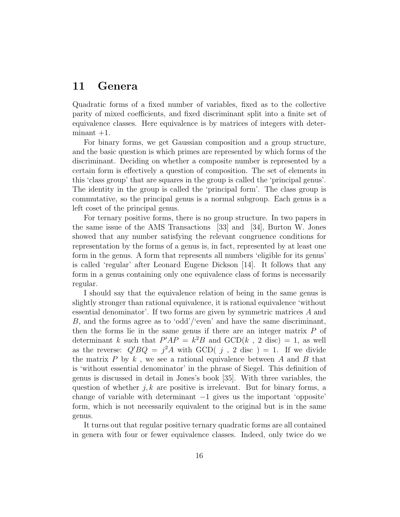### 11 Genera

Quadratic forms of a fixed number of variables, fixed as to the collective parity of mixed coefficients, and fixed discriminant split into a finite set of equivalence classes. Here equivalence is by matrices of integers with deter $minant +1$ .

For binary forms, we get Gaussian composition and a group structure, and the basic question is which primes are represented by which forms of the discriminant. Deciding on whether a composite number is represented by a certain form is effectively a question of composition. The set of elements in this 'class group' that are squares in the group is called the 'principal genus'. The identity in the group is called the 'principal form'. The class group is commutative, so the principal genus is a normal subgroup. Each genus is a left coset of the principal genus.

For ternary positive forms, there is no group structure. In two papers in the same issue of the AMS Transactions [33] and [34], Burton W. Jones showed that any number satisfying the relevant congruence conditions for representation by the forms of a genus is, in fact, represented by at least one form in the genus. A form that represents all numbers 'eligible for its genus' is called 'regular' after Leonard Eugene Dickson [14]. It follows that any form in a genus containing only one equivalence class of forms is necessarily regular.

I should say that the equivalence relation of being in the same genus is slightly stronger than rational equivalence, it is rational equivalence 'without essential denominator'. If two forms are given by symmetric matrices A and B, and the forms agree as to 'odd'/'even' and have the same discriminant, then the forms lie in the same genus if there are an integer matrix  $P$  of determinant k such that  $P'AP = k^2B$  and  $GCD(k, 2 \text{ disc}) = 1$ , as well as the reverse:  $Q' B Q = j^2 A$  with GCD( j, 2 disc) = 1. If we divide the matrix  $P$  by  $k$ , we see a rational equivalence between  $A$  and  $B$  that is 'without essential denominator' in the phrase of Siegel. This definition of genus is discussed in detail in Jones's book [35]. With three variables, the question of whether  $j, k$  are positive is irrelevant. But for binary forms, a change of variable with determinant  $-1$  gives us the important 'opposite' form, which is not necessarily equivalent to the original but is in the same genus.

It turns out that regular positive ternary quadratic forms are all contained in genera with four or fewer equivalence classes. Indeed, only twice do we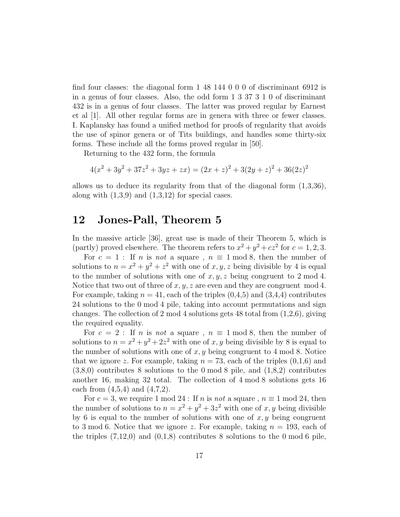find four classes: the diagonal form 1 48 144 0 0 0 of discriminant 6912 is in a genus of four classes. Also, the odd form 1 3 37 3 1 0 of discriminant 432 is in a genus of four classes. The latter was proved regular by Earnest et al [1]. All other regular forms are in genera with three or fewer classes. I. Kaplansky has found a unified method for proofs of regularity that avoids the use of spinor genera or of Tits buildings, and handles some thirty-six forms. These include all the forms proved regular in [50].

Returning to the 432 form, the formula

$$
4(x2 + 3y2 + 37z2 + 3yz + zx) = (2x + z)2 + 3(2y + z)2 + 36(2z)2
$$

allows us to deduce its regularity from that of the diagonal form  $(1,3,36)$ , along with  $(1,3,9)$  and  $(1,3,12)$  for special cases.

### 12 Jones-Pall, Theorem 5

In the massive article [36], great use is made of their Theorem 5, which is (partly) proved elsewhere. The theorem refers to  $x^2 + y^2 + cz^2$  for  $c = 1, 2, 3$ .

For  $c = 1$ : If *n* is *not* a square,  $n \equiv 1 \mod 8$ , then the number of solutions to  $n = x^2 + y^2 + z^2$  with one of  $x, y, z$  being divisible by 4 is equal to the number of solutions with one of  $x, y, z$  being congruent to 2 mod 4. Notice that two out of three of  $x, y, z$  are even and they are congruent mod 4. For example, taking  $n = 41$ , each of the triples  $(0, 4, 5)$  and  $(3, 4, 4)$  contributes 24 solutions to the 0 mod 4 pile, taking into account permutations and sign changes. The collection of 2 mod 4 solutions gets 48 total from  $(1,2,6)$ , giving the required equality.

For  $c = 2$ : If *n* is *not* a square,  $n \equiv 1 \mod 8$ , then the number of solutions to  $n = x^2 + y^2 + 2z^2$  with one of x, y being divisible by 8 is equal to the number of solutions with one of  $x, y$  being congruent to 4 mod 8. Notice that we ignore z. For example, taking  $n = 73$ , each of the triples  $(0,1,6)$  and (3,8,0) contributes 8 solutions to the 0 mod 8 pile, and (1,8,2) contributes another 16, making 32 total. The collection of 4 mod 8 solutions gets 16 each from  $(4,5,4)$  and  $(4,7,2)$ .

For  $c = 3$ , we require 1 mod 24 : If n is not a square,  $n \equiv 1 \mod 24$ , then the number of solutions to  $n = x^2 + y^2 + 3z^2$  with one of x, y being divisible by 6 is equal to the number of solutions with one of  $x, y$  being congruent to 3 mod 6. Notice that we ignore z. For example, taking  $n = 193$ , each of the triples  $(7,12,0)$  and  $(0,1,8)$  contributes 8 solutions to the 0 mod 6 pile,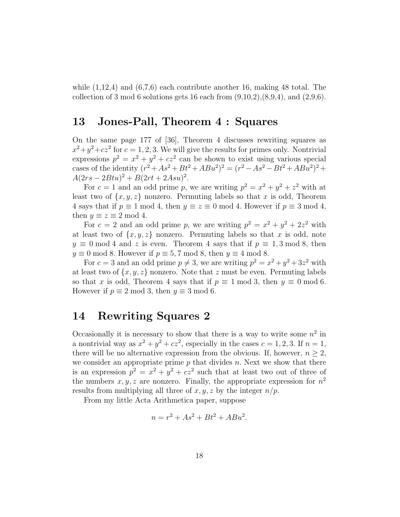while  $(1,12,4)$  and  $(6,7,6)$  each contribute another 16, making 48 total. The collection of 3 mod 6 solutions gets 16 each from  $(9,10,2), (8,9,4),$  and  $(2,9,6).$ 

## 13 Jones-Pall, Theorem 4 : Squares

On the same page 177 of [36], Theorem 4 discusses rewriting squares as  $x^2+y^2+cz^2$  for  $c=1,2,3$ . We will give the results for primes only. Nontrivial expressions  $p^2 = x^2 + y^2 + cz^2$  can be shown to exist using various special cases of the identity  $(r^2 + As^2 + Bt^2 + ABu^2)^2 = (r^2 - As^2 - Bt^2 + ABu^2)^2 +$  $A(2rs - 2Btu)^2 + B(2rt + 2Asu)^2$ .

For  $c = 1$  and an odd prime p, we are writing  $p^2 = x^2 + y^2 + z^2$  with at least two of  $\{x, y, z\}$  nonzero. Permuting labels so that x is odd, Theorem 4 says that if  $p \equiv 1 \mod 4$ , then  $y \equiv z \equiv 0 \mod 4$ . However if  $p \equiv 3 \mod 4$ , then  $y \equiv z \equiv 2 \mod 4$ .

For  $c = 2$  and an odd prime p, we are writing  $p^2 = x^2 + y^2 + 2z^2$  with at least two of  $\{x, y, z\}$  nonzero. Permuting labels so that x is odd, note  $y \equiv 0 \mod 4$  and z is even. Theorem 4 says that if  $p \equiv 1, 3 \mod 8$ , then  $y \equiv 0 \mod 8$ . However if  $p \equiv 5, 7 \mod 8$ , then  $y \equiv 4 \mod 8$ .

For  $c = 3$  and an odd prime  $p \neq 3$ , we are writing  $p^2 = x^2 + y^2 + 3z^2$  with at least two of  $\{x, y, z\}$  nonzero. Note that z must be even. Permuting labels so that x is odd, Theorem 4 says that if  $p \equiv 1 \mod 3$ , then  $y \equiv 0 \mod 6$ . However if  $p \equiv 2 \mod 3$ , then  $y \equiv 3 \mod 6$ .

### 14 Rewriting Squares 2

Occasionally it is necessary to show that there is a way to write some  $n^2$  in a nontrivial way as  $x^2 + y^2 + cz^2$ , especially in the cases  $c = 1, 2, 3$ . If  $n = 1$ , there will be no alternative expression from the obvious. If, however,  $n \geq 2$ , we consider an appropriate prime  $p$  that divides  $n$ . Next we show that there is an expression  $p^2 = x^2 + y^2 + cz^2$  such that at least two out of three of the numbers  $x, y, z$  are nonzero. Finally, the appropriate expression for  $n<sup>2</sup>$ results from multiplying all three of  $x, y, z$  by the integer  $n/p$ .

From my little Acta Arithmetica paper, suppose

$$
n = r^2 + As^2 + Bt^2 + ABu^2.
$$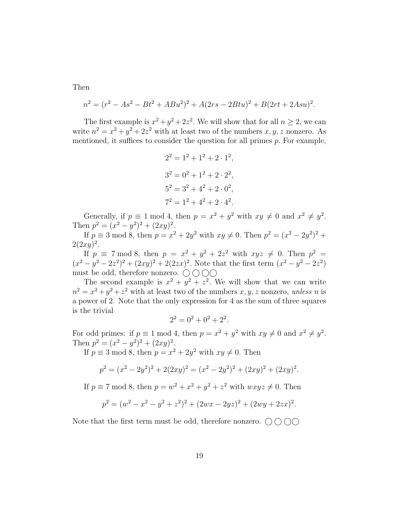Then

$$
n^{2} = (r^{2} - As^{2} - Bt^{2} + ABu^{2})^{2} + A(2rs - 2Btu)^{2} + B(2rt + 2Asu)^{2}.
$$

The first example is  $x^2 + y^2 + 2z^2$ . We will show that for all  $n \ge 2$ , we can write  $n^2 = x^2 + y^2 + 2z^2$  with at least two of the numbers  $x, y, z$  nonzero. As mentioned, it suffices to consider the question for all primes  $p$ . For example,

$$
22 = 12 + 12 + 2 \cdot 12,
$$
  
\n
$$
32 = 02 + 12 + 2 \cdot 22,
$$
  
\n
$$
52 = 32 + 42 + 2 \cdot 02,
$$
  
\n
$$
72 = 12 + 42 + 2 \cdot 42.
$$

Generally, if  $p \equiv 1 \mod 4$ , then  $p = x^2 + y^2$  with  $xy \neq 0$  and  $x^2 \neq y^2$ . Then  $p^2 = (x^2 - y^2)^2 + (2xy)^2$ .

If  $p \equiv 3 \mod 8$ , then  $p = x^2 + 2y^2$  with  $xy \neq 0$ . Then  $p^2 = (x^2 - 2y^2)^2 + 1$  $2(2xy)^2$ .

If  $p \equiv 7 \mod 8$ , then  $p = x^2 + y^2 + 2z^2$  with  $xyz \neq 0$ . Then  $p^2 = 0$  $(x^{2} - y^{2} - 2z^{2})^{2} + (2xy)^{2} + 2(2zx)^{2}$ . Note that the first term  $(x^{2} - y^{2} - 2z^{2})$ must be odd, therefore nonzero.  $\bigcirc$   $\bigcirc$   $\bigcirc$ 

The second example is  $x^2 + y^2 + z^2$ . We will show that we can write  $n^2 = x^2 + y^2 + z^2$  with at least two of the numbers  $x, y, z$  nonzero, *unless* n is a power of 2. Note that the only expression for 4 as the sum of three squares is the trivial

$$
2^2 = 0^2 + 0^2 + 2^2.
$$

For odd primes: if  $p \equiv 1 \mod 4$ , then  $p = x^2 + y^2$  with  $xy \neq 0$  and  $x^2 \neq y^2$ . Then  $p^2 = (x^2 - y^2)^2 + (2xy)^2$ .

If  $p \equiv 3 \mod 8$ , then  $p = x^2 + 2y^2$  with  $xy \neq 0$ . Then

$$
p^{2} = (x^{2} - 2y^{2})^{2} + 2(2xy)^{2} = (x^{2} - 2y^{2})^{2} + (2xy)^{2} + (2xy)^{2}.
$$

If  $p \equiv 7 \mod 8$ , then  $p = w^2 + x^2 + y^2 + z^2$  with  $wxyz \neq 0$ . Then

$$
p^{2} = (w^{2} - x^{2} - y^{2} + z^{2})^{2} + (2wx - 2yz)^{2} + (2wy + 2zx)^{2}.
$$

Note that the first term must be odd, therefore nonzero.  $\bigcirc \bigcirc \bigcirc \bigcirc$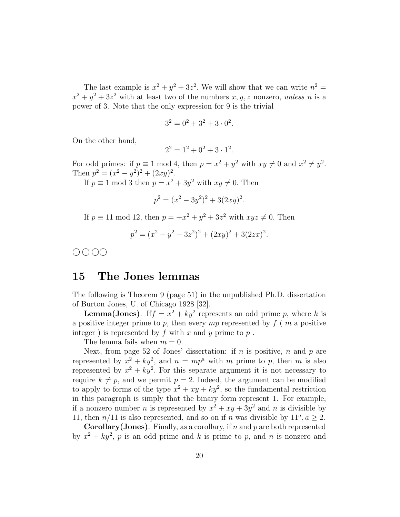The last example is  $x^2 + y^2 + 3z^2$ . We will show that we can write  $n^2 =$  $x^2 + y^2 + 3z^2$  with at least two of the numbers  $x, y, z$  nonzero, *unless* n is a power of 3. Note that the only expression for 9 is the trivial

$$
3^2 = 0^2 + 3^2 + 3 \cdot 0^2.
$$

On the other hand,

$$
2^2 = 1^2 + 0^2 + 3 \cdot 1^2
$$

.

For odd primes: if  $p \equiv 1 \mod 4$ , then  $p = x^2 + y^2$  with  $xy \neq 0$  and  $x^2 \neq y^2$ . Then  $p^2 = (x^2 - y^2)^2 + (2xy)^2$ .

If  $p \equiv 1 \mod 3$  then  $p = x^2 + 3y^2$  with  $xy \neq 0$ . Then

$$
p^2 = (x^2 - 3y^2)^2 + 3(2xy)^2.
$$

If  $p \equiv 11 \mod 12$ , then  $p = +x^2 + y^2 + 3z^2$  with  $xyz \neq 0$ . Then

$$
p^2 = (x^2 - y^2 - 3z^2)^2 + (2xy)^2 + 3(2zx)^2.
$$

 $0000$ 

#### 15 The Jones lemmas

The following is Theorem 9 (page 51) in the unpublished Ph.D. dissertation of Burton Jones, U. of Chicago 1928 [32].

**Lemma(Jones)**. If  $f = x^2 + ky^2$  represents an odd prime p, where k is a positive integer prime to p, then every mp represented by  $f(n)$  a positive integer) is represented by  $f$  with  $x$  and  $y$  prime to  $p$ .

The lemma fails when  $m = 0$ .

Next, from page 52 of Jones' dissertation: if  $n$  is positive,  $n$  and  $p$  are represented by  $x^2 + ky^2$ , and  $n = mp^a$  with m prime to p, then m is also represented by  $x^2 + ky^2$ . For this separate argument it is not necessary to require  $k \neq p$ , and we permit  $p = 2$ . Indeed, the argument can be modified to apply to forms of the type  $x^2 + xy + ky^2$ , so the fundamental restriction in this paragraph is simply that the binary form represent 1. For example, if a nonzero number *n* is represented by  $x^2 + xy + 3y^2$  and *n* is divisible by 11, then  $n/11$  is also represented, and so on if n was divisible by  $11^a, a \ge 2$ .

**Corollary** (Jones). Finally, as a corollary, if n and p are both represented by  $x^2 + ky^2$ , p is an odd prime and k is prime to p, and n is nonzero and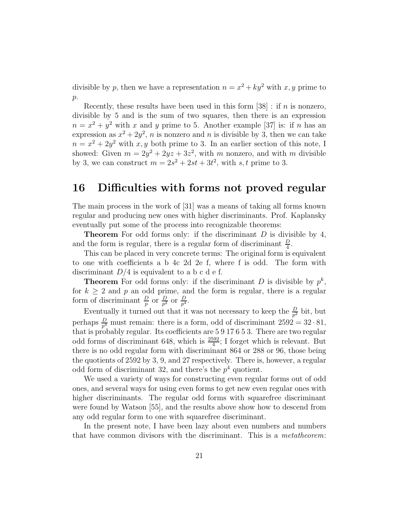divisible by p, then we have a representation  $n = x^2 + ky^2$  with x, y prime to  $p$ .

Recently, these results have been used in this form  $[38]$ : if *n* is nonzero, divisible by 5 and is the sum of two squares, then there is an expression  $n = x^2 + y^2$  with x and y prime to 5. Another example [37] is: if n has an expression as  $x^2 + 2y^2$ , *n* is nonzero and *n* is divisible by 3, then we can take  $n = x^2 + 2y^2$  with x, y both prime to 3. In an earlier section of this note, I showed: Given  $m = 2y^2 + 2yz + 3z^2$ , with m nonzero, and with m divisible by 3, we can construct  $m = 2s^2 + 2st + 3t^2$ , with s, t prime to 3.

# 16 Difficulties with forms not proved regular

The main process in the work of [31] was a means of taking all forms known regular and producing new ones with higher discriminants. Prof. Kaplansky eventually put some of the process into recognizable theorems:

**Theorem** For odd forms only: if the discriminant  $D$  is divisible by 4, and the form is regular, there is a regular form of discriminant  $\frac{D}{4}$ .

This can be placed in very concrete terms: The original form is equivalent to one with coefficients a b 4c 2d 2e f, where f is odd. The form with discriminant  $D/4$  is equivalent to a b c d e f.

**Theorem** For odd forms only: if the discriminant D is divisible by  $p^k$ , for  $k > 2$  and p an odd prime, and the form is regular, there is a regular form of discriminant  $\frac{D}{p}$  or  $\frac{D}{p^2}$  or  $\frac{D}{p^4}$ .

Eventually it turned out that it was not necessary to keep the  $\frac{D}{p^2}$  bit, but perhaps  $\frac{D}{p^4}$  must remain: there is a form, odd of discriminant  $2592 = 32 \cdot 81$ , that is probably regular. Its coefficients are 5 9 17 6 5 3. There are two regular odd forms of discriminant 648, which is  $\frac{2592}{4}$ ; I forget which is relevant. But there is no odd regular form with discriminant 864 or 288 or 96, those being the quotients of 2592 by 3, 9, and 27 respectively. There is, however, a regular odd form of discriminant 32, and there's the  $p<sup>4</sup>$  quotient.

We used a variety of ways for constructing even regular forms out of odd ones, and several ways for using even forms to get new even regular ones with higher discriminants. The regular odd forms with squarefree discriminant were found by Watson [55], and the results above show how to descend from any odd regular form to one with squarefree discriminant.

In the present note, I have been lazy about even numbers and numbers that have common divisors with the discriminant. This is a *metatheorem*: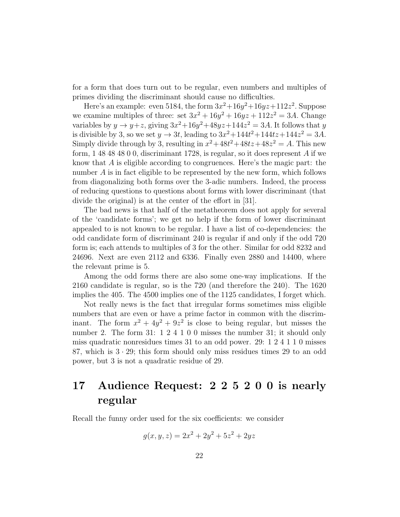for a form that does turn out to be regular, even numbers and multiples of primes dividing the discriminant should cause no difficulties.

Here's an example: even 5184, the form  $3x^2+16y^2+16yz+112z^2$ . Suppose we examine multiples of three: set  $3x^2 + 16y^2 + 16yz + 112z^2 = 3A$ . Change variables by  $y \to y+z$ , giving  $3x^2+16y^2+48yz+144z^2=3A$ . It follows that y is divisible by 3, so we set  $y \to 3t$ , leading to  $3x^2 + 144t^2 + 144tz + 144z^2 = 3A$ . Simply divide through by 3, resulting in  $x^2 + 48t^2 + 48t^2 + 48t^2 = A$ . This new form, 1 48 48 48 0 0, discriminant 1728, is regular, so it does represent A if we know that A is eligible according to congruences. Here's the magic part: the number A is in fact eligible to be represented by the new form, which follows from diagonalizing both forms over the 3-adic numbers. Indeed, the process of reducing questions to questions about forms with lower discriminant (that divide the original) is at the center of the effort in [31].

The bad news is that half of the metatheorem does not apply for several of the 'candidate forms'; we get no help if the form of lower discriminant appealed to is not known to be regular. I have a list of co-dependencies: the odd candidate form of discriminant 240 is regular if and only if the odd 720 form is; each attends to multiples of 3 for the other. Similar for odd 8232 and 24696. Next are even 2112 and 6336. Finally even 2880 and 14400, where the relevant prime is 5.

Among the odd forms there are also some one-way implications. If the 2160 candidate is regular, so is the 720 (and therefore the 240). The 1620 implies the 405. The 4500 implies one of the 1125 candidates, I forget which.

Not really news is the fact that irregular forms sometimes miss eligible numbers that are even or have a prime factor in common with the discriminant. The form  $x^2 + 4y^2 + 9z^2$  is close to being regular, but misses the number 2. The form 31: 1 2 4 1 0 0 misses the number 31; it should only miss quadratic nonresidues times 31 to an odd power. 29: 1 2 4 1 1 0 misses 87, which is  $3 \cdot 29$ ; this form should only miss residues times 29 to an odd power, but 3 is not a quadratic residue of 29.

# 17 Audience Request: 2 2 5 2 0 0 is nearly regular

Recall the funny order used for the six coefficients: we consider

$$
g(x, y, z) = 2x^2 + 2y^2 + 5z^2 + 2yz
$$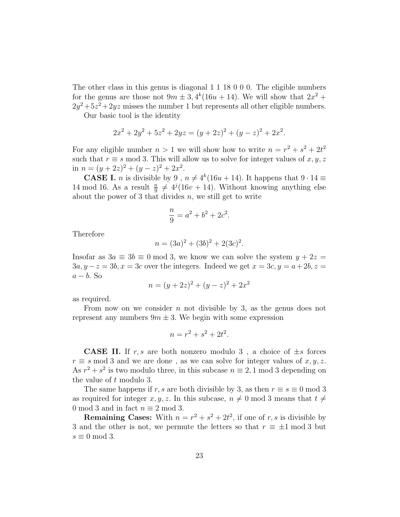The other class in this genus is diagonal 1 1 18 0 0 0. The eligible numbers for the genus are those not  $9m \pm 3$ ,  $4^k(16u + 14)$ . We will show that  $2x^2 +$  $2y^2 + 5z^2 + 2yz$  misses the number 1 but represents all other eligible numbers. Our basic tool is the identity

 $2x^2 + 2y^2 + 5z^2 + 2yz = (y + 2z)^2 + (y - z)^2 + 2x^2$ .

For any eligible number  $n > 1$  we will show how to write  $n = r^2 + s^2 + 2t^2$ such that  $r \equiv s \mod 3$ . This will allow us to solve for integer values of  $x, y, z$ in  $n = (y+2z)^2 + (y-z)^2 + 2x^2$ .

**CASE I.** *n* is divisible by 9,  $n \neq 4^k(16u + 14)$ . It happens that  $9 \cdot 14 \equiv$ 14 mod 16. As a result  $\frac{n}{9} \neq 4^{j}(16v + 14)$ . Without knowing anything else about the power of 3 that divides  $n$ , we still get to write

$$
\frac{n}{9} = a^2 + b^2 + 2c^2.
$$

Therefore

$$
n = (3a)^2 + (3b)^2 + 2(3c)^2.
$$

Insofar as  $3a \equiv 3b \equiv 0 \mod 3$ , we know we can solve the system  $y + 2z =$  $3a, y-z = 3b, x = 3c$  over the integers. Indeed we get  $x = 3c, y = a + 2b, z =$  $a - b$ . So

$$
n = (y + 2z)^2 + (y - z)^2 + 2x^2
$$

as required.

From now on we consider  $n$  not divisible by 3, as the genus does not represent any numbers  $9m \pm 3$ . We begin with some expression

$$
n = r^2 + s^2 + 2t^2.
$$

**CASE II.** If r, s are both nonzero modulo 3, a choice of  $\pm s$  forces  $r \equiv s \mod 3$  and we are done, as we can solve for integer values of  $x, y, z$ . As  $r^2 + s^2$  is two modulo three, in this subcase  $n \equiv 2, 1 \mod 3$  depending on the value of t modulo 3.

The same happens if r, s are both divisible by 3, as then  $r \equiv s \equiv 0 \mod 3$ as required for integer x, y, z. In this subcase,  $n \neq 0 \text{ mod } 3$  means that  $t \neq$ 0 mod 3 and in fact  $n \equiv 2 \mod 3$ .

**Remaining Cases:** With  $n = r^2 + s^2 + 2t^2$ , if one of r, s is divisible by 3 and the other is not, we permute the letters so that  $r \equiv \pm 1 \mod 3$  but  $s \equiv 0 \mod 3$ .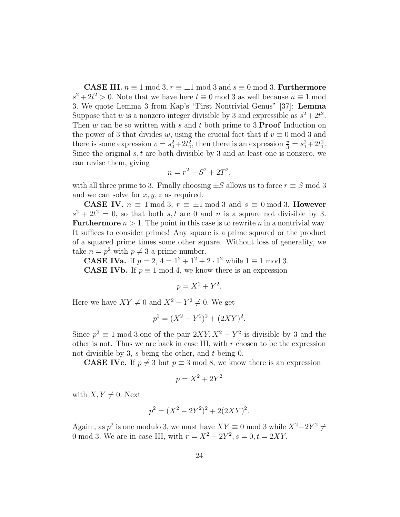**CASE III.**  $n \equiv 1 \mod 3$ ,  $r \equiv \pm 1 \mod 3$  and  $s \equiv 0 \mod 3$ . Furthermore  $s^2 + 2t^2 > 0$ . Note that we have here  $t \equiv 0 \mod 3$  as well because  $n \equiv 1 \mod 3$ 3. We quote Lemma 3 from Kap's "First Nontrivial Genus" [37]: Lemma Suppose that w is a nonzero integer divisible by 3 and expressible as  $s^2 + 2t^2$ . Then  $w$  can be so written with  $s$  and  $t$  both prime to 3.**Proof** Induction on the power of 3 that divides w, using the crucial fact that if  $v \equiv 0 \mod 3$  and there is some expression  $v = s_0^2 + 2t_0^2$ , then there is an expression  $\frac{v}{3} = s_1^2 + 2t_1^2$ . Since the original  $s, t$  are both divisible by 3 and at least one is nonzero, we can revise them, giving

$$
n = r^2 + S^2 + 2T^2,
$$

with all three prime to 3. Finally choosing  $\pm S$  allows us to force  $r \equiv S \mod 3$ and we can solve for  $x, y, z$  as required.

**CASE IV.**  $n \equiv 1 \mod 3$ ,  $r \equiv \pm 1 \mod 3$  and  $s \equiv 0 \mod 3$ . **However**  $s^2 + 2t^2 = 0$ , so that both s, t are 0 and n is a square not divisible by 3. **Furthermore**  $n > 1$ . The point in this case is to rewrite n in a nontrivial way. It suffices to consider primes! Any square is a prime squared or the product of a squared prime times some other square. Without loss of generality, we take  $n = p^2$  with  $p \neq 3$  a prime number.

**CASE IVa.** If  $p = 2$ ,  $4 = 1^2 + 1^2 + 2 \cdot 1^2$  while  $1 \equiv 1 \mod 3$ . **CASE IVb.** If  $p \equiv 1 \mod 4$ , we know there is an expression

$$
p = X^2 + Y^2.
$$

Here we have  $XY \neq 0$  and  $X^2 - Y^2 \neq 0$ . We get

$$
p^2 = (X^2 - Y^2)^2 + (2XY)^2.
$$

Since  $p^2 \equiv 1 \mod 3$ , one of the pair  $2XY, X^2 - Y^2$  is divisible by 3 and the other is not. Thus we are back in case III, with  $r$  chosen to be the expression not divisible by 3, s being the other, and  $t$  being 0.

**CASE IVc.** If  $p \neq 3$  but  $p \equiv 3 \mod 8$ , we know there is an expression

$$
p = X^2 + 2Y^2
$$

with  $X, Y \neq 0$ . Next

$$
p^2 = (X^2 - 2Y^2)^2 + 2(2XY)^2.
$$

Again, as  $p^2$  is one modulo 3, we must have  $XY \equiv 0 \mod 3$  while  $X^2 - 2Y^2 \neq 0$ 0 mod 3. We are in case III, with  $r = X^2 - 2Y^2$ ,  $s = 0, t = 2XY$ .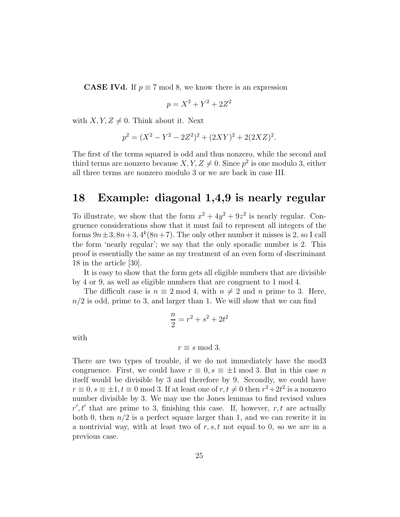**CASE IVd.** If  $p \equiv 7 \mod 8$ , we know there is an expression

$$
p = X^2 + Y^2 + 2Z^2
$$

with  $X, Y, Z \neq 0$ . Think about it. Next

$$
p^2 = (X^2 - Y^2 - 2Z^2)^2 + (2XY)^2 + 2(2XZ)^2.
$$

The first of the terms squared is odd and thus nonzero, while the second and third terms are nonzero because  $X, Y, Z \neq 0$ . Since  $p^2$  is one modulo 3, either all three terms are nonzero modulo 3 or we are back in case III.

# 18 Example: diagonal 1,4,9 is nearly regular

To illustrate, we show that the form  $x^2 + 4y^2 + 9z^2$  is nearly regular. Congruence considerations show that it must fail to represent all integers of the forms  $9n \pm 3$ ,  $8n+3$ ,  $4^k(8n+7)$ . The only other number it misses is 2, so I call the form 'nearly regular'; we say that the only sporadic number is 2. This proof is essentially the same as my treatment of an even form of discriminant 18 in the article [30].

It is easy to show that the form gets all eligible numbers that are divisible by 4 or 9, as well as eligible numbers that are congruent to 1 mod 4.

The difficult case is  $n \equiv 2 \mod 4$ , with  $n \neq 2$  and n prime to 3. Here,  $n/2$  is odd, prime to 3, and larger than 1. We will show that we can find

$$
\frac{n}{2} = r^2 + s^2 + 2t^2
$$

with

$$
r \equiv s \bmod 3.
$$

There are two types of trouble, if we do not immediately have the mod3 congruence. First, we could have  $r \equiv 0$ ,  $s \equiv \pm 1 \mod 3$ . But in this case n itself would be divisible by 3 and therefore by 9. Secondly, we could have  $r \equiv 0, s \equiv \pm 1, t \equiv 0 \mod 3$ . If at least one of  $r, t \neq 0$  then  $r^2 + 2t^2$  is a nonzero number divisible by 3. We may use the Jones lemmas to find revised values  $r', t'$  that are prime to 3, finishing this case. If, however,  $r, t$  are actually both 0, then  $n/2$  is a perfect square larger than 1, and we can rewrite it in a nontrivial way, with at least two of  $r, s, t$  not equal to 0, so we are in a previous case.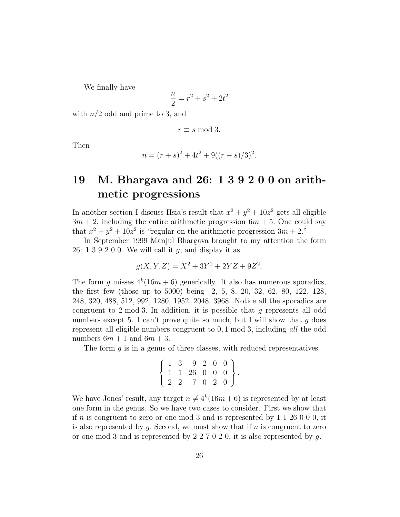We finally have

$$
\frac{n}{2} = r^2 + s^2 + 2t^2
$$

with  $n/2$  odd and prime to 3, and

$$
r \equiv s \mod 3.
$$

Then

$$
n = (r + s)^2 + 4t^2 + 9((r - s)/3)^2.
$$

# 19 M. Bhargava and 26: 1 3 9 2 0 0 on arithmetic progressions

In another section I discuss Hsia's result that  $x^2 + y^2 + 10z^2$  gets all eligible  $3m + 2$ , including the entire arithmetic progression  $6m + 5$ . One could say that  $x^2 + y^2 + 10z^2$  is "regular on the arithmetic progression  $3m + 2$ ."

In September 1999 Manjul Bhargava brought to my attention the form 26: 1 3 9 2 0 0. We will call it  $q$ , and display it as

$$
g(X, Y, Z) = X^2 + 3Y^2 + 2YZ + 9Z^2.
$$

The form g misses  $4^k(16m+6)$  generically. It also has numerous sporadics, the first few (those up to 5000) being 2, 5, 8, 20, 32, 62, 80, 122, 128, 248, 320, 488, 512, 992, 1280, 1952, 2048, 3968. Notice all the sporadics are congruent to 2 mod 3. In addition, it is possible that  $g$  represents all odd numbers except 5. I can't prove quite so much, but I will show that  $g$  does represent all eligible numbers congruent to 0, 1 mod 3, including *all* the odd numbers  $6m + 1$  and  $6m + 3$ .

The form  $g$  is in a genus of three classes, with reduced representatives

$$
\left\{\n\begin{array}{cccccc}\n1 & 3 & 9 & 2 & 0 & 0 \\
1 & 1 & 26 & 0 & 0 & 0 \\
2 & 2 & 7 & 0 & 2 & 0\n\end{array}\n\right\}.
$$

We have Jones' result, any target  $n \neq 4^k(16m + 6)$  is represented by at least one form in the genus. So we have two cases to consider. First we show that if n is congruent to zero or one mod 3 and is represented by  $1\ 1\ 26\ 0\ 0\ 0$ , it is also represented by  $q$ . Second, we must show that if  $n$  is congruent to zero or one mod 3 and is represented by 2 2 7 0 2 0, it is also represented by g.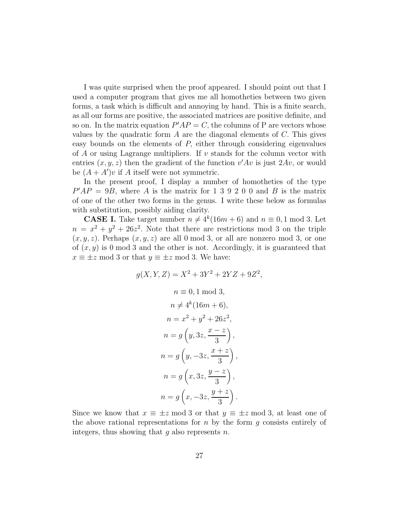I was quite surprised when the proof appeared. I should point out that I used a computer program that gives me all homotheties between two given forms, a task which is difficult and annoying by hand. This is a finite search, as all our forms are positive, the associated matrices are positive definite, and so on. In the matrix equation  $P'AP = C$ , the columns of P are vectors whose values by the quadratic form  $A$  are the diagonal elements of  $C$ . This gives easy bounds on the elements of  $P$ , either through considering eigenvalues of  $\tilde{A}$  or using Lagrange multipliers. If v stands for the column vector with entries  $(x, y, z)$  then the gradient of the function  $v'Av$  is just  $2Av$ , or would be  $(A + A')v$  if A itself were not symmetric.

In the present proof, I display a number of homotheties of the type  $P'AP = 9B$ , where A is the matrix for 1 3 9 2 0 0 and B is the matrix of one of the other two forms in the genus. I write these below as formulas with substitution, possibly aiding clarity.

**CASE I.** Take target number  $n \neq 4^k(16m + 6)$  and  $n \equiv 0, 1 \mod 3$ . Let  $n = x^2 + y^2 + 26z^2$ . Note that there are restrictions mod 3 on the triple  $(x, y, z)$ . Perhaps  $(x, y, z)$  are all 0 mod 3, or all are nonzero mod 3, or one of  $(x, y)$  is 0 mod 3 and the other is not. Accordingly, it is guaranteed that  $x \equiv \pm z \mod 3$  or that  $y \equiv \pm z \mod 3$ . We have:

$$
g(X, Y, Z) = X^{2} + 3Y^{2} + 2YZ + 9Z^{2},
$$
  
\n
$$
n \equiv 0, 1 \mod 3,
$$
  
\n
$$
n \neq 4^{k}(16m + 6),
$$
  
\n
$$
n = x^{2} + y^{2} + 26z^{2},
$$
  
\n
$$
n = g\left(y, 3z, \frac{x - z}{3}\right),
$$
  
\n
$$
n = g\left(y, -3z, \frac{x + z}{3}\right),
$$
  
\n
$$
n = g\left(x, 3z, \frac{y - z}{3}\right),
$$
  
\n
$$
n = g\left(x, -3z, \frac{y + z}{3}\right).
$$

Since we know that  $x \equiv \pm z \mod 3$  or that  $y \equiv \pm z \mod 3$ , at least one of the above rational representations for  $n$  by the form  $g$  consists entirely of integers, thus showing that  $q$  also represents  $n$ .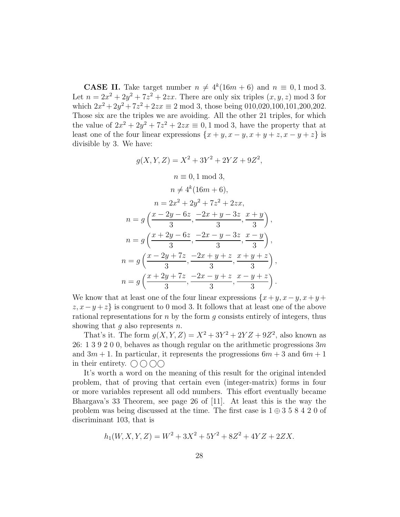**CASE II.** Take target number  $n \neq 4^k(16m + 6)$  and  $n \equiv 0, 1 \mod 3$ . Let  $n = 2x^2 + 2y^2 + 7z^2 + 2zx$ . There are only six triples  $(x, y, z)$  mod 3 for which  $2x^2 + 2y^2 + 7z^2 + 2zx \equiv 2 \mod 3$ , those being 010,020,100,101,200,202. Those six are the triples we are avoiding. All the other 21 triples, for which the value of  $2x^2 + 2y^2 + 7z^2 + 2zx \equiv 0, 1 \mod 3$ , have the property that at least one of the four linear expressions  $\{x + y, x - y, x + y + z, x - y + z\}$  is divisible by 3. We have:

$$
g(X, Y, Z) = X^2 + 3Y^2 + 2YZ + 9Z^2,
$$
  
\n
$$
n \equiv 0, 1 \mod 3,
$$
  
\n
$$
n \neq 4^k (16m + 6),
$$
  
\n
$$
n = 2x^2 + 2y^2 + 7z^2 + 2zx,
$$
  
\n
$$
n = g\left(\frac{x - 2y - 6z}{3}, \frac{-2x + y - 3z}{3}, \frac{x + y}{3}\right),
$$
  
\n
$$
n = g\left(\frac{x + 2y - 6z}{3}, \frac{-2x - y - 3z}{3}, \frac{x - y}{3}\right),
$$
  
\n
$$
n = g\left(\frac{x - 2y + 7z}{3}, \frac{-2x + y + z}{3}, \frac{x + y + z}{3}\right)
$$
  
\n
$$
n = g\left(\frac{x + 2y + 7z}{3}, \frac{-2x - y + z}{3}, \frac{x - y + z}{3}\right)
$$

,

.

We know that at least one of the four linear expressions  $\{x+y, x-y, x+y+y\}$  $z, x-y+z$  is congruent to 0 mod 3. It follows that at least one of the above rational representations for  $n$  by the form  $g$  consists entirely of integers, thus showing that  $g$  also represents  $n$ .

That's it. The form  $g(X, Y, Z) = X^2 + 3Y^2 + 2YZ + 9Z^2$ , also known as 26: 1 3 9 2 0 0, behaves as though regular on the arithmetic progressions  $3m$ and  $3m + 1$ . In particular, it represents the progressions  $6m + 3$  and  $6m + 1$ in their entirety.  $\bigcirc$   $\bigcirc$   $\bigcirc$ 

It's worth a word on the meaning of this result for the original intended problem, that of proving that certain even (integer-matrix) forms in four or more variables represent all odd numbers. This effort eventually became Bhargava's 33 Theorem, see page 26 of [11]. At least this is the way the problem was being discussed at the time. The first case is  $1 \oplus 3 \ 5 \ 8 \ 4 \ 2 \ 0$  of discriminant 103, that is

$$
h_1(W, X, Y, Z) = W^2 + 3X^2 + 5Y^2 + 8Z^2 + 4YZ + 2ZX.
$$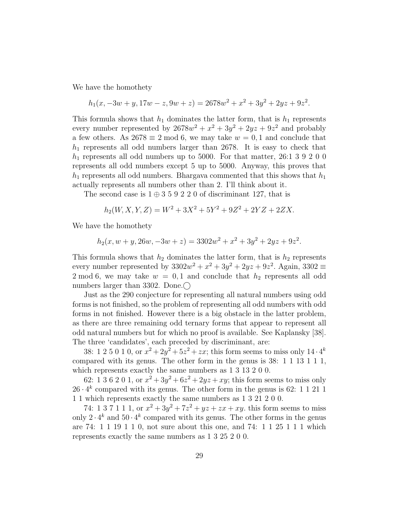We have the homothety

$$
h_1(x, -3w + y, 17w - z, 9w + z) = 2678w^2 + x^2 + 3y^2 + 2yz + 9z^2.
$$

This formula shows that  $h_1$  dominates the latter form, that is  $h_1$  represents every number represented by  $2678w^2 + x^2 + 3y^2 + 2yz + 9z^2$  and probably a few others. As  $2678 \equiv 2 \mod 6$ , we may take  $w = 0, 1$  and conclude that  $h_1$  represents all odd numbers larger than 2678. It is easy to check that  $h_1$  represents all odd numbers up to 5000. For that matter, 26:1 3 9 2 0 0 represents all odd numbers except 5 up to 5000. Anyway, this proves that  $h_1$  represents all odd numbers. Bhargava commented that this shows that  $h_1$ actually represents all numbers other than 2. I'll think about it.

The second case is  $1 \oplus 3 \oplus 2 \oplus 2 \oplus 0$  of discriminant 127, that is

$$
h_2(W, X, Y, Z) = W^2 + 3X^2 + 5Y^2 + 9Z^2 + 2YZ + 2ZX.
$$

We have the homothety

$$
h_2(x, w+y, 26w, -3w+z) = 3302w^2 + x^2 + 3y^2 + 2yz + 9z^2.
$$

This formula shows that  $h_2$  dominates the latter form, that is  $h_2$  represents every number represented by  $3302w^2 + x^2 + 3y^2 + 2yz + 9z^2$ . Again,  $3302 \equiv$ 2 mod 6, we may take  $w = 0, 1$  and conclude that  $h_2$  represents all odd numbers larger than 3302. Done. $\bigcirc$ 

Just as the 290 conjecture for representing all natural numbers using odd forms is not finished, so the problem of representing all odd numbers with odd forms in not finished. However there is a big obstacle in the latter problem, as there are three remaining odd ternary forms that appear to represent all odd natural numbers but for which no proof is available. See Kaplansky [38]. The three 'candidates', each preceded by discriminant, are:

38: 1 2 5 0 1 0, or  $x^2 + 2y^2 + 5z^2 + zx$ ; this form seems to miss only  $14 \cdot 4^k$ compared with its genus. The other form in the genus is 38: 1 1 13 1 1 1, which represents exactly the same numbers as 1 3 13 2 0 0.

62: 1 3 6 2 0 1, or  $x^2 + 3y^2 + 6z^2 + 2yz + xy$ ; this form seems to miss only  $26 \cdot 4^k$  compared with its genus. The other form in the genus is 62: 1 1 21 1 1 1 which represents exactly the same numbers as 1 3 21 2 0 0.

74: 1 3 7 1 1 1, or  $x^2 + 3y^2 + 7z^2 + yz + zx + xy$ . this form seems to miss only  $2 \cdot 4^k$  and  $50 \cdot 4^k$  compared with its genus. The other forms in the genus are 74: 1 1 19 1 1 0, not sure about this one, and 74: 1 1 25 1 1 1 which represents exactly the same numbers as 1 3 25 2 0 0.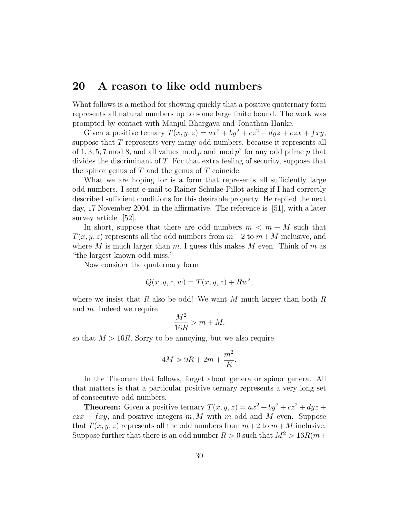#### 20 A reason to like odd numbers

What follows is a method for showing quickly that a positive quaternary form represents all natural numbers up to some large finite bound. The work was prompted by contact with Manjul Bhargava and Jonathan Hanke.

Given a positive ternary  $T(x, y, z) = ax^2 + by^2 + cz^2 + dyz + ezx + fxy$ , suppose that T represents very many odd numbers, because it represents all of 1, 3, 5, 7 mod 8, and all values mod p and mod  $p^2$  for any odd prime p that divides the discriminant of T. For that extra feeling of security, suppose that the spinor genus of  $T$  and the genus of  $T$  coincide.

What we are hoping for is a form that represents all sufficiently large odd numbers. I sent e-mail to Rainer Schulze-Pillot asking if I had correctly described sufficient conditions for this desirable property. He replied the next day, 17 November 2004, in the affirmative. The reference is [51], with a later survey article [52].

In short, suppose that there are odd numbers  $m < m + M$  such that  $T(x, y, z)$  represents all the odd numbers from  $m+2$  to  $m+M$  inclusive, and where M is much larger than m. I guess this makes M even. Think of m as "the largest known odd miss."

Now consider the quaternary form

$$
Q(x, y, z, w) = T(x, y, z) + R w2,
$$

where we insist that R also be odd! We want M much larger than both  $R$ and m. Indeed we require

$$
\frac{M^2}{16R} > m + M,
$$

so that  $M > 16R$ . Sorry to be annoying, but we also require

$$
4M > 9R + 2m + \frac{m^2}{R}.
$$

In the Theorem that follows, forget about genera or spinor genera. All that matters is that a particular positive ternary represents a very long set of consecutive odd numbers.

**Theorem:** Given a positive ternary  $T(x, y, z) = ax^2 + by^2 + cz^2 + dyz +$  $e z x + f x y$ , and positive integers m, M with m odd and M even. Suppose that  $T(x, y, z)$  represents all the odd numbers from  $m+2$  to  $m+M$  inclusive. Suppose further that there is an odd number  $R > 0$  such that  $M^2 > 16R(m +$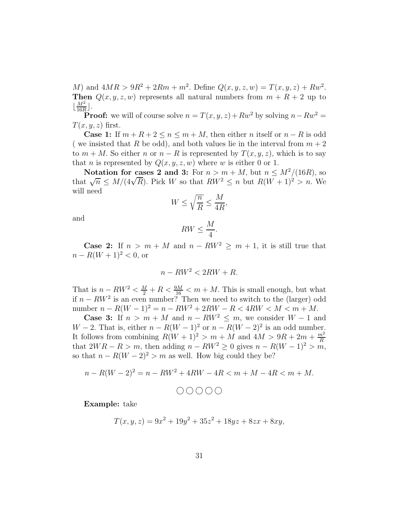M) and  $4MR > 9R^2 + 2Rm + m^2$ . Define  $Q(x, y, z, w) = T(x, y, z) + Rw^2$ . Then  $Q(x, y, z, w)$  represents all natural numbers from  $m + R + 2$  up to  $\lfloor$  $M<sup>2</sup>$  $\frac{M^2}{16R}$ .

**Proof:** we will of course solve  $n = T(x, y, z) + Rw^2$  by solving  $n - Rw^2 =$  $T(x, y, z)$  first.

**Case 1:** If  $m + R + 2 \le n \le m + M$ , then either *n* itself or  $n - R$  is odd ( we insisted that R be odd), and both values lie in the interval from  $m + 2$ to  $m + M$ . So either n or  $n - R$  is represented by  $T(x, y, z)$ , which is to say that *n* is represented by  $Q(x, y, z, w)$  where *w* is either 0 or 1.

Notation for cases 2 and 3: For  $n > m + M$ , but  $n \leq M^2/(16R)$ , so that  $\sqrt{n} \leq M/(4\sqrt{R})$ . Pick W so that  $RW^2 \leq n$  but  $R(W+1)^2 > n$ . We will need

$$
W\leq \sqrt{\frac{n}{R}}\leq \frac{M}{4R},
$$

and

$$
RW \le \frac{M}{4}.
$$

**Case 2:** If  $n > m + M$  and  $n - RW^2 > m + 1$ , it is still true that  $n - R(W + 1)^2 < 0$ , or

$$
n - RW^2 < 2RW + R.
$$

That is  $n - RW^2 < \frac{M}{2} + R < \frac{9M}{16} < m + M$ . This is small enough, but what if  $n - RW^2$  is an even number? Then we need to switch to the (larger) odd number  $n - R(W - 1)^2 = n - R W^2 + 2RW - R < 4RW < M < m + M$ .

**Case 3:** If  $n > m + M$  and  $n - RW^2 \le m$ , we consider  $W - 1$  and  $W-2$ . That is, either  $n-R(W-1)^2$  or  $n-R(W-2)^2$  is an odd number. It follows from combining  $R(W+1)^2 > m + M$  and  $4M > 9R + 2m + \frac{m^2}{R}$ that  $2WR - R > m$ , then adding  $n - RW^2 \ge 0$  gives  $n - R(W - 1)^2 > m$ , so that  $n - R(W - 2)^2 > m$  as well. How big could they be?

$$
n - R(W - 2)^{2} = n - RW^{2} + 4RW - 4R < m + M - 4R < m + M.
$$
\n
$$
\bigcirc \bigcirc \bigcirc \bigcirc \bigcirc \bigcirc
$$

Example: take

$$
T(x, y, z) = 9x^2 + 19y^2 + 35z^2 + 18yz + 8zx + 8xy,
$$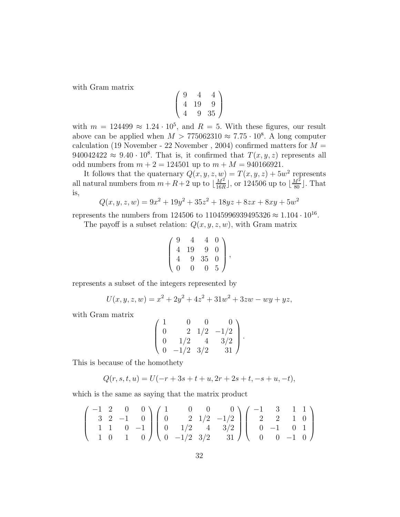with Gram matrix

$$
\left(\begin{array}{ccc} 9 & 4 & 4 \\ 4 & 19 & 9 \\ 4 & 9 & 35 \end{array}\right)
$$

with  $m = 124499 \approx 1.24 \cdot 10^5$ , and  $R = 5$ . With these figures, our result above can be applied when  $M > 775062310 \approx 7.75 \cdot 10^8$ . A long computer calculation (19 November - 22 November, 2004) confirmed matters for  $M =$  $940042422 \approx 9.40 \cdot 10^8$ . That is, it confirmed that  $T(x, y, z)$  represents all odd numbers from  $m + 2 = 124501$  up to  $m + M = 940166921$ .

It follows that the quaternary  $Q(x, y, z, w) = T(x, y, z) + 5w^2$  represents all natural numbers from  $m + R + 2$  up to  $\frac{M^2}{16R}$  $\frac{M^2}{16R}$ , or 124506 up to  $\lfloor \frac{M^2}{80} \rfloor$ . That is,

$$
Q(x, y, z, w) = 9x^2 + 19y^2 + 35z^2 + 18yz + 8zx + 8xy + 5w^2
$$

represents the numbers from 124506 to 11045996939495326  $\approx 1.104 \cdot 10^{16}$ .

The payoff is a subset relation:  $Q(x, y, z, w)$ , with Gram matrix

$$
\left(\begin{array}{cccc}9 & 4 & 4 & 0\\4 & 19 & 9 & 0\\4 & 9 & 35 & 0\\0 & 0 & 0 & 5\end{array}\right),
$$

represents a subset of the integers represented by

$$
U(x, y, z, w) = x^2 + 2y^2 + 4z^2 + 31w^2 + 3zw - wy + yz,
$$

with Gram matrix

$$
\left(\begin{array}{rrrrr} 1 & 0 & 0 & 0 \\ 0 & 2 & 1/2 & -1/2 \\ 0 & 1/2 & 4 & 3/2 \\ 0 & -1/2 & 3/2 & 31 \end{array}\right).
$$

This is because of the homothety

$$
Q(r, s, t, u) = U(-r + 3s + t + u, 2r + 2s + t, -s + u, -t),
$$

which is the same as saying that the matrix product

$$
\left(\begin{array}{cccc} -1 & 2 & 0 & 0 \\ 3 & 2 & -1 & 0 \\ 1 & 1 & 0 & -1 \\ 1 & 0 & 1 & 0 \end{array}\right) \left(\begin{array}{cccc} 1 & 0 & 0 & 0 \\ 0 & 2 & 1/2 & -1/2 \\ 0 & 1/2 & 4 & 3/2 \\ 0 & -1/2 & 3/2 & 31 \end{array}\right) \left(\begin{array}{cccc} -1 & 3 & 1 & 1 \\ 2 & 2 & 1 & 0 \\ 0 & -1 & 0 & 1 \\ 0 & 0 & -1 & 0 \end{array}\right)
$$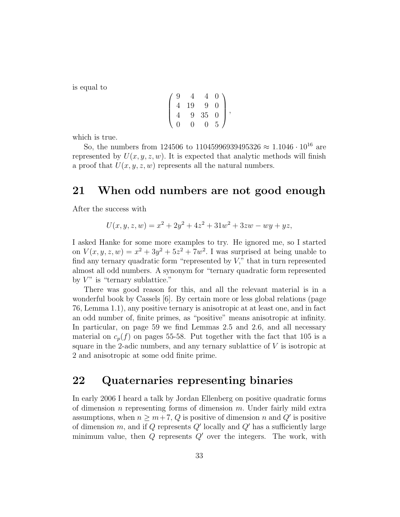is equal to

$$
\left(\begin{array}{rrrr} 9 & 4 & 4 & 0 \\ 4 & 19 & 9 & 0 \\ 4 & 9 & 35 & 0 \\ 0 & 0 & 0 & 5 \end{array}\right),
$$

which is true.

So, the numbers from 124506 to 11045996939495326  $\approx 1.1046 \cdot 10^{16}$  are represented by  $U(x, y, z, w)$ . It is expected that analytic methods will finish a proof that  $U(x, y, z, w)$  represents all the natural numbers.

# 21 When odd numbers are not good enough

After the success with

$$
U(x, y, z, w) = x2 + 2y2 + 4z2 + 31w2 + 3zw - wy + yz,
$$

I asked Hanke for some more examples to try. He ignored me, so I started on  $V(x, y, z, w) = x^2 + 3y^2 + 5z^2 + 7w^2$ . I was surprised at being unable to find any ternary quadratic form "represented by  $V$ ," that in turn represented almost all odd numbers. A synonym for "ternary quadratic form represented by  $V$ " is "ternary sublattice."

There was good reason for this, and all the relevant material is in a wonderful book by Cassels [6]. By certain more or less global relations (page 76, Lemma 1.1), any positive ternary is anisotropic at at least one, and in fact an odd number of, finite primes, as "positive" means anisotropic at infinity. In particular, on page 59 we find Lemmas 2.5 and 2.6, and all necessary material on  $c_p(f)$  on pages 55-58. Put together with the fact that 105 is a square in the 2-adic numbers, and any ternary sublattice of  $V$  is isotropic at 2 and anisotropic at some odd finite prime.

#### 22 Quaternaries representing binaries

In early 2006 I heard a talk by Jordan Ellenberg on positive quadratic forms of dimension n representing forms of dimension  $m$ . Under fairly mild extra assumptions, when  $n \geq m+7$ , Q is positive of dimension n and Q' is positive of dimension  $m$ , and if  $Q$  represents  $Q'$  locally and  $Q'$  has a sufficiently large minimum value, then  $Q$  represents  $Q'$  over the integers. The work, with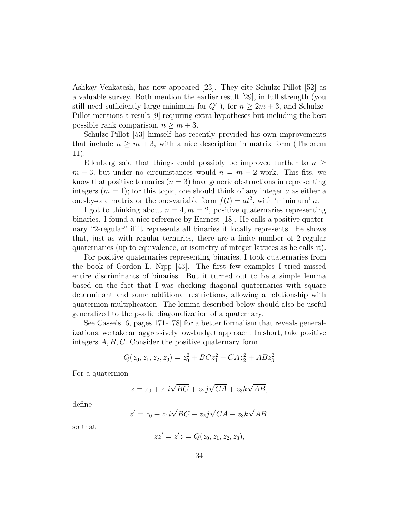Ashkay Venkatesh, has now appeared [23]. They cite Schulze-Pillot [52] as a valuable survey. Both mention the earlier result [29], in full strength (you still need sufficiently large minimum for  $Q'$ , for  $n \geq 2m + 3$ , and Schulze-Pillot mentions a result [9] requiring extra hypotheses but including the best possible rank comparison,  $n \geq m+3$ .

Schulze-Pillot [53] himself has recently provided his own improvements that include  $n \geq m+3$ , with a nice description in matrix form (Theorem 11).

Ellenberg said that things could possibly be improved further to  $n \geq$  $m + 3$ , but under no circumstances would  $n = m + 2$  work. This fits, we know that positive ternaries  $(n = 3)$  have generic obstructions in representing integers  $(m = 1)$ ; for this topic, one should think of any integer a as either a one-by-one matrix or the one-variable form  $f(t) = at^2$ , with 'minimum' a.

I got to thinking about  $n = 4, m = 2$ , positive quaternaries representing binaries. I found a nice reference by Earnest [18]. He calls a positive quaternary "2-regular" if it represents all binaries it locally represents. He shows that, just as with regular ternaries, there are a finite number of 2-regular quaternaries (up to equivalence, or isometry of integer lattices as he calls it).

For positive quaternaries representing binaries, I took quaternaries from the book of Gordon L. Nipp [43]. The first few examples I tried missed entire discriminants of binaries. But it turned out to be a simple lemma based on the fact that I was checking diagonal quaternaries with square determinant and some additional restrictions, allowing a relationship with quaternion multiplication. The lemma described below should also be useful generalized to the p-adic diagonalization of a quaternary.

See Cassels [6, pages 171-178] for a better formalism that reveals generalizations; we take an aggressively low-budget approach. In short, take positive integers A, B, C. Consider the positive quaternary form

$$
Q(z_0, z_1, z_2, z_3) = z_0^2 + BCz_1^2 + CAz_2^2 + ABz_3^2
$$

For a quaternion

$$
z = z_0 + z_1 i\sqrt{BC} + z_2 j\sqrt{CA} + z_3 k\sqrt{AB},
$$

define

$$
z' = z_0 - z_1 i \sqrt{BC} - z_2 j \sqrt{CA} - z_3 k \sqrt{AB},
$$

so that

$$
zz' = z'z = Q(z_0, z_1, z_2, z_3),
$$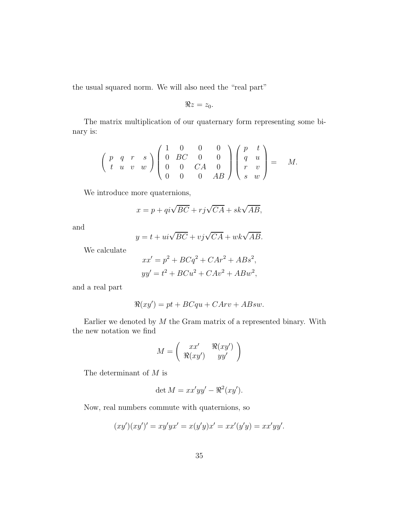the usual squared norm. We will also need the "real part"

$$
\Re z=z_0.
$$

The matrix multiplication of our quaternary form representing some binary is:

$$
\left(\begin{array}{ccc} p & q & r & s \\ t & u & v & w \end{array}\right) \left(\begin{array}{cccc} 1 & 0 & 0 & 0 \\ 0 & BC & 0 & 0 \\ 0 & 0 & CA & 0 \\ 0 & 0 & 0 & AB \end{array}\right) \left(\begin{array}{ccc} p & t \\ q & u \\ r & v \\ s & w \end{array}\right) = M.
$$

We introduce more quaternions,

$$
x = p + qi\sqrt{BC} + rj\sqrt{CA} + sk\sqrt{AB},
$$

and

$$
y = t + ui\sqrt{BC} + vj\sqrt{CA} + wk\sqrt{AB}.
$$

We calculate

$$
xx' = p2 + BCq2 + CAr2 + ABs2,
$$
  

$$
yy' = t2 + BCu2 + CAv2 + ABw2,
$$

and a real part

$$
\Re(xy') = pt + BCqu + CArv + ABsw.
$$

Earlier we denoted by  $M$  the Gram matrix of a represented binary. With the new notation we find

$$
M = \left(\begin{array}{cc} xx' & \Re(xy') \\ \Re(xy') & yy' \end{array}\right)
$$

The determinant of M is

$$
\det M = xx'yy' - \Re^2(xy').
$$

Now, real numbers commute with quaternions, so

$$
(xy')(xy')' = xy'yx' = x(y'y)x' = xx'(y'y) = xx'yy'.
$$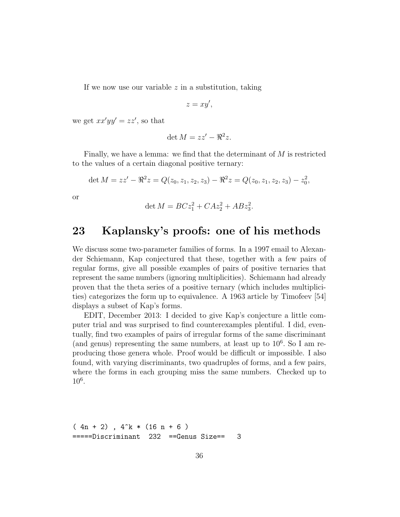If we now use our variable  $z$  in a substitution, taking

$$
z=xy',
$$

we get  $xx'yy' = zz'$ , so that

$$
\det M = zz' - \Re^2 z.
$$

Finally, we have a lemma: we find that the determinant of  $M$  is restricted to the values of a certain diagonal positive ternary:

$$
\det M = zz' - \Re^2 z = Q(z_0, z_1, z_2, z_3) - \Re^2 z = Q(z_0, z_1, z_2, z_3) - z_0^2,
$$

or

$$
\det M = BCz_1^2 + CAz_2^2 + ABz_3^2.
$$

# 23 Kaplansky's proofs: one of his methods

We discuss some two-parameter families of forms. In a 1997 email to Alexander Schiemann, Kap conjectured that these, together with a few pairs of regular forms, give all possible examples of pairs of positive ternaries that represent the same numbers (ignoring multiplicities). Schiemann had already proven that the theta series of a positive ternary (which includes multiplicities) categorizes the form up to equivalence. A 1963 article by Timofeev [54] displays a subset of Kap's forms.

EDIT, December 2013: I decided to give Kap's conjecture a little computer trial and was surprised to find counterexamples plentiful. I did, eventually, find two examples of pairs of irregular forms of the same discriminant (and genus) representing the same numbers, at least up to  $10^6$ . So I am reproducing those genera whole. Proof would be difficult or impossible. I also found, with varying discriminants, two quadruples of forms, and a few pairs, where the forms in each grouping miss the same numbers. Checked up to 10<sup>6</sup> .

```
(4n + 2), 4^k * (16 n + 6)=====Discriminant 232 ==Genus Size== 3
```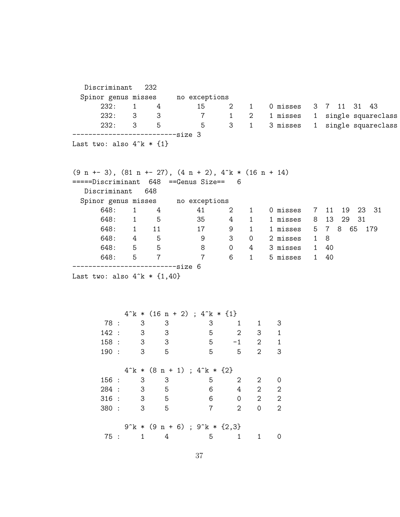| Discriminant 232                                                |                        |                            |                                                  |                            |                        |                             |                |                                   |
|-----------------------------------------------------------------|------------------------|----------------------------|--------------------------------------------------|----------------------------|------------------------|-----------------------------|----------------|-----------------------------------|
| Spinor genus misses no exceptions                               |                        |                            |                                                  |                            |                        |                             |                |                                   |
| 232:                                                            | $1 \quad \blacksquare$ | 4                          | 15                                               |                            |                        |                             |                | 2 1 0 misses 3 7 11 31 43         |
|                                                                 | 232: 3 3               |                            | $\overline{7}$                                   |                            |                        |                             |                | 1 2 1 misses 1 single squareclass |
|                                                                 | 232: 3 5               |                            | 5                                                |                            |                        | 3 1 3 misses                |                | 1 single squareclass              |
| Last two: also $4^k * \{1\}$                                    |                        | --------------------size 3 |                                                  |                            |                        |                             |                |                                   |
| $(9 n + 3)$ , $(81 n + 27)$ , $(4 n + 2)$ , $4^k * (16 n + 14)$ |                        |                            |                                                  |                            |                        |                             |                |                                   |
| =====Discriminant 648 ==Genus Size== 6                          |                        |                            |                                                  |                            |                        |                             |                |                                   |
| Discriminant                                                    |                        | 648                        |                                                  |                            |                        |                             |                |                                   |
| Spinor genus misses no exceptions                               |                        |                            |                                                  |                            |                        |                             |                |                                   |
| 648:                                                            | 1                      | $4\degree$                 | 41                                               | $\overline{2}$             | $1 \quad \blacksquare$ | 0 misses                    | $\overline{7}$ | 11 19 23 31                       |
|                                                                 | 648: 1 5               |                            | 35                                               | $4\overline{ }$            | $1 \quad \blacksquare$ | 1 misses 8                  |                | 29 31<br>13                       |
|                                                                 | 648: 1 11              |                            | 17                                               | 9                          |                        |                             |                | 1 1 misses 5 7 8 65 179           |
|                                                                 | 648: 4 5               |                            | - 9                                              | 3 <sup>7</sup>             |                        | $0$ 2 misses $1$            |                | 8                                 |
|                                                                 | 648: 5 5               |                            | 8                                                | $\overline{O}$             |                        | 4 3 misses 1 40             |                |                                   |
|                                                                 | 648: 5 7               |                            | $\overline{7}$                                   | $6 \qquad$                 |                        | 1 5 misses 1 40             |                |                                   |
| Last two: also $4^k * \{1,40\}$                                 |                        |                            |                                                  |                            |                        |                             |                |                                   |
|                                                                 |                        |                            | $4^{\circ}k * (16 n + 2)$ ; $4^{\circ}k * \{1\}$ |                            |                        |                             |                |                                   |
| 78 :                                                            |                        | $3^{\circ}$<br>3           | 3                                                | 1                          | $\mathbf{1}$           | 3                           |                |                                   |
|                                                                 | 142: 3 3               |                            | $\overline{5}$                                   | $\overline{2}$             |                        | $3^{\circ}$<br>$\mathbf{1}$ |                |                                   |
|                                                                 |                        | $158:3$ 3                  | $5 - 1$                                          |                            | $2^{\circ}$            | $\mathbf{1}$                |                |                                   |
|                                                                 | 190: 3 5               |                            | $5\overline{)}$                                  | $\overline{\phantom{0}}$ 5 | $\overline{2}$         | 3                           |                |                                   |
|                                                                 |                        |                            | $4^{\circ}k * (8 n + 1)$ ; $4^{\circ}k * \{2\}$  |                            |                        |                             |                |                                   |
| 156:                                                            | 3                      | 3                          | 5                                                | 2                          | $\overline{2}$         | $\mathbf 0$                 |                |                                   |
| 284 :                                                           | 3                      | $-5$                       | 6                                                | $\overline{4}$             | $\overline{2}$         | $\sqrt{2}$                  |                |                                   |
| 316:                                                            | 3                      | 5                          | 6                                                | $\mathbf 0$                | $\overline{2}$         | $\overline{2}$              |                |                                   |
| 380 :                                                           | 3                      | 5                          | $\overline{7}$                                   | $\overline{2}$             | $\mathsf{O}$           | $\overline{2}$              |                |                                   |
|                                                                 |                        |                            | $9^k * (9 n + 6)$ ; $9^k * (2,3)$                |                            |                        |                             |                |                                   |
|                                                                 | 75 :<br>$\mathbf{1}$   | $\overline{4}$             | 5                                                | $\mathbf{1}$               | 1                      | $\overline{0}$              |                |                                   |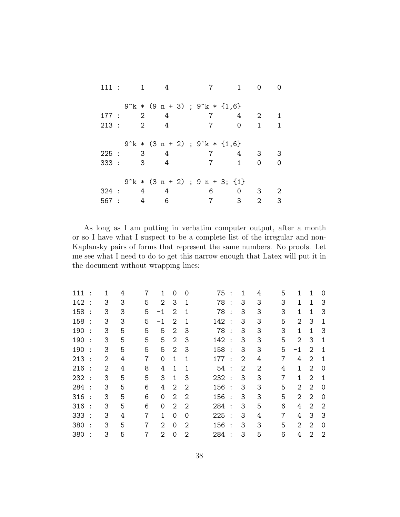|       | 111: 1         | 4                                              |                 | $1 \quad$    | $\Omega$    | ∩ |
|-------|----------------|------------------------------------------------|-----------------|--------------|-------------|---|
|       |                | $9^k * (9 n + 3)$ ; $9^k * {1, 6}$             |                 |              |             |   |
|       | 177 : 2        | $4\overline{4}$                                |                 | 4            | $2^{\circ}$ | 1 |
| 213:  | $\overline{2}$ | 4                                              | $7\overline{ }$ | $\circ$      | 1           | 1 |
|       |                |                                                |                 |              |             |   |
|       |                | $9^k * (3 n + 2)$ ; $9^k * {1, 6}$             |                 |              |             |   |
| 225:  |                | $3 \t 4$                                       | $7\phantom{.0}$ | 4            | 3           | 3 |
| 333:  | 3              | 4                                              | $\overline{7}$  | $\mathbf{1}$ | $\Omega$    | 0 |
|       |                |                                                |                 |              |             |   |
|       |                | $9^{\circ}k * (3 n + 2)$ ; $9 n + 3$ ; $\{1\}$ |                 |              |             |   |
|       |                | 324 : 4 4                                      | 6               | $\Omega$     | 3           | 2 |
| 567 : | 4              | 6                                              |                 | 3            | 2           | 3 |

As long as I am putting in verbatim computer output, after a month or so I have what I suspect to be a complete list of the irregular and non-Kaplansky pairs of forms that represent the same numbers. No proofs. Let me see what I need to do to get this narrow enough that Latex will put it in the document without wrapping lines:

| 111 |           | 1              | 4 | $\overline{7}$ | 1           | 0              | $\Omega$       | 75  |                      | 1              | 4              | 5              | 1  | 1              | $\Omega$       |
|-----|-----------|----------------|---|----------------|-------------|----------------|----------------|-----|----------------------|----------------|----------------|----------------|----|----------------|----------------|
| 142 | $\cdot$ : | 3              | 3 | 5              | 2           | 3              | 1              | 78  | $\cdot$ :            | 3              | 3              | 3              | 1  | 1              | 3              |
| 158 |           | 3              | 3 | 5              | $-1$        | $\overline{2}$ | $\mathbf{1}$   | 78  |                      | 3              | 3              | 3              | 1  | 1              | 3              |
| 158 | $\cdot$ : | 3              | 3 | 5              | $-1$        | 2              | 1              | 142 | $\cdot$ :            | 3              | 3              | 5              | 2  | 3              | 1              |
| 190 |           | 3              | 5 | 5              | 5           | 2              | 3              | 78  | $\cdot$ :            | 3              | 3              | 3              | 1  | 1              | 3              |
| 190 |           | 3              | 5 | 5              | 5           | 2              | 3              | 142 | $\cdot$ :            | 3              | 3              | 5              | 2  | 3              | 1              |
| 190 | $\cdot$   | 3              | 5 | 5              | 5           | 2              | 3              | 158 | $\cdot$ :            | 3              | 3              | 5              | -1 | $\overline{2}$ | 1              |
| 213 | $\cdot$ : | 2              | 4 | $\overline{7}$ | $\mathbf 0$ | 1              | 1              | 177 | $\cdot$ :            | 2              | 4              | $\overline{7}$ | 4  | 2              | 1              |
| 216 | $\cdot$ : | $\overline{2}$ | 4 | 8              | 4           | 1              | $\mathbf{1}$   | 54  | $\cdot$ :            | $\overline{2}$ | $\overline{2}$ | 4              | 1  | $\overline{2}$ | $\Omega$       |
| 232 | $\cdot$ : | 3              | 5 | 5              | 3           | 1              | 3              | 232 | $\cdot$ :            | 3              | 3              | 7              | 1  | $\overline{2}$ | 1              |
| 284 | $\cdot$ : | 3              | 5 | 6              | 4           | $\overline{2}$ | $\overline{2}$ | 156 | $\cdot$ :            | 3              | 3              | 5              | 2  | $\overline{2}$ | $\Omega$       |
| 316 | $\cdot$ : | 3              | 5 | 6              | 0           | 2              | $\overline{2}$ | 156 | $\cdot$ :            | 3              | 3              | 5              | 2  | $\overline{2}$ | $\Omega$       |
| 316 | $\cdot$ : | 3              | 5 | 6              | 0           | 2              | 2              | 284 | $\cdot$ :            | 3              | 5              | 6              | 4  | $\overline{2}$ | $\overline{2}$ |
| 333 | $\cdot$ : | 3              | 4 | $\overline{7}$ | 1           | 0              | 0              | 225 | $\ddot{\phantom{1}}$ | 3              | 4              | 7              | 4  | 3              | 3              |
| 380 | $\cdot$ : | 3              | 5 | 7              | 2           | 0              | 2              | 156 | $\cdot$ :            | 3              | 3              | 5              | 2  | 2              | $\Omega$       |
| 380 |           | 3              | 5 | 7              | 2           | 0              | 2              | 284 |                      | 3              | 5              | 6              | 4  | 2              | $\overline{2}$ |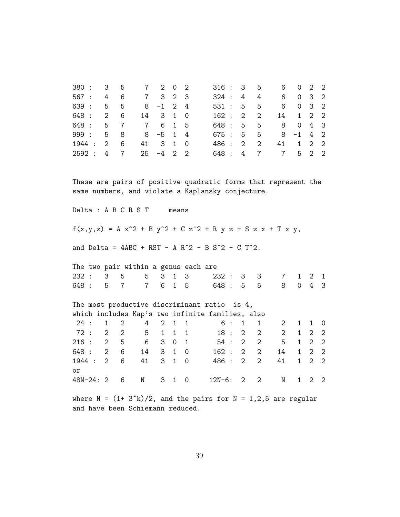| 567 :<br>3<br>3<br>3<br>$\sqrt{2}$<br>6<br>$\overline{7}$<br>$\overline{2}$<br>324:<br>4<br>4<br>4<br>6<br>0<br>$\overline{2}$<br>$\overline{2}$<br>639 :<br>5<br>$\overline{4}$<br>5<br>5<br>3<br>5<br>$-1$<br>531:<br>6<br>0<br>8<br>$\overline{2}$<br>648 :<br>$\overline{2}$<br>$\overline{2}$<br>6<br>3<br>$\mathbf{1}$<br>$\mathbf 0$<br>162:<br>$\overline{2}$<br>$\overline{2}$<br>14<br>14<br>$\mathbf 1$<br>3<br>648 :<br>5<br>5<br>5<br>$\overline{7}$<br>$\overline{7}$<br>6<br>$\mathbf{1}$<br>5<br>648 :<br>8<br>4<br>0<br>$\overline{2}$<br>999 :<br>5<br>8<br>8<br>$\overline{4}$<br>675 :<br>5<br>5<br>8<br>$-5$<br>$\mathbf{1}$<br>$-1$<br>$\overline{4}$<br>$\overline{2}$<br>6<br>3<br>$\mathbf 0$<br>$\overline{2}$<br>$\overline{2}$<br>$\mathbf{1}$<br>$\overline{2}$<br>1944 :<br>$\overline{2}$<br>41<br>$\mathbf{1}$<br>486 :<br>41<br>$\overline{2}$<br>$\overline{2}$<br>5<br>$\overline{7}$<br>$\overline{2}$<br>$\overline{7}$<br>$\overline{7}$<br>2592 :<br>25<br>$-4$<br>$\overline{2}$<br>648 :<br>$\overline{4}$<br>4<br>These are pairs of positive quadratic forms that represent the<br>same numbers, and violate a Kaplansky conjecture.<br>Delta : A B C R S T<br>means<br>$f(x,y,z) = A x^2 + B y^2 + C z^2 + R y z + S z x + T x y,$<br>and Delta = $4ABC + RST - A R^2 - B S^2 - C T^2$ .<br>The two pair within a genus each are<br>3<br>$\mathbf{1}$<br>3<br>232:<br>3<br>5<br>5<br>232:<br>3<br>3<br>$\mathbf{1}$<br>$\overline{2}$<br>$\overline{7}$<br>$\mathbf{1}$<br>$\overline{4}$<br>6<br>5<br>$\overline{0}$<br>648 :<br>5<br>$\overline{7}$<br>$\overline{7}$<br>$\mathbf{1}$<br>$-5$<br>5<br>8<br>3<br>648 :<br>The most productive discriminant ratio is 4,<br>which includes Kap's two infinite families, also<br>24:<br>$\mathbf{1}$<br>$\overline{2}$<br>$\overline{2}$<br>$\mathbf{1}$<br>$\mathbf{1}$<br>6<br>4<br>$\mathbf{1}$<br>1<br>2<br>$\mathbf{1}$<br>1<br>0<br>72:<br>$\overline{2}$<br>5<br>18:<br>$\overline{2}$<br>$\overline{2}$<br>$\overline{2}$<br>$\overline{2}$<br>$\mathbf{2}$<br>$\mathbf{1}$<br>$\mathbf{1}$<br>$\mathbf{1}$<br>$\mathbf 2$<br>1<br>$\overline{2}$<br>$\overline{2}$<br>5<br>6<br>$\overline{2}$<br>$\overline{2}$<br>5<br>$\sqrt{2}$<br>216:<br>3<br>0<br>$\mathbf{1}$<br>54:<br>$\mathbf{1}$<br>$\overline{2}$<br>$\mathbf 2$<br>648 :<br>6<br>3<br>$\mathbf{1}$<br>162:<br>$\overline{2}$<br>$\mathbf{1}$<br>$\mathbf{2}$<br>14<br>$\mathsf{O}\xspace$<br>2<br>14<br>$\overline{2}$<br>$\overline{2}$<br>6<br>41<br>3<br>$\mathbf{1}$<br>486 :<br>$\overline{2}$<br>$\overline{2}$<br>$\mathbf{1}$<br>1944 :<br>$\overline{2}$<br>$\mathsf{O}\xspace$<br>41<br>οr<br>48N-24: 2<br>$12N-6:$<br>2<br>$\mathbf{1}$<br>$\overline{2}$<br>$\mathbf{2}$<br>6<br>N<br>3<br>$\mathbf{1}$<br>0<br>2<br>N | 380 : | 3 | 5 | $\overline{7}$ | $\overline{2}$ | 0 | $\mathbf{2}$ | 316: |  | 3 | 5 | 6 | 0 | 2 | 2 |
|-----------------------------------------------------------------------------------------------------------------------------------------------------------------------------------------------------------------------------------------------------------------------------------------------------------------------------------------------------------------------------------------------------------------------------------------------------------------------------------------------------------------------------------------------------------------------------------------------------------------------------------------------------------------------------------------------------------------------------------------------------------------------------------------------------------------------------------------------------------------------------------------------------------------------------------------------------------------------------------------------------------------------------------------------------------------------------------------------------------------------------------------------------------------------------------------------------------------------------------------------------------------------------------------------------------------------------------------------------------------------------------------------------------------------------------------------------------------------------------------------------------------------------------------------------------------------------------------------------------------------------------------------------------------------------------------------------------------------------------------------------------------------------------------------------------------------------------------------------------------------------------------------------------------------------------------------------------------------------------------------------------------------------------------------------------------------------------------------------------------------------------------------------------------------------------------------------------------------------------------------------------------------------------------------------------------------------------------------------------------------------------------------------------------------------------------------------------------------------------------------------------------------------------------------------------------------------------------------------------------------------------------------------------------------------------------------------------------------------------------------------------------------------------------------------|-------|---|---|----------------|----------------|---|--------------|------|--|---|---|---|---|---|---|
|                                                                                                                                                                                                                                                                                                                                                                                                                                                                                                                                                                                                                                                                                                                                                                                                                                                                                                                                                                                                                                                                                                                                                                                                                                                                                                                                                                                                                                                                                                                                                                                                                                                                                                                                                                                                                                                                                                                                                                                                                                                                                                                                                                                                                                                                                                                                                                                                                                                                                                                                                                                                                                                                                                                                                                                                     |       |   |   |                |                |   |              |      |  |   |   |   |   |   |   |
|                                                                                                                                                                                                                                                                                                                                                                                                                                                                                                                                                                                                                                                                                                                                                                                                                                                                                                                                                                                                                                                                                                                                                                                                                                                                                                                                                                                                                                                                                                                                                                                                                                                                                                                                                                                                                                                                                                                                                                                                                                                                                                                                                                                                                                                                                                                                                                                                                                                                                                                                                                                                                                                                                                                                                                                                     |       |   |   |                |                |   |              |      |  |   |   |   |   |   |   |
|                                                                                                                                                                                                                                                                                                                                                                                                                                                                                                                                                                                                                                                                                                                                                                                                                                                                                                                                                                                                                                                                                                                                                                                                                                                                                                                                                                                                                                                                                                                                                                                                                                                                                                                                                                                                                                                                                                                                                                                                                                                                                                                                                                                                                                                                                                                                                                                                                                                                                                                                                                                                                                                                                                                                                                                                     |       |   |   |                |                |   |              |      |  |   |   |   |   |   |   |
|                                                                                                                                                                                                                                                                                                                                                                                                                                                                                                                                                                                                                                                                                                                                                                                                                                                                                                                                                                                                                                                                                                                                                                                                                                                                                                                                                                                                                                                                                                                                                                                                                                                                                                                                                                                                                                                                                                                                                                                                                                                                                                                                                                                                                                                                                                                                                                                                                                                                                                                                                                                                                                                                                                                                                                                                     |       |   |   |                |                |   |              |      |  |   |   |   |   |   |   |
|                                                                                                                                                                                                                                                                                                                                                                                                                                                                                                                                                                                                                                                                                                                                                                                                                                                                                                                                                                                                                                                                                                                                                                                                                                                                                                                                                                                                                                                                                                                                                                                                                                                                                                                                                                                                                                                                                                                                                                                                                                                                                                                                                                                                                                                                                                                                                                                                                                                                                                                                                                                                                                                                                                                                                                                                     |       |   |   |                |                |   |              |      |  |   |   |   |   |   |   |
|                                                                                                                                                                                                                                                                                                                                                                                                                                                                                                                                                                                                                                                                                                                                                                                                                                                                                                                                                                                                                                                                                                                                                                                                                                                                                                                                                                                                                                                                                                                                                                                                                                                                                                                                                                                                                                                                                                                                                                                                                                                                                                                                                                                                                                                                                                                                                                                                                                                                                                                                                                                                                                                                                                                                                                                                     |       |   |   |                |                |   |              |      |  |   |   |   |   |   |   |
|                                                                                                                                                                                                                                                                                                                                                                                                                                                                                                                                                                                                                                                                                                                                                                                                                                                                                                                                                                                                                                                                                                                                                                                                                                                                                                                                                                                                                                                                                                                                                                                                                                                                                                                                                                                                                                                                                                                                                                                                                                                                                                                                                                                                                                                                                                                                                                                                                                                                                                                                                                                                                                                                                                                                                                                                     |       |   |   |                |                |   |              |      |  |   |   |   |   |   |   |
|                                                                                                                                                                                                                                                                                                                                                                                                                                                                                                                                                                                                                                                                                                                                                                                                                                                                                                                                                                                                                                                                                                                                                                                                                                                                                                                                                                                                                                                                                                                                                                                                                                                                                                                                                                                                                                                                                                                                                                                                                                                                                                                                                                                                                                                                                                                                                                                                                                                                                                                                                                                                                                                                                                                                                                                                     |       |   |   |                |                |   |              |      |  |   |   |   |   |   |   |
|                                                                                                                                                                                                                                                                                                                                                                                                                                                                                                                                                                                                                                                                                                                                                                                                                                                                                                                                                                                                                                                                                                                                                                                                                                                                                                                                                                                                                                                                                                                                                                                                                                                                                                                                                                                                                                                                                                                                                                                                                                                                                                                                                                                                                                                                                                                                                                                                                                                                                                                                                                                                                                                                                                                                                                                                     |       |   |   |                |                |   |              |      |  |   |   |   |   |   |   |
|                                                                                                                                                                                                                                                                                                                                                                                                                                                                                                                                                                                                                                                                                                                                                                                                                                                                                                                                                                                                                                                                                                                                                                                                                                                                                                                                                                                                                                                                                                                                                                                                                                                                                                                                                                                                                                                                                                                                                                                                                                                                                                                                                                                                                                                                                                                                                                                                                                                                                                                                                                                                                                                                                                                                                                                                     |       |   |   |                |                |   |              |      |  |   |   |   |   |   |   |
|                                                                                                                                                                                                                                                                                                                                                                                                                                                                                                                                                                                                                                                                                                                                                                                                                                                                                                                                                                                                                                                                                                                                                                                                                                                                                                                                                                                                                                                                                                                                                                                                                                                                                                                                                                                                                                                                                                                                                                                                                                                                                                                                                                                                                                                                                                                                                                                                                                                                                                                                                                                                                                                                                                                                                                                                     |       |   |   |                |                |   |              |      |  |   |   |   |   |   |   |
|                                                                                                                                                                                                                                                                                                                                                                                                                                                                                                                                                                                                                                                                                                                                                                                                                                                                                                                                                                                                                                                                                                                                                                                                                                                                                                                                                                                                                                                                                                                                                                                                                                                                                                                                                                                                                                                                                                                                                                                                                                                                                                                                                                                                                                                                                                                                                                                                                                                                                                                                                                                                                                                                                                                                                                                                     |       |   |   |                |                |   |              |      |  |   |   |   |   |   |   |
|                                                                                                                                                                                                                                                                                                                                                                                                                                                                                                                                                                                                                                                                                                                                                                                                                                                                                                                                                                                                                                                                                                                                                                                                                                                                                                                                                                                                                                                                                                                                                                                                                                                                                                                                                                                                                                                                                                                                                                                                                                                                                                                                                                                                                                                                                                                                                                                                                                                                                                                                                                                                                                                                                                                                                                                                     |       |   |   |                |                |   |              |      |  |   |   |   |   |   |   |
|                                                                                                                                                                                                                                                                                                                                                                                                                                                                                                                                                                                                                                                                                                                                                                                                                                                                                                                                                                                                                                                                                                                                                                                                                                                                                                                                                                                                                                                                                                                                                                                                                                                                                                                                                                                                                                                                                                                                                                                                                                                                                                                                                                                                                                                                                                                                                                                                                                                                                                                                                                                                                                                                                                                                                                                                     |       |   |   |                |                |   |              |      |  |   |   |   |   |   |   |
|                                                                                                                                                                                                                                                                                                                                                                                                                                                                                                                                                                                                                                                                                                                                                                                                                                                                                                                                                                                                                                                                                                                                                                                                                                                                                                                                                                                                                                                                                                                                                                                                                                                                                                                                                                                                                                                                                                                                                                                                                                                                                                                                                                                                                                                                                                                                                                                                                                                                                                                                                                                                                                                                                                                                                                                                     |       |   |   |                |                |   |              |      |  |   |   |   |   |   |   |
|                                                                                                                                                                                                                                                                                                                                                                                                                                                                                                                                                                                                                                                                                                                                                                                                                                                                                                                                                                                                                                                                                                                                                                                                                                                                                                                                                                                                                                                                                                                                                                                                                                                                                                                                                                                                                                                                                                                                                                                                                                                                                                                                                                                                                                                                                                                                                                                                                                                                                                                                                                                                                                                                                                                                                                                                     |       |   |   |                |                |   |              |      |  |   |   |   |   |   |   |
|                                                                                                                                                                                                                                                                                                                                                                                                                                                                                                                                                                                                                                                                                                                                                                                                                                                                                                                                                                                                                                                                                                                                                                                                                                                                                                                                                                                                                                                                                                                                                                                                                                                                                                                                                                                                                                                                                                                                                                                                                                                                                                                                                                                                                                                                                                                                                                                                                                                                                                                                                                                                                                                                                                                                                                                                     |       |   |   |                |                |   |              |      |  |   |   |   |   |   |   |
|                                                                                                                                                                                                                                                                                                                                                                                                                                                                                                                                                                                                                                                                                                                                                                                                                                                                                                                                                                                                                                                                                                                                                                                                                                                                                                                                                                                                                                                                                                                                                                                                                                                                                                                                                                                                                                                                                                                                                                                                                                                                                                                                                                                                                                                                                                                                                                                                                                                                                                                                                                                                                                                                                                                                                                                                     |       |   |   |                |                |   |              |      |  |   |   |   |   |   |   |
|                                                                                                                                                                                                                                                                                                                                                                                                                                                                                                                                                                                                                                                                                                                                                                                                                                                                                                                                                                                                                                                                                                                                                                                                                                                                                                                                                                                                                                                                                                                                                                                                                                                                                                                                                                                                                                                                                                                                                                                                                                                                                                                                                                                                                                                                                                                                                                                                                                                                                                                                                                                                                                                                                                                                                                                                     |       |   |   |                |                |   |              |      |  |   |   |   |   |   |   |
|                                                                                                                                                                                                                                                                                                                                                                                                                                                                                                                                                                                                                                                                                                                                                                                                                                                                                                                                                                                                                                                                                                                                                                                                                                                                                                                                                                                                                                                                                                                                                                                                                                                                                                                                                                                                                                                                                                                                                                                                                                                                                                                                                                                                                                                                                                                                                                                                                                                                                                                                                                                                                                                                                                                                                                                                     |       |   |   |                |                |   |              |      |  |   |   |   |   |   |   |
|                                                                                                                                                                                                                                                                                                                                                                                                                                                                                                                                                                                                                                                                                                                                                                                                                                                                                                                                                                                                                                                                                                                                                                                                                                                                                                                                                                                                                                                                                                                                                                                                                                                                                                                                                                                                                                                                                                                                                                                                                                                                                                                                                                                                                                                                                                                                                                                                                                                                                                                                                                                                                                                                                                                                                                                                     |       |   |   |                |                |   |              |      |  |   |   |   |   |   |   |
|                                                                                                                                                                                                                                                                                                                                                                                                                                                                                                                                                                                                                                                                                                                                                                                                                                                                                                                                                                                                                                                                                                                                                                                                                                                                                                                                                                                                                                                                                                                                                                                                                                                                                                                                                                                                                                                                                                                                                                                                                                                                                                                                                                                                                                                                                                                                                                                                                                                                                                                                                                                                                                                                                                                                                                                                     |       |   |   |                |                |   |              |      |  |   |   |   |   |   |   |
|                                                                                                                                                                                                                                                                                                                                                                                                                                                                                                                                                                                                                                                                                                                                                                                                                                                                                                                                                                                                                                                                                                                                                                                                                                                                                                                                                                                                                                                                                                                                                                                                                                                                                                                                                                                                                                                                                                                                                                                                                                                                                                                                                                                                                                                                                                                                                                                                                                                                                                                                                                                                                                                                                                                                                                                                     |       |   |   |                |                |   |              |      |  |   |   |   |   |   |   |
|                                                                                                                                                                                                                                                                                                                                                                                                                                                                                                                                                                                                                                                                                                                                                                                                                                                                                                                                                                                                                                                                                                                                                                                                                                                                                                                                                                                                                                                                                                                                                                                                                                                                                                                                                                                                                                                                                                                                                                                                                                                                                                                                                                                                                                                                                                                                                                                                                                                                                                                                                                                                                                                                                                                                                                                                     |       |   |   |                |                |   |              |      |  |   |   |   |   |   |   |

where  $N = (1 + 3<sup>2</sup>k)/2$ , and the pairs for  $N = 1,2,5$  are regular and have been Schiemann reduced.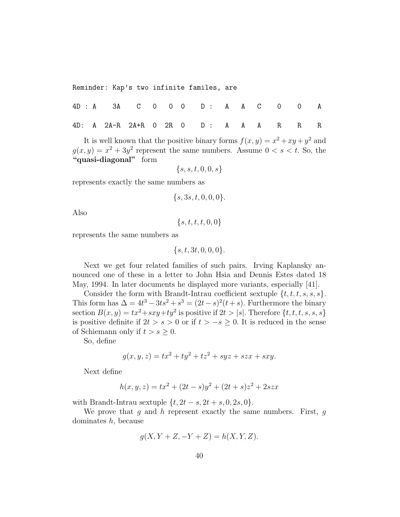Reminder: Kap's two infinite familes, are

|  | 4D : A 3A  C  O  O  O  D  :  A  A  C  O  O  A |  |  |  |  |  |  |
|--|-----------------------------------------------|--|--|--|--|--|--|
|  | 4D: A 2A-R 2A+R 0 2R 0 D : A A A R R R        |  |  |  |  |  |  |

It is well known that the positive binary forms  $f(x, y) = x^2 + xy + y^2$  and  $g(x, y) = x^2 + 3y^2$  represent the same numbers. Assume  $0 < s < t$ . So, the "quasi-diagonal" form

$$
\{s,s,t,0,0,s\}
$$

represents exactly the same numbers as

$$
\{s, 3s, t, 0, 0, 0\}.
$$

Also

 $\{s, t, t, t, 0, 0\}$ 

represents the same numbers as

 $\{s, t, 3t, 0, 0, 0\}.$ 

Next we get four related families of such pairs. Irving Kaplansky announced one of these in a letter to John Hsia and Dennis Estes dated 18 May, 1994. In later documents he displayed more variants, especially [41].

Consider the form with Brandt-Intrau coefficient sextuple  $\{t, t, t, s, s, s\}$ . This form has  $\Delta = 4t^3 - 3ts^2 + s^3 = (2t - s)^2(t + s)$ . Furthermore the binary section  $B(x, y) = tx^2 + sxy + ty^2$  is positive if  $2t > |s|$ . Therefore  $\{t, t, t, s, s, s\}$ is positive definite if  $2t > s > 0$  or if  $t > -s \geq 0$ . It is reduced in the sense of Schiemann only if  $t > s \geq 0$ .

So, define

$$
g(x, y, z) = tx^2 + ty^2 + tz^2 + syz + szx + sxy.
$$

Next define

$$
h(x, y, z) = tx^{2} + (2t - s)y^{2} + (2t + s)z^{2} + 2szx
$$

with Brandt-Intrau sextuple  $\{t, 2t - s, 2t + s, 0, 2s, 0\}.$ 

We prove that  $g$  and  $h$  represent exactly the same numbers. First,  $g$ dominates  $h$ , because

$$
g(X, Y + Z, -Y + Z) = h(X, Y, Z).
$$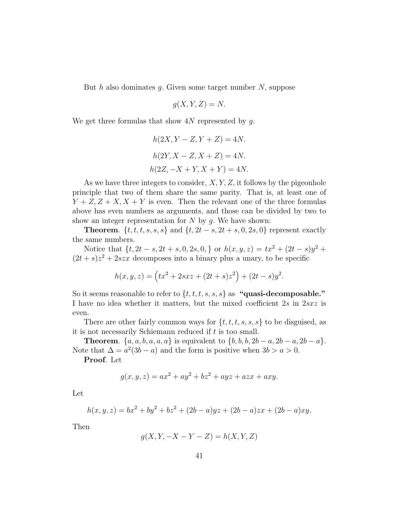But h also dominates g. Given some target number  $N$ , suppose

$$
g(X, Y, Z) = N.
$$

We get three formulas that show  $4N$  represented by g.

$$
h(2X, Y - Z, Y + Z) = 4N.
$$
  
\n
$$
h(2Y, X - Z, X + Z) = 4N.
$$
  
\n
$$
h(2Z, -X + Y, X + Y) = 4N.
$$

As we have three integers to consider,  $X, Y, Z$ , it follows by the pigeonhole principle that two of them share the same parity. That is, at least one of  $Y + Z, Z + X, X + Y$  is even. Then the relevant one of the three formulas above has even numbers as arguments, and those can be divided by two to show an integer representation for  $N$  by  $g$ . We have shown:

**Theorem.**  $\{t, t, t, s, s, s\}$  and  $\{t, 2t - s, 2t + s, 0, 2s, 0\}$  represent exactly the same numbers.

Notice that  $\{t, 2t - s, 2t + s, 0, 2s, 0, \}$  or  $h(x, y, z) = tx^2 + (2t - s)y^2 +$  $(2t + s)z<sup>2</sup> + 2szx$  decomposes into a binary plus a unary, to be specific

$$
h(x, y, z) = (tx^{2} + 2sxz + (2t + s)z^{2}) + (2t - s)y^{2}.
$$

So it seems reasonable to refer to  $\{t, t, t, s, s, s\}$  as "quasi-decomposable." I have no idea whether it matters, but the mixed coefficient 2s in 2sxz is even.

There are other fairly common ways for  $\{t, t, t, s, s, s\}$  to be disguised, as it is not necessarily Schiemann reduced if  $t$  is too small.

**Theorem.**  $\{a, a, b, a, a, a\}$  is equivalent to  $\{b, b, b, 2b - a, 2b - a, 2b - a\}.$ Note that  $\Delta = a^2(3b - a)$  and the form is positive when  $3b > a > 0$ .

Proof. Let

$$
g(x, y, z) = ax2 + ay2 + bz2 + ayz + azx + axy.
$$

Let

$$
h(x, y, z) = bx^{2} + by^{2} + bz^{2} + (2b - a)yz + (2b - a)zx + (2b - a)xy.
$$

Then

$$
g(X, Y, -X - Y - Z) = h(X, Y, Z)
$$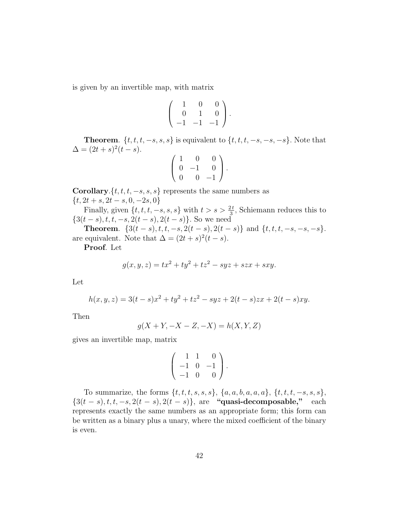is given by an invertible map, with matrix

$$
\left(\begin{array}{rrr} 1 & 0 & 0 \\ 0 & 1 & 0 \\ -1 & -1 & -1 \end{array}\right).
$$

**Theorem.**  $\{t, t, t, -s, s, s\}$  is equivalent to  $\{t, t, t, -s, -s, -s\}$ . Note that  $\Delta = (2t + s)^2 (t - s).$ 

$$
\left(\begin{array}{rrr} 1 & 0 & 0 \\ 0 & -1 & 0 \\ 0 & 0 & -1 \end{array}\right).
$$

**Corollary.** $\{t, t, t, -s, s, s\}$  represents the same numbers as  $\{t, 2t + s, 2t - s, 0, -2s, 0\}$ 

Finally, given  $\{t, t, t, -s, s, s\}$  with  $t > s > \frac{2t}{3}$ , Schiemann reduces this to  $\{3(t-s), t, t, -s, 2(t-s), 2(t-s)\}.$  So we need

Theorem.  $\{3(t-s), t, t, -s, 2(t-s), 2(t-s)\}\$  and  $\{t, t, t, -s, -s, -s\}.$ are equivalent. Note that  $\Delta = (2t + s)^2(t - s)$ .

Proof. Let

$$
g(x, y, z) = tx^2 + ty^2 + tz^2 - syz + szx + sxy.
$$

Let

$$
h(x, y, z) = 3(t - s)x^{2} + ty^{2} + tz^{2} - syz + 2(t - s)zx + 2(t - s)xy.
$$

Then

$$
g(X + Y, -X - Z, -X) = h(X, Y, Z)
$$

gives an invertible map, matrix

$$
\left(\begin{array}{rrr} 1 & 1 & 0 \\ -1 & 0 & -1 \\ -1 & 0 & 0 \end{array}\right).
$$

To summarize, the forms  $\{t, t, t, s, s, s\}, \{a, a, b, a, a, a\}, \{t, t, t, -s, s, s\},\$  $\{3(t-s), t, t, -s, 2(t-s), 2(t-s)\}\$ , are "quasi-decomposable," each represents exactly the same numbers as an appropriate form; this form can be written as a binary plus a unary, where the mixed coefficient of the binary is even.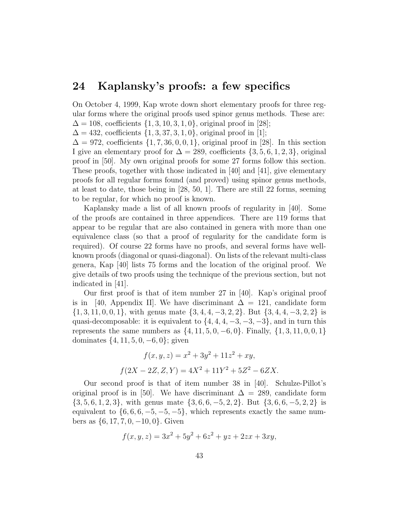#### 24 Kaplansky's proofs: a few specifics

On October 4, 1999, Kap wrote down short elementary proofs for three regular forms where the original proofs used spinor genus methods. These are:  $\Delta = 108$ , coefficients  $\{1, 3, 10, 3, 1, 0\}$ , original proof in [28];

 $\Delta = 432$ , coefficients  $\{1, 3, 37, 3, 1, 0\}$ , original proof in [1];

 $\Delta = 972$ , coefficients  $\{1, 7, 36, 0, 0, 1\}$ , original proof in [28]. In this section I give an elementary proof for  $\Delta = 289$ , coefficients  $\{3, 5, 6, 1, 2, 3\}$ , original proof in [50]. My own original proofs for some 27 forms follow this section. These proofs, together with those indicated in  $[40]$  and  $[41]$ , give elementary proofs for all regular forms found (and proved) using spinor genus methods, at least to date, those being in [28, 50, 1]. There are still 22 forms, seeming to be regular, for which no proof is known.

Kaplansky made a list of all known proofs of regularity in [40]. Some of the proofs are contained in three appendices. There are 119 forms that appear to be regular that are also contained in genera with more than one equivalence class (so that a proof of regularity for the candidate form is required). Of course 22 forms have no proofs, and several forms have wellknown proofs (diagonal or quasi-diagonal). On lists of the relevant multi-class genera, Kap [40] lists 75 forms and the location of the original proof. We give details of two proofs using the technique of the previous section, but not indicated in [41].

Our first proof is that of item number 27 in [40]. Kap's original proof is in [40, Appendix II]. We have discriminant  $\Delta = 121$ , candidate form {1, 3, 11, 0, 0, 1}, with genus mate {3, 4, 4, −3, 2, 2}. But {3, 4, 4, −3, 2, 2} is quasi-decomposable: it is equivalent to  $\{4, 4, 4, -3, -3, -3\}$ , and in turn this represents the same numbers as  $\{4, 11, 5, 0, -6, 0\}$ . Finally,  $\{1, 3, 11, 0, 0, 1\}$ dominates  $\{4, 11, 5, 0, -6, 0\}$ ; given

$$
f(x, y, z) = x2 + 3y2 + 11z2 + xy,
$$
  

$$
f(2X - 2Z, Z, Y) = 4X2 + 11Y2 + 5Z2 - 6ZX.
$$

Our second proof is that of item number 38 in [40]. Schulze-Pillot's original proof is in [50]. We have discriminant  $\Delta = 289$ , candidate form {3, 5, 6, 1, 2, 3}, with genus mate {3, 6, 6, −5, 2, 2}. But {3, 6, 6, −5, 2, 2} is equivalent to  $\{6, 6, 6, -5, -5, -5\}$ , which represents exactly the same numbers as  $\{6, 17, 7, 0, -10, 0\}$ . Given

$$
f(x, y, z) = 3x^2 + 5y^2 + 6z^2 + yz + 2zx + 3xy,
$$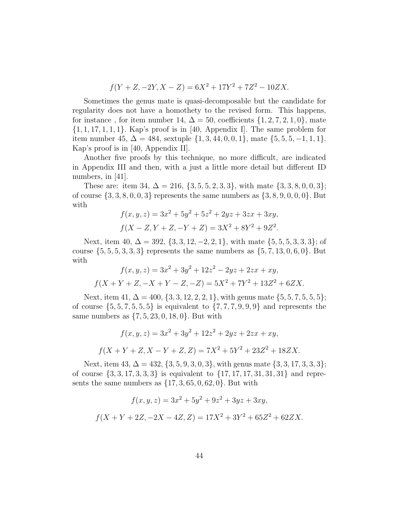$$
f(Y+Z, -2Y, X-Z) = 6X^2 + 17Y^2 + 7Z^2 - 10ZX.
$$

Sometimes the genus mate is quasi-decomposable but the candidate for regularity does not have a homothety to the revised form. This happens, for instance, for item number 14,  $\Delta = 50$ , coefficients  $\{1, 2, 7, 2, 1, 0\}$ , mate  $\{1, 1, 17, 1, 1, 1\}$ . Kap's proof is in [40, Appendix I]. The same problem for item number 45,  $\Delta = 484$ , sextuple  $\{1, 3, 44, 0, 0, 1\}$ , mate  $\{5, 5, 5, -1, 1, 1\}$ . Kap's proof is in [40, Appendix II].

Another five proofs by this technique, no more difficult, are indicated in Appendix III and then, with a just a little more detail but different ID numbers, in [41].

These are: item 34,  $\Delta = 216$ ,  $\{3, 5, 5, 2, 3, 3\}$ , with mate  $\{3, 3, 8, 0, 0, 3\}$ ; of course  $\{3, 3, 8, 0, 0, 3\}$  represents the same numbers as  $\{3, 8, 9, 0, 0, 0\}$ . But with

$$
f(x, y, z) = 3x^{2} + 5y^{2} + 5z^{2} + 2yz + 3zx + 3xy,
$$
  

$$
f(X - Z, Y + Z, -Y + Z) = 3X^{2} + 8Y^{2} + 9Z^{2}.
$$

Next, item 40,  $\Delta = 392, \{3, 3, 12, -2, 2, 1\}$ , with mate  $\{5, 5, 5, 3, 3, 3\}$ ; of course  $\{5, 5, 5, 3, 3, 3\}$  represents the same numbers as  $\{5, 7, 13, 0, 6, 0\}$ . But with

$$
f(x, y, z) = 3x^{2} + 3y^{2} + 12z^{2} - 2yz + 2zx + xy,
$$
  

$$
f(X + Y + Z, -X + Y - Z, -Z) = 5X^{2} + 7Y^{2} + 13Z^{2} + 6ZX.
$$

Next, item 41,  $\Delta = 400$ ,  $\{3, 3, 12, 2, 2, 1\}$ , with genus mate  $\{5, 5, 7, 5, 5, 5\}$ ; of course  $\{5, 5, 7, 5, 5, 5\}$  is equivalent to  $\{7, 7, 7, 9, 9, 9\}$  and represents the same numbers as  $\{7, 5, 23, 0, 18, 0\}$ . But with

$$
f(x, y, z) = 3x^{2} + 3y^{2} + 12z^{2} + 2yz + 2zx + xy,
$$
  

$$
f(X + Y + Z, X - Y + Z, Z) = 7X^{2} + 5Y^{2} + 23Z^{2} + 18ZX.
$$

Next, item 43,  $\Delta = 432$ ,  $\{3, 5, 9, 3, 0, 3\}$ , with genus mate  $\{3, 3, 17, 3, 3, 3\}$ ; of course  $\{3, 3, 17, 3, 3, 3\}$  is equivalent to  $\{17, 17, 17, 31, 31, 31\}$  and represents the same numbers as  $\{17, 3, 65, 0, 62, 0\}$ . But with

$$
f(x, y, z) = 3x^{2} + 5y^{2} + 9z^{2} + 3yz + 3xy,
$$
  

$$
f(X + Y + 2Z, -2X - 4Z, Z) = 17X^{2} + 3Y^{2} + 65Z^{2} + 62ZX.
$$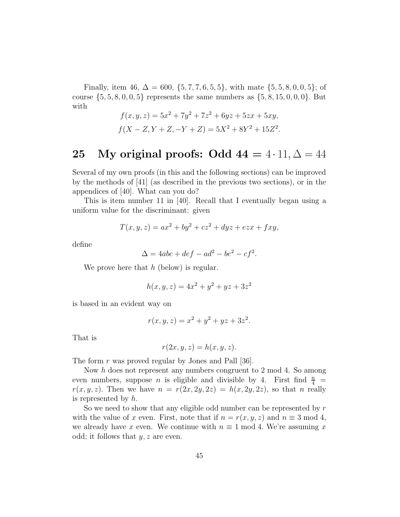Finally, item 46,  $\Delta = 600, \{5, 7, 7, 6, 5, 5\}$ , with mate  $\{5, 5, 8, 0, 0, 5\}$ ; of course  $\{5, 5, 8, 0, 0, 5\}$  represents the same numbers as  $\{5, 8, 15, 0, 0, 0\}$ . But with

$$
f(x, y, z) = 5x^{2} + 7y^{2} + 7z^{2} + 6yz + 5zx + 5xy,
$$
  

$$
f(X - Z, Y + Z, -Y + Z) = 5X^{2} + 8Y^{2} + 15Z^{2}.
$$

#### 25 My original proofs: Odd  $44 = 4 \cdot 11$ ,  $\Delta = 44$

Several of my own proofs (in this and the following sections) can be improved by the methods of [41] (as described in the previous two sections), or in the appendices of [40]. What can you do?

This is item number 11 in [40]. Recall that I eventually began using a uniform value for the discriminant: given

$$
T(x, y, z) = ax2 + by2 + cz2 + dyz + ezx + fxy,
$$

define

$$
\Delta = 4abc + def - ad^2 - be^2 - cf^2.
$$

We prove here that  $h$  (below) is regular.

$$
h(x, y, z) = 4x^2 + y^2 + yz + 3z^2
$$

is based in an evident way on

$$
r(x, y, z) = x^2 + y^2 + yz + 3z^2.
$$

That is

$$
r(2x, y, z) = h(x, y, z).
$$

The form r was proved regular by Jones and Pall [36].

Now h does not represent any numbers congruent to 2 mod 4. So among even numbers, suppose *n* is eligible and divisible by 4. First find  $\frac{n}{4}$  =  $r(x, y, z)$ . Then we have  $n = r(2x, 2y, 2z) = h(x, 2y, 2z)$ , so that n really is represented by h.

So we need to show that any eligible odd number can be represented by  $r$ with the value of x even. First, note that if  $n = r(x, y, z)$  and  $n \equiv 3 \mod 4$ , we already have x even. We continue with  $n \equiv 1 \mod 4$ . We're assuming x odd; it follows that  $y, z$  are even.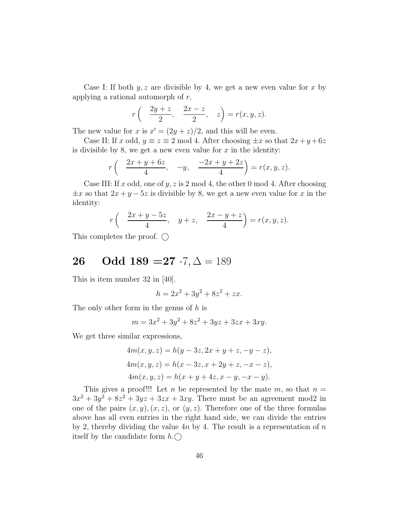Case I: If both  $y, z$  are divisible by 4, we get a new even value for x by applying a rational automorph of  $r$ ,

$$
r\left(\frac{2y+z}{2}, \frac{2x-z}{2}, z\right) = r(x, y, z).
$$

The new value for x is  $x' = (2y + z)/2$ , and this will be even.

Case II: If x odd,  $y \equiv z \equiv 2 \mod 4$ . After choosing  $\pm x$  so that  $2x + y + 6z$ is divisible by 8, we get a new even value for  $x$  in the identity:

$$
r\left(\frac{2x+y+6z}{4}, -y, \frac{-2x+y+2z}{4}\right) = r(x, y, z).
$$

Case III: If x odd, one of y, z is 2 mod 4, the other 0 mod 4. After choosing  $\pm x$  so that  $2x + y - 5z$  is divisible by 8, we get a new even value for x in the identity:

$$
r\left(\frac{2x+y-5z}{4}, y+z, \frac{2x-y+z}{4}\right) = r(x,y,z).
$$

This completes the proof.  $\bigcirc$ 

## 26 Odd 189 = 27  $\cdot 7, \Delta = 189$

This is item number 32 in [40].

$$
h = 2x^2 + 3y^2 + 8z^2 + zx.
$$

The only other form in the genus of h is

$$
m = 3x^2 + 3y^2 + 8z^2 + 3yz + 3zx + 3xy.
$$

We get three similar expressions,

$$
4m(x, y, z) = h(y - 3z, 2x + y + z, -y - z),
$$
  
\n
$$
4m(x, y, z) = h(x - 3z, x + 2y + z, -x - z),
$$
  
\n
$$
4m(x, y, z) = h(x + y + 4z, x - y, -x - y).
$$

This gives a proof!!! Let n be represented by the mate  $m$ , so that  $n =$  $3x^2 + 3y^2 + 8z^2 + 3yz + 3zx + 3xy$ . There must be an agreement mod2 in one of the pairs  $(x, y), (x, z)$ , or  $(y, z)$ . Therefore one of the three formulas above has all even entries in the right hand side, we can divide the entries by 2, thereby dividing the value  $4n$  by 4. The result is a representation of n itself by the candidate form  $h.\bigcirc$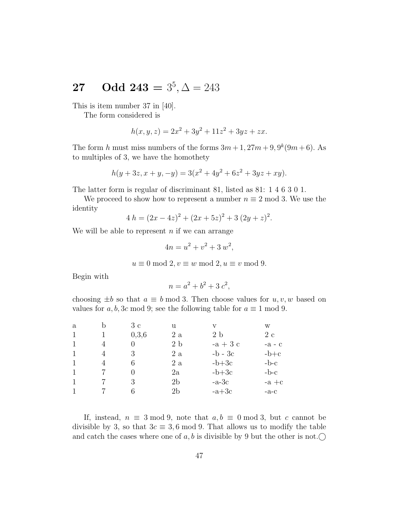# **27** Odd  $243 = 3^5, \Delta = 243$

This is item number 37 in [40].

The form considered is

$$
h(x, y, z) = 2x^2 + 3y^2 + 11z^2 + 3yz + zx.
$$

The form h must miss numbers of the forms  $3m+1$ ,  $27m+9$ ,  $9<sup>k</sup>(9m+6)$ . As to multiples of 3, we have the homothety

$$
h(y + 3z, x + y, -y) = 3(x^2 + 4y^2 + 6z^2 + 3yz + xy).
$$

The latter form is regular of discriminant 81, listed as 81: 1 4 6 3 0 1.

We proceed to show how to represent a number  $n \equiv 2 \mod 3$ . We use the identity

$$
4 h = (2x - 4z)^2 + (2x + 5z)^2 + 3 (2y + z)^2.
$$

We will be able to represent  $n$  if we can arrange

$$
4n = u^2 + v^2 + 3 w^2,
$$

$$
u \equiv 0 \mod 2, v \equiv w \mod 2, u \equiv v \mod 9.
$$

Begin with

$$
n = a^2 + b^2 + 3c^2,
$$

choosing  $\pm b$  so that  $a \equiv b \mod 3$ . Then choose values for  $u, v, w$  based on values for a, b, 3c mod 9; see the following table for  $a \equiv 1 \mod 9$ .

| a | b | 3c    | u             | V              | W        |
|---|---|-------|---------------|----------------|----------|
|   |   | 0,3,6 | 2 a           | 2 <sub>b</sub> | 2 с      |
|   |   |       | $2\;{\rm b}$  | $-a+3c$        | $-a - c$ |
|   |   | 3     | 2 a           | $-b - 3c$      | $-b+c$   |
|   | 4 | 6     | 2 a           | $-b+3c$        | $-b-c$   |
|   |   |       | $2\mathrm{a}$ | $-b+3c$        | $-b-c$   |
|   |   | 3     | 2b            | $-a-3c$        | $-a + c$ |
|   |   |       | 2b            | $-a+3c$        | $-a-c$   |
|   |   |       |               |                |          |

If, instead,  $n \equiv 3 \mod 9$ , note that  $a, b \equiv 0 \mod 3$ , but c cannot be divisible by 3, so that  $3c \equiv 3, 6 \mod 9$ . That allows us to modify the table and catch the cases where one of a, b is divisible by 9 but the other is not.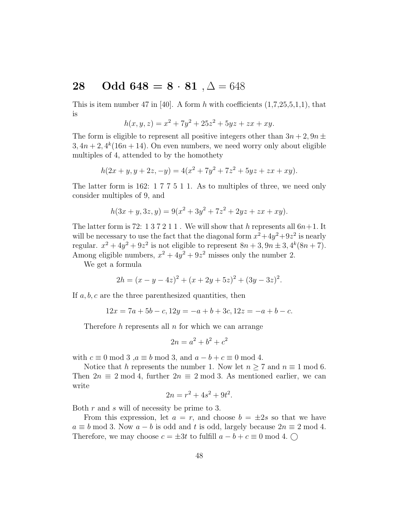### 28 Odd 648 =  $8 \cdot 81$ ,  $\Delta = 648$

This is item number 47 in [40]. A form h with coefficients  $(1,7,25,5,1,1)$ , that is

$$
h(x, y, z) = x^2 + 7y^2 + 25z^2 + 5yz + zx + xy.
$$

The form is eligible to represent all positive integers other than  $3n + 2$ ,  $9n \pm$  $3, 4n+2, 4^k(16n+14)$ . On even numbers, we need worry only about eligible multiples of 4, attended to by the homothety

$$
h(2x + y, y + 2z, -y) = 4(x^{2} + 7y^{2} + 7z^{2} + 5yz + zx + xy).
$$

The latter form is 162: 1 7 7 5 1 1. As to multiples of three, we need only consider multiples of 9, and

$$
h(3x + y, 3z, y) = 9(x2 + 3y2 + 7z2 + 2yz + zx + xy).
$$

The latter form is 72: 1 3 7 2 1 1. We will show that h represents all  $6n+1$ . It will be necessary to use the fact that the diagonal form  $x^2+4y^2+9z^2$  is nearly regular.  $x^2 + 4y^2 + 9z^2$  is not eligible to represent  $8n + 3, 9n \pm 3, 4^k(8n + 7)$ . Among eligible numbers,  $x^2 + 4y^2 + 9z^2$  misses only the number 2.

We get a formula

$$
2h = (x - y - 4z)^{2} + (x + 2y + 5z)^{2} + (3y - 3z)^{2}.
$$

If  $a, b, c$  are the three parenthesized quantities, then

$$
12x = 7a + 5b - c, 12y = -a + b + 3c, 12z = -a + b - c.
$$

Therefore  $h$  represents all  $n$  for which we can arrange

$$
2n = a^2 + b^2 + c^2
$$

with  $c \equiv 0 \mod 3$ ,  $a \equiv b \mod 3$ , and  $a - b + c \equiv 0 \mod 4$ .

Notice that h represents the number 1. Now let  $n \geq 7$  and  $n \equiv 1 \mod 6$ . Then  $2n \equiv 2 \mod 4$ , further  $2n \equiv 2 \mod 3$ . As mentioned earlier, we can write

$$
2n = r^2 + 4s^2 + 9t^2.
$$

Both r and s will of necessity be prime to 3.

From this expression, let  $a = r$ , and choose  $b = \pm 2s$  so that we have  $a \equiv b \mod 3$ . Now  $a - b$  is odd and t is odd, largely because  $2n \equiv 2 \mod 4$ . Therefore, we may choose  $c = \pm 3t$  to fulfill  $a - b + c \equiv 0 \mod 4$ .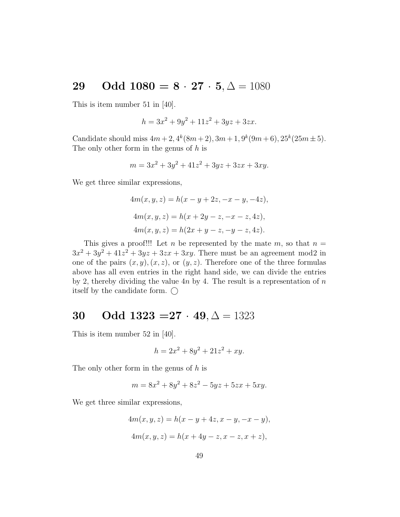### 29 Odd  $1080 = 8 \cdot 27 \cdot 5, \Delta = 1080$

This is item number 51 in [40].

$$
h = 3x^2 + 9y^2 + 11z^2 + 3yz + 3zx.
$$

Candidate should miss  $4m + 2$ ,  $4^k(8m + 2)$ ,  $3m + 1$ ,  $9^k(9m + 6)$ ,  $25^k(25m \pm 5)$ . The only other form in the genus of  $h$  is

$$
m = 3x^2 + 3y^2 + 41z^2 + 3yz + 3zx + 3xy.
$$

We get three similar expressions,

$$
4m(x, y, z) = h(x - y + 2z, -x - y, -4z),
$$
  
\n
$$
4m(x, y, z) = h(x + 2y - z, -x - z, 4z),
$$
  
\n
$$
4m(x, y, z) = h(2x + y - z, -y - z, 4z).
$$

This gives a proof!!! Let n be represented by the mate  $m$ , so that  $n =$  $3x^2 + 3y^2 + 41z^2 + 3yz + 3zx + 3xy$ . There must be an agreement mod2 in one of the pairs  $(x, y), (x, z)$ , or  $(y, z)$ . Therefore one of the three formulas above has all even entries in the right hand side, we can divide the entries by 2, thereby dividing the value  $4n$  by 4. The result is a representation of n itself by the candidate form.  $\bigcap$ 

### 30 Odd  $1323 = 27 \cdot 49, \Delta = 1323$

This is item number 52 in [40].

$$
h = 2x^2 + 8y^2 + 21z^2 + xy.
$$

The only other form in the genus of h is

$$
m = 8x^2 + 8y^2 + 8z^2 - 5yz + 5zx + 5xy.
$$

We get three similar expressions,

$$
4m(x, y, z) = h(x - y + 4z, x - y, -x - y),
$$
  

$$
4m(x, y, z) = h(x + 4y - z, x - z, x + z),
$$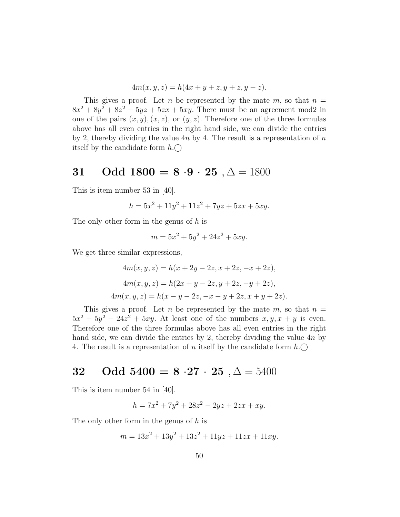$$
4m(x, y, z) = h(4x + y + z, y + z, y - z).
$$

This gives a proof. Let n be represented by the mate  $m$ , so that  $n =$  $8x^2 + 8y^2 + 8z^2 - 5yz + 5zx + 5xy$ . There must be an agreement mod2 in one of the pairs  $(x, y), (x, z)$ , or  $(y, z)$ . Therefore one of the three formulas above has all even entries in the right hand side, we can divide the entries by 2, thereby dividing the value  $4n$  by 4. The result is a representation of n itself by the candidate form  $h.\bigcap$ 

### 31 Odd  $1800 = 8 \cdot 9 \cdot 25 , \Delta = 1800$

This is item number 53 in [40].

$$
h = 5x^2 + 11y^2 + 11z^2 + 7yz + 5zx + 5xy.
$$

The only other form in the genus of h is

$$
m = 5x^2 + 5y^2 + 24z^2 + 5xy.
$$

We get three similar expressions,

$$
4m(x, y, z) = h(x + 2y - 2z, x + 2z, -x + 2z),
$$
  
\n
$$
4m(x, y, z) = h(2x + y - 2z, y + 2z, -y + 2z),
$$
  
\n
$$
4m(x, y, z) = h(x - y - 2z, -x - y + 2z, x + y + 2z).
$$

This gives a proof. Let n be represented by the mate  $m$ , so that  $n =$  $5x^2 + 5y^2 + 24z^2 + 5xy$ . At least one of the numbers  $x, y, x + y$  is even. Therefore one of the three formulas above has all even entries in the right hand side, we can divide the entries by 2, thereby dividing the value 4n by 4. The result is a representation of *n* itself by the candidate form  $h.\bigcirc$ 

### 32 Odd  $5400 = 8 \cdot 27 \cdot 25$ ,  $\Delta = 5400$

This is item number 54 in [40].

$$
h = 7x^2 + 7y^2 + 28z^2 - 2yz + 2zx + xy.
$$

The only other form in the genus of h is

$$
m = 13x^2 + 13y^2 + 13z^2 + 11yz + 11zx + 11xy.
$$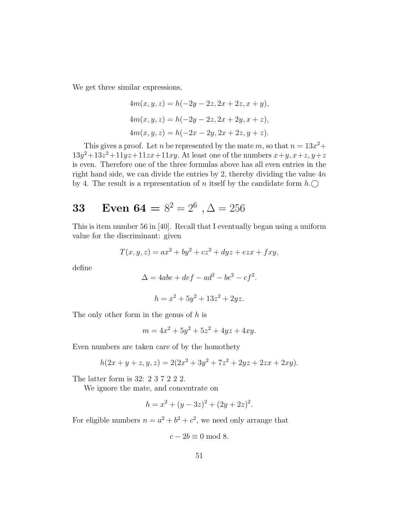We get three similar expressions,

$$
4m(x, y, z) = h(-2y - 2z, 2x + 2z, x + y),
$$
  
\n
$$
4m(x, y, z) = h(-2y - 2z, 2x + 2y, x + z),
$$
  
\n
$$
4m(x, y, z) = h(-2x - 2y, 2x + 2z, y + z).
$$

This gives a proof. Let *n* be represented by the mate *m*, so that  $n = 13x^2 +$  $13y^2+13z^2+11yz+11zx+11xy$ . At least one of the numbers  $x+y$ ,  $x+z$ ,  $y+z$ is even. Therefore one of the three formulas above has all even entries in the right hand side, we can divide the entries by 2, thereby dividing the value  $4n$ by 4. The result is a representation of n itself by the candidate form  $h.\bigcirc$ 

# **33** Even  $64 = 8^2 = 2^6$ ,  $\Delta = 256$

This is item number 56 in [40]. Recall that I eventually began using a uniform value for the discriminant: given

$$
T(x, y, z) = ax^2 + by^2 + cz^2 + dyz + ezx + fxy,
$$

define

$$
\Delta = 4abc + def - ad^2 - be^2 - cf^2.
$$

$$
h = x^2 + 5y^2 + 13z^2 + 2yz.
$$

The only other form in the genus of h is

$$
m = 4x^2 + 5y^2 + 5z^2 + 4yz + 4xy.
$$

Even numbers are taken care of by the homothety

$$
h(2x + y + z, y, z) = 2(2x^{2} + 3y^{2} + 7z^{2} + 2yz + 2zx + 2xy).
$$

The latter form is 32: 2 3 7 2 2 2.

We ignore the mate, and concentrate on

$$
h = x^2 + (y - 3z)^2 + (2y + 2z)^2.
$$

For eligible numbers  $n = a^2 + b^2 + c^2$ , we need only arrange that

$$
c - 2b \equiv 0 \bmod 8.
$$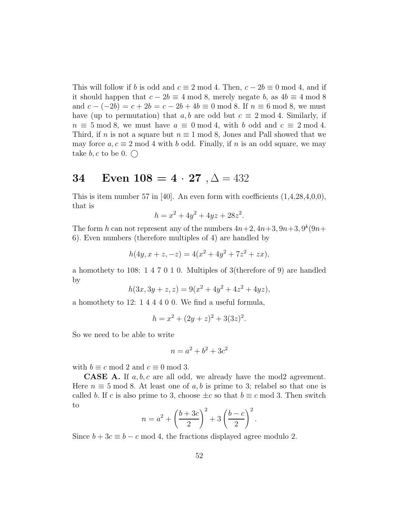This will follow if b is odd and  $c \equiv 2 \mod 4$ . Then,  $c - 2b \equiv 0 \mod 4$ , and if it should happen that  $c - 2b \equiv 4 \mod 8$ , merely negate b, as  $4b \equiv 4 \mod 8$ and  $c - (-2b) = c + 2b = c - 2b + 4b \equiv 0 \mod 8$ . If  $n \equiv 6 \mod 8$ , we must have (up to permutation) that a, b are odd but  $c \equiv 2 \mod 4$ . Similarly, if  $n \equiv 5 \mod 8$ , we must have  $a \equiv 0 \mod 4$ , with b odd and  $c \equiv 2 \mod 4$ . Third, if n is not a square but  $n \equiv 1 \mod 8$ , Jones and Pall showed that we may force  $a, c \equiv 2 \mod 4$  with b odd. Finally, if n is an odd square, we may take  $b, c$  to be 0.  $\bigcirc$ 

## 34 Even  $108 = 4 \cdot 27$ ,  $\Delta = 432$

This is item number 57 in [40]. An even form with coefficients  $(1,4,28,4,0,0)$ , that is

$$
h = x^2 + 4y^2 + 4yz + 28z^2.
$$

The form h can not represent any of the numbers  $4n+2$ ,  $4n+3$ ,  $9n+3$ ,  $9<sup>k</sup>(9n+$ 6). Even numbers (therefore multiples of 4) are handled by

$$
h(4y, x + z, -z) = 4(x2 + 4y2 + 7z2 + zx),
$$

a homothety to 108: 1 4 7 0 1 0. Multiples of 3(therefore of 9) are handled by

$$
h(3x, 3y + z, z) = 9(x2 + 4y2 + 4z2 + 4yz),
$$

a homothety to 12: 1 4 4 4 0 0. We find a useful formula,

$$
h = x^2 + (2y + z)^2 + 3(3z)^2.
$$

So we need to be able to write

$$
n = a^2 + b^2 + 3c^2
$$

with  $b \equiv c \mod 2$  and  $c \equiv 0 \mod 3$ .

**CASE A.** If  $a, b, c$  are all odd, we already have the mod2 agreement. Here  $n \equiv 5 \mod 8$ . At least one of a, b is prime to 3; relabel so that one is called b. If c is also prime to 3, choose  $\pm c$  so that  $b \equiv c \mod 3$ . Then switch to

$$
n = a^{2} + \left(\frac{b + 3c}{2}\right)^{2} + 3\left(\frac{b - c}{2}\right)^{2}.
$$

Since  $b + 3c \equiv b - c \mod 4$ , the fractions displayed agree modulo 2.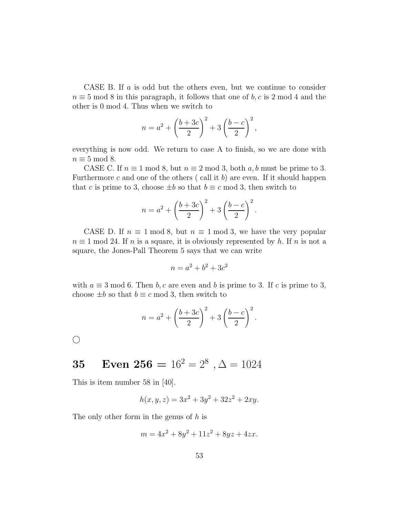CASE B. If a is odd but the others even, but we continue to consider  $n \equiv 5 \mod 8$  in this paragraph, it follows that one of b, c is 2 mod 4 and the other is 0 mod 4. Thus when we switch to

$$
n = a^{2} + \left(\frac{b+3c}{2}\right)^{2} + 3\left(\frac{b-c}{2}\right)^{2},
$$

everything is now odd. We return to case A to finish, so we are done with  $n \equiv 5 \mod 8$ .

CASE C. If  $n \equiv 1 \mod 8$ , but  $n \equiv 2 \mod 3$ , both a, b must be prime to 3. Furthermore c and one of the others  $(\text{call it } b)$  are even. If it should happen that c is prime to 3, choose  $\pm b$  so that  $b \equiv c \mod 3$ , then switch to

$$
n = a^{2} + \left(\frac{b + 3c}{2}\right)^{2} + 3\left(\frac{b - c}{2}\right)^{2}.
$$

CASE D. If  $n \equiv 1 \mod 8$ , but  $n \equiv 1 \mod 3$ , we have the very popular  $n \equiv 1 \mod 24$ . If n is a square, it is obviously represented by h. If n is not a square, the Jones-Pall Theorem 5 says that we can write

$$
n = a^2 + b^2 + 3c^2
$$

with  $a \equiv 3 \mod 6$ . Then b, c are even and b is prime to 3. If c is prime to 3, choose  $\pm b$  so that  $b \equiv c \mod 3$ , then switch to

$$
n = a2 + \left(\frac{b+3c}{2}\right)^{2} + 3\left(\frac{b-c}{2}\right)^{2}.
$$

 $\bigcirc$ 

# **35** Even 256 =  $16^2 = 2^8$ ,  $\Delta = 1024$

This is item number 58 in [40].

$$
h(x, y, z) = 3x^2 + 3y^2 + 32z^2 + 2xy.
$$

The only other form in the genus of h is

$$
m = 4x^2 + 8y^2 + 11z^2 + 8yz + 4zx.
$$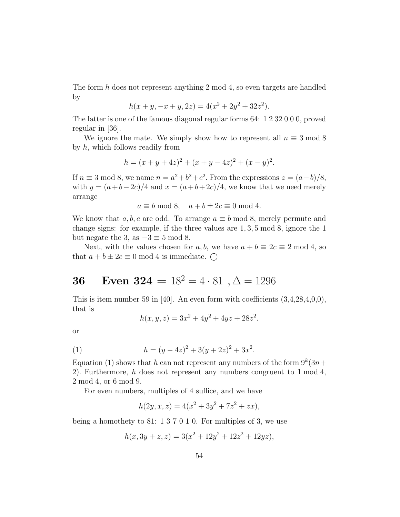The form h does not represent anything 2 mod 4, so even targets are handled by

$$
h(x + y, -x + y, 2z) = 4(x2 + 2y2 + 32z2).
$$

The latter is one of the famous diagonal regular forms 64: 1 2 32 0 0 0, proved regular in [36].

We ignore the mate. We simply show how to represent all  $n \equiv 3 \mod 8$ by h, which follows readily from

$$
h = (x + y + 4z)^{2} + (x + y - 4z)^{2} + (x - y)^{2}.
$$

If  $n \equiv 3 \mod 8$ , we name  $n = a^2 + b^2 + c^2$ . From the expressions  $z = (a - b)/8$ , with  $y = (a+b-2c)/4$  and  $x = (a+b+2c)/4$ , we know that we need merely arrange

$$
a \equiv b \mod 8, \quad a + b \pm 2c \equiv 0 \mod 4.
$$

We know that a, b, c are odd. To arrange  $a \equiv b \mod 8$ , merely permute and change signs: for example, if the three values are 1, 3, 5 mod 8, ignore the 1 but negate the 3, as  $-3 \equiv 5 \mod 8$ .

Next, with the values chosen for a, b, we have  $a + b \equiv 2c \equiv 2 \mod 4$ , so that  $a + b \pm 2c \equiv 0 \mod 4$  is immediate.

## 36 Even  $324 = 18^2 = 4 \cdot 81$ ,  $\Delta = 1296$

This is item number 59 in [40]. An even form with coefficients  $(3,4,28,4,0,0)$ , that is

$$
h(x, y, z) = 3x^2 + 4y^2 + 4yz + 28z^2.
$$

or

(1) 
$$
h = (y - 4z)^2 + 3(y + 2z)^2 + 3x^2.
$$

Equation (1) shows that h can not represent any numbers of the form  $9^k(3n+$ 2). Furthermore, h does not represent any numbers congruent to  $1 \mod 4$ , 2 mod 4, or 6 mod 9.

For even numbers, multiples of 4 suffice, and we have

$$
h(2y, x, z) = 4(x2 + 3y2 + 7z2 + zx),
$$

being a homothety to 81: 1 3 7 0 1 0. For multiples of 3, we use

$$
h(x, 3y + z, z) = 3(x2 + 12y2 + 12z2 + 12yz),
$$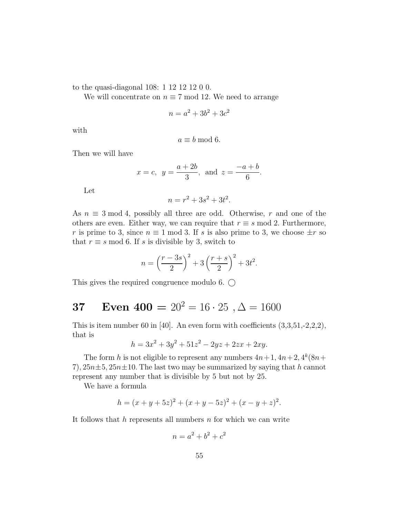to the quasi-diagonal 108: 1 12 12 12 0 0.

We will concentrate on  $n \equiv 7 \mod 12$ . We need to arrange

$$
n = a^2 + 3b^2 + 3c^2
$$

with

$$
a \equiv b \bmod 6.
$$

Then we will have

$$
x = c
$$
,  $y = \frac{a+2b}{3}$ , and  $z = \frac{-a+b}{6}$ .

Let

$$
n = r^2 + 3s^2 + 3t^2.
$$

As  $n \equiv 3 \mod 4$ , possibly all three are odd. Otherwise, r and one of the others are even. Either way, we can require that  $r \equiv s \mod 2$ . Furthermore, r is prime to 3, since  $n \equiv 1 \mod 3$ . If s is also prime to 3, we choose  $\pm r$  so that  $r \equiv s \mod 6$ . If s is divisible by 3, switch to

$$
n = \left(\frac{r - 3s}{2}\right)^2 + 3\left(\frac{r + s}{2}\right)^2 + 3t^2.
$$

This gives the required congruence modulo 6.  $\bigcirc$ 

# 37 Even  $400 = 20^2 = 16 \cdot 25$ ,  $\Delta = 1600$

This is item number 60 in [40]. An even form with coefficients  $(3,3,51,-2,2,2)$ , that is

$$
h = 3x^2 + 3y^2 + 51z^2 - 2yz + 2zx + 2xy.
$$

The form h is not eligible to represent any numbers  $4n+1$ ,  $4n+2$ ,  $4^k(8n+1)$ 7),  $25n\pm5$ ,  $25n\pm10$ . The last two may be summarized by saying that h cannot represent any number that is divisible by 5 but not by 25.

We have a formula

$$
h = (x + y + 5z)^{2} + (x + y - 5z)^{2} + (x - y + z)^{2}.
$$

It follows that  $h$  represents all numbers  $n$  for which we can write

$$
n = a^2 + b^2 + c^2
$$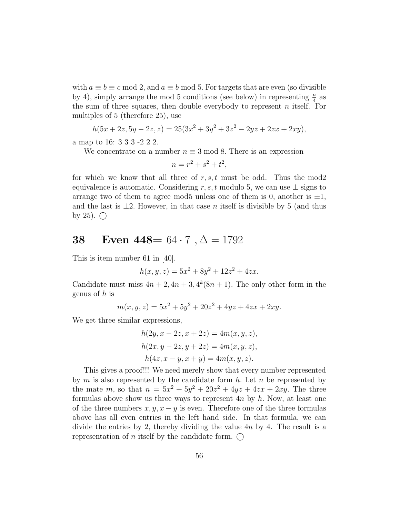with  $a \equiv b \equiv c \mod 2$ , and  $a \equiv b \mod 5$ . For targets that are even (so divisible by 4), simply arrange the mod 5 conditions (see below) in representing  $\frac{n}{4}$  $\frac{n}{4}$  as the sum of three squares, then double everybody to represent n itself. For multiples of 5 (therefore 25), use

$$
h(5x + 2z, 5y - 2z, z) = 25(3x^{2} + 3y^{2} + 3z^{2} - 2yz + 2zx + 2xy),
$$

a map to 16: 3 3 3 -2 2 2.

We concentrate on a number  $n \equiv 3 \mod 8$ . There is an expression

$$
n = r^2 + s^2 + t^2,
$$

for which we know that all three of  $r, s, t$  must be odd. Thus the mod2 equivalence is automatic. Considering r, s, t modulo 5, we can use  $\pm$  signs to arrange two of them to agree mod5 unless one of them is 0, another is  $\pm 1$ , and the last is  $\pm 2$ . However, in that case *n* itself is divisible by 5 (and thus by 25).  $\bigcap$ 

### 38 Even  $448 = 64 \cdot 7$ ,  $\Delta = 1792$

This is item number 61 in [40].

$$
h(x, y, z) = 5x^2 + 8y^2 + 12z^2 + 4zx.
$$

Candidate must miss  $4n + 2$ ,  $4n + 3$ ,  $4^k(8n + 1)$ . The only other form in the genus of  $h$  is

$$
m(x, y, z) = 5x^2 + 5y^2 + 20z^2 + 4yz + 4zx + 2xy.
$$

We get three similar expressions,

$$
h(2y, x - 2z, x + 2z) = 4m(x, y, z),
$$
  
\n
$$
h(2x, y - 2z, y + 2z) = 4m(x, y, z),
$$
  
\n
$$
h(4z, x - y, x + y) = 4m(x, y, z).
$$

This gives a proof!!! We need merely show that every number represented by  $m$  is also represented by the candidate form  $h$ . Let  $n$  be represented by the mate m, so that  $n = 5x^2 + 5y^2 + 20z^2 + 4yz + 4zx + 2xy$ . The three formulas above show us three ways to represent  $4n$  by  $h$ . Now, at least one of the three numbers  $x, y, x - y$  is even. Therefore one of the three formulas above has all even entries in the left hand side. In that formula, we can divide the entries by 2, thereby dividing the value  $4n$  by 4. The result is a representation of *n* itself by the candidate form.  $\bigcirc$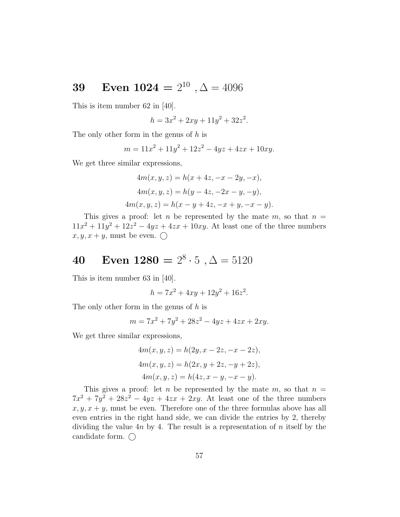## **39** Even  $1024 = 2^{10}$ ,  $\Delta = 4096$

This is item number 62 in [40].

$$
h = 3x^2 + 2xy + 11y^2 + 32z^2.
$$

The only other form in the genus of h is

$$
m = 11x^2 + 11y^2 + 12z^2 - 4yz + 4zx + 10xy.
$$

We get three similar expressions,

$$
4m(x, y, z) = h(x + 4z, -x - 2y, -x),
$$
  
\n
$$
4m(x, y, z) = h(y - 4z, -2x - y, -y),
$$
  
\n
$$
4m(x, y, z) = h(x - y + 4z, -x + y, -x - y).
$$

This gives a proof: let n be represented by the mate  $m$ , so that  $n =$  $11x^2 + 11y^2 + 12z^2 - 4yz + 4zx + 10xy$ . At least one of the three numbers  $x, y, x + y$ , must be even.  $\bigcirc$ 

# 40 Even  $1280 = 2^8 \cdot 5 , \Delta = 5120$

This is item number 63 in [40].

$$
h = 7x^2 + 4xy + 12y^2 + 16z^2.
$$

The only other form in the genus of h is

$$
m = 7x^2 + 7y^2 + 28z^2 - 4yz + 4zx + 2xy.
$$

We get three similar expressions,

$$
4m(x, y, z) = h(2y, x - 2z, -x - 2z),
$$
  
\n
$$
4m(x, y, z) = h(2x, y + 2z, -y + 2z),
$$
  
\n
$$
4m(x, y, z) = h(4z, x - y, -x - y).
$$

This gives a proof: let n be represented by the mate  $m$ , so that  $n =$  $7x^2 + 7y^2 + 28z^2 - 4yz + 4zx + 2xy$ . At least one of the three numbers  $x, y, x + y$ , must be even. Therefore one of the three formulas above has all even entries in the right hand side, we can divide the entries by 2, thereby dividing the value  $4n$  by 4. The result is a representation of n itself by the candidate form.  $\bigcap$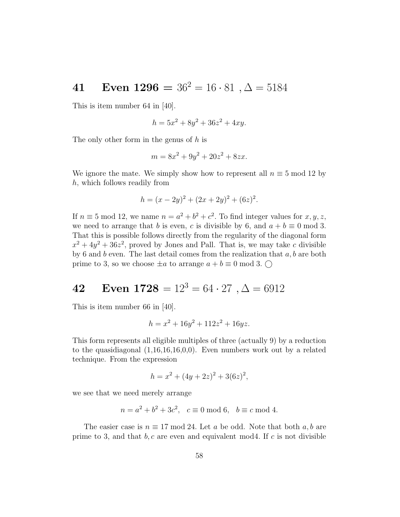# 41 Even  $1296 = 36^2 = 16 \cdot 81$ ,  $\Delta = 5184$

This is item number 64 in [40].

$$
h = 5x^2 + 8y^2 + 36z^2 + 4xy.
$$

The only other form in the genus of h is

$$
m = 8x^2 + 9y^2 + 20z^2 + 8zx.
$$

We ignore the mate. We simply show how to represent all  $n \equiv 5 \mod 12$  by h, which follows readily from

$$
h = (x - 2y)^2 + (2x + 2y)^2 + (6z)^2.
$$

If  $n \equiv 5 \mod 12$ , we name  $n = a^2 + b^2 + c^2$ . To find integer values for  $x, y, z$ , we need to arrange that b is even, c is divisible by 6, and  $a + b \equiv 0 \mod 3$ . That this is possible follows directly from the regularity of the diagonal form  $x^2 + 4y^2 + 36z^2$ , proved by Jones and Pall. That is, we may take c divisible by 6 and  $b$  even. The last detail comes from the realization that  $a, b$  are both prime to 3, so we choose  $\pm a$  to arrange  $a + b \equiv 0 \mod 3$ .

# 42 Even  $1728 = 12^3 = 64 \cdot 27$ ,  $\Delta = 6912$

This is item number 66 in [40].

$$
h = x^2 + 16y^2 + 112z^2 + 16yz.
$$

This form represents all eligible multiples of three (actually 9) by a reduction to the quasidiagonal (1,16,16,16,0,0). Even numbers work out by a related technique. From the expression

$$
h = x^2 + (4y + 2z)^2 + 3(6z)^2,
$$

we see that we need merely arrange

$$
n = a^2 + b^2 + 3c^2
$$
,  $c \equiv 0 \mod 6$ ,  $b \equiv c \mod 4$ .

The easier case is  $n \equiv 17 \mod 24$ . Let a be odd. Note that both a, b are prime to 3, and that  $b, c$  are even and equivalent mod4. If c is not divisible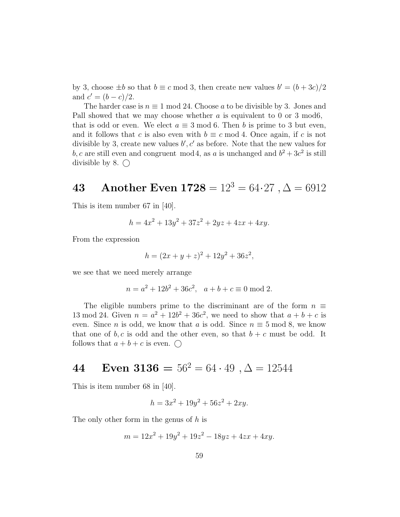by 3, choose  $\pm b$  so that  $b \equiv c \mod 3$ , then create new values  $b' = (b + 3c)/2$ and  $c' = (b - c)/2$ .

The harder case is  $n \equiv 1 \mod 24$ . Choose a to be divisible by 3. Jones and Pall showed that we may choose whether  $a$  is equivalent to 0 or 3 mod6, that is odd or even. We elect  $a \equiv 3 \mod 6$ . Then b is prime to 3 but even, and it follows that c is also even with  $b \equiv c \mod 4$ . Once again, if c is not divisible by 3, create new values  $b', c'$  as before. Note that the new values for b, c are still even and congruent mod 4, as a is unchanged and  $b^2 + 3c^2$  is still divisible by 8.  $\bigcirc$ 

## 43 Another Even  $1728 = 12^3 = 64.27$ ,  $\Delta = 6912$

This is item number 67 in [40].

$$
h = 4x^2 + 13y^2 + 37z^2 + 2yz + 4zx + 4xy.
$$

From the expression

$$
h = (2x + y + z)^2 + 12y^2 + 36z^2,
$$

we see that we need merely arrange

$$
n = a2 + 12b2 + 36c2, \quad a + b + c \equiv 0 \text{ mod } 2.
$$

The eligible numbers prime to the discriminant are of the form  $n \equiv$ 13 mod 24. Given  $n = a^2 + 12b^2 + 36c^2$ , we need to show that  $a + b + c$  is even. Since *n* is odd, we know that *a* is odd. Since  $n \equiv 5 \mod 8$ , we know that one of  $b, c$  is odd and the other even, so that  $b + c$  must be odd. It follows that  $a + b + c$  is even.  $\bigcirc$ 

# 44 Even  $3136 = 56^2 = 64 \cdot 49$ ,  $\Delta = 12544$

This is item number 68 in [40].

$$
h = 3x^2 + 19y^2 + 56z^2 + 2xy.
$$

The only other form in the genus of h is

$$
m = 12x^2 + 19y^2 + 19z^2 - 18yz + 4zx + 4xy.
$$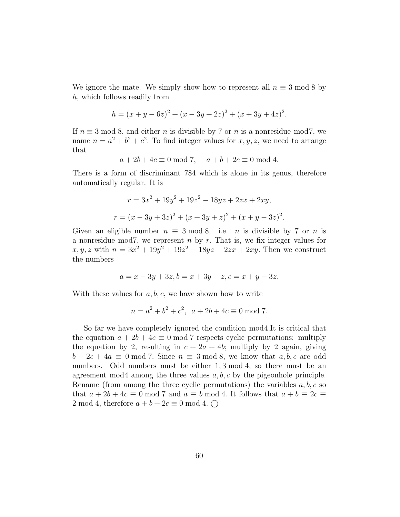We ignore the mate. We simply show how to represent all  $n \equiv 3 \mod 8$  by h, which follows readily from

$$
h = (x + y - 6z)^{2} + (x - 3y + 2z)^{2} + (x + 3y + 4z)^{2}.
$$

If  $n \equiv 3 \mod 8$ , and either n is divisible by 7 or n is a nonresidue mod7, we name  $n = a^2 + b^2 + c^2$ . To find integer values for  $x, y, z$ , we need to arrange that

$$
a + 2b + 4c \equiv 0 \mod 7, \quad a + b + 2c \equiv 0 \mod 4.
$$

There is a form of discriminant 784 which is alone in its genus, therefore automatically regular. It is

$$
r = 3x^{2} + 19y^{2} + 19z^{2} - 18yz + 2zx + 2xy,
$$
  

$$
r = (x - 3y + 3z)^{2} + (x + 3y + z)^{2} + (x + y - 3z)^{2}.
$$

Given an eligible number  $n \equiv 3 \mod 8$ , i.e. *n* is divisible by 7 or *n* is a nonresidue mod7, we represent  $n$  by  $r$ . That is, we fix integer values for  $x, y, z$  with  $n = 3x^2 + 19y^2 + 19z^2 - 18yz + 2zx + 2xy$ . Then we construct the numbers

$$
a = x - 3y + 3z, b = x + 3y + z, c = x + y - 3z.
$$

With these values for  $a, b, c$ , we have shown how to write

$$
n = a^2 + b^2 + c^2, \ \ a + 2b + 4c \equiv 0 \bmod 7.
$$

So far we have completely ignored the condition mod4.It is critical that the equation  $a + 2b + 4c \equiv 0 \mod 7$  respects cyclic permutations: multiply the equation by 2, resulting in  $c + 2a + 4b$ ; multiply by 2 again, giving  $b + 2c + 4a \equiv 0 \mod 7$ . Since  $n \equiv 3 \mod 8$ , we know that  $a, b, c$  are odd numbers. Odd numbers must be either 1, 3 mod 4, so there must be an agreement mod4 among the three values  $a, b, c$  by the pigeonhole principle. Rename (from among the three cyclic permutations) the variables  $a, b, c$  so that  $a + 2b + 4c \equiv 0 \mod 7$  and  $a \equiv b \mod 4$ . It follows that  $a + b \equiv 2c \equiv 1$ 2 mod 4, therefore  $a + b + 2c \equiv 0 \mod 4$ .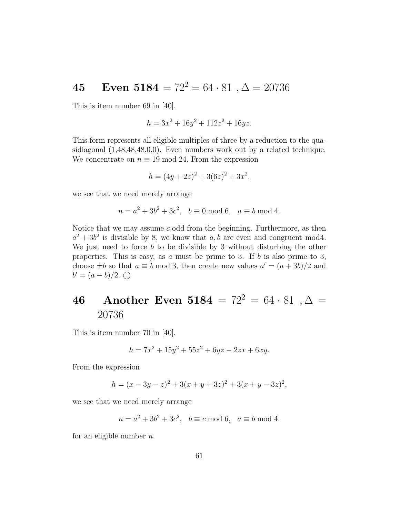# 45 Even  $5184 = 72^2 = 64 \cdot 81$ ,  $\Delta = 20736$

This is item number 69 in [40].

$$
h = 3x^2 + 16y^2 + 112z^2 + 16yz.
$$

This form represents all eligible multiples of three by a reduction to the quasidiagonal (1,48,48,48,0,0). Even numbers work out by a related technique. We concentrate on  $n \equiv 19 \mod 24$ . From the expression

$$
h = (4y + 2z)^2 + 3(6z)^2 + 3x^2,
$$

we see that we need merely arrange

$$
n = a^2 + 3b^2 + 3c^2
$$
,  $b \equiv 0 \mod 6$ ,  $a \equiv b \mod 4$ .

Notice that we may assume  $c$  odd from the beginning. Furthermore, as then  $a^2 + 3b^2$  is divisible by 8, we know that a, b are even and congruent mod4. We just need to force  $b$  to be divisible by 3 without disturbing the other properties. This is easy, as a must be prime to 3. If b is also prime to 3, choose  $\pm b$  so that  $a \equiv b \mod 3$ , then create new values  $a' = (a + 3b)/2$  and  $b' = (a - b)/2$ . ◯

# 46 Another Even 5184 =  $72^2 = 64 \cdot 81$ ,  $\Delta =$ 20736

This is item number 70 in [40].

$$
h = 7x^2 + 15y^2 + 55z^2 + 6yz - 2zx + 6xy.
$$

From the expression

$$
h = (x - 3y - z)^2 + 3(x + y + 3z)^2 + 3(x + y - 3z)^2,
$$

we see that we need merely arrange

$$
n = a^2 + 3b^2 + 3c^2
$$
,  $b \equiv c \mod 6$ ,  $a \equiv b \mod 4$ .

for an eligible number  $n$ .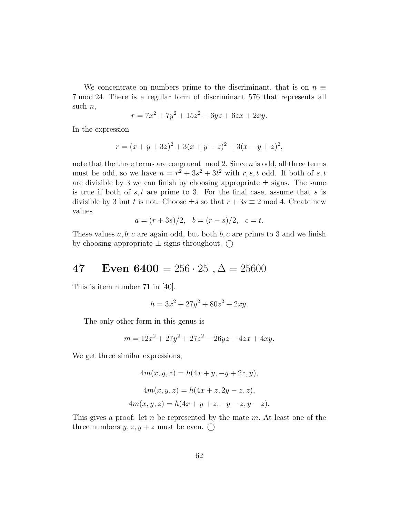We concentrate on numbers prime to the discriminant, that is on  $n \equiv$ 7 mod 24. There is a regular form of discriminant 576 that represents all such  $n$ ,

$$
r = 7x^2 + 7y^2 + 15z^2 - 6yz + 6zx + 2xy.
$$

In the expression

$$
r = (x + y + 3z)^{2} + 3(x + y - z)^{2} + 3(x - y + z)^{2},
$$

note that the three terms are congruent  $mod 2$ . Since  $n$  is odd, all three terms must be odd, so we have  $n = r^2 + 3s^2 + 3t^2$  with  $r, s, t$  odd. If both of  $s, t$ are divisible by 3 we can finish by choosing appropriate  $\pm$  signs. The same is true if both of  $s, t$  are prime to 3. For the final case, assume that s is divisible by 3 but t is not. Choose  $\pm s$  so that  $r + 3s \equiv 2 \mod 4$ . Create new values

$$
a = (r+3s)/2, b = (r-s)/2, c = t.
$$

These values  $a, b, c$  are again odd, but both  $b, c$  are prime to 3 and we finish by choosing appropriate  $\pm$  signs throughout.  $\bigcirc$ 

### 47 Even  $6400 = 256 \cdot 25$ ,  $\Delta = 25600$

This is item number 71 in [40].

$$
h = 3x^2 + 27y^2 + 80z^2 + 2xy.
$$

The only other form in this genus is

$$
m = 12x^2 + 27y^2 + 27z^2 - 26yz + 4zx + 4xy.
$$

We get three similar expressions,

$$
4m(x, y, z) = h(4x + y, -y + 2z, y),
$$
  
\n
$$
4m(x, y, z) = h(4x + z, 2y - z, z),
$$
  
\n
$$
4m(x, y, z) = h(4x + y + z, -y - z, y - z).
$$

This gives a proof: let n be represented by the mate m. At least one of the three numbers  $y, z, y + z$  must be even.  $\bigcirc$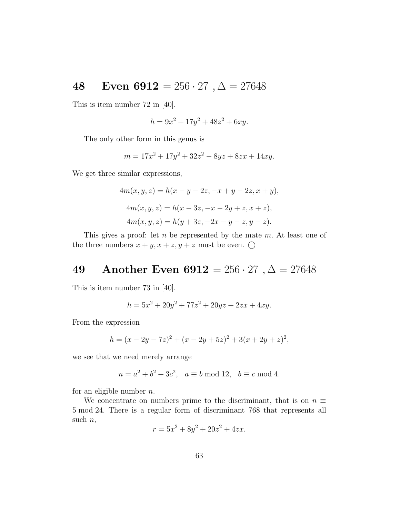### 48 Even  $6912 = 256 \cdot 27 , \Delta = 27648$

This is item number 72 in [40].

$$
h = 9x^2 + 17y^2 + 48z^2 + 6xy.
$$

The only other form in this genus is

$$
m = 17x^2 + 17y^2 + 32z^2 - 8yz + 8zx + 14xy.
$$

We get three similar expressions,

$$
4m(x, y, z) = h(x - y - 2z, -x + y - 2z, x + y),
$$
  
\n
$$
4m(x, y, z) = h(x - 3z, -x - 2y + z, x + z),
$$
  
\n
$$
4m(x, y, z) = h(y + 3z, -2x - y - z, y - z).
$$

This gives a proof: let  $n$  be represented by the mate  $m$ . At least one of the three numbers  $x + y$ ,  $x + z$ ,  $y + z$  must be even.  $\bigcirc$ 

### 49 Another Even  $6912 = 256 \cdot 27 , \Delta = 27648$

This is item number 73 in [40].

$$
h = 5x^2 + 20y^2 + 77z^2 + 20yz + 2zx + 4xy.
$$

From the expression

$$
h = (x - 2y - 7z)^{2} + (x - 2y + 5z)^{2} + 3(x + 2y + z)^{2},
$$

we see that we need merely arrange

$$
n = a^2 + b^2 + 3c^2
$$
,  $a \equiv b \mod 12$ ,  $b \equiv c \mod 4$ .

for an eligible number  $n$ .

We concentrate on numbers prime to the discriminant, that is on  $n \equiv$ 5 mod 24. There is a regular form of discriminant 768 that represents all such  $n$ ,

$$
r = 5x^2 + 8y^2 + 20z^2 + 4zx.
$$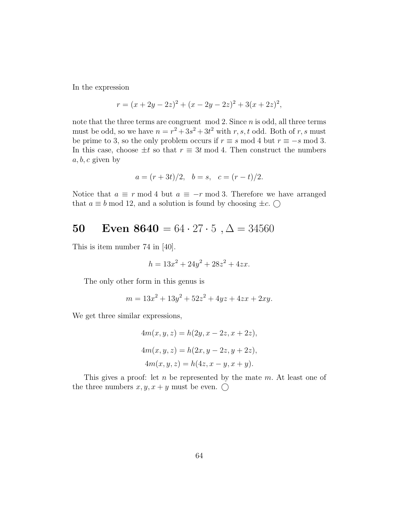In the expression

$$
r = (x + 2y - 2z)^{2} + (x - 2y - 2z)^{2} + 3(x + 2z)^{2},
$$

note that the three terms are congruent  $mod 2$ . Since  $n$  is odd, all three terms must be odd, so we have  $n = r^2 + 3s^2 + 3t^2$  with  $r, s, t$  odd. Both of  $r, s$  must be prime to 3, so the only problem occurs if  $r \equiv s \mod 4$  but  $r \equiv -s \mod 3$ . In this case, choose  $\pm t$  so that  $r \equiv 3t \mod 4$ . Then construct the numbers  $a, b, c$  given by

$$
a = (r + 3t)/2, \quad b = s, \quad c = (r - t)/2.
$$

Notice that  $a \equiv r \mod 4$  but  $a \equiv -r \mod 3$ . Therefore we have arranged that  $a \equiv b \mod 12$ , and a solution is found by choosing  $\pm c$ .  $\bigcirc$ 

## 50 Even  $8640 = 64 \cdot 27 \cdot 5$ ,  $\Delta = 34560$

This is item number 74 in [40].

$$
h = 13x^2 + 24y^2 + 28z^2 + 4zx.
$$

The only other form in this genus is

$$
m = 13x^2 + 13y^2 + 52z^2 + 4yz + 4zx + 2xy.
$$

We get three similar expressions,

$$
4m(x, y, z) = h(2y, x - 2z, x + 2z),
$$
  
\n
$$
4m(x, y, z) = h(2x, y - 2z, y + 2z),
$$
  
\n
$$
4m(x, y, z) = h(4z, x - y, x + y).
$$

This gives a proof: let  $n$  be represented by the mate  $m$ . At least one of the three numbers  $x, y, x + y$  must be even.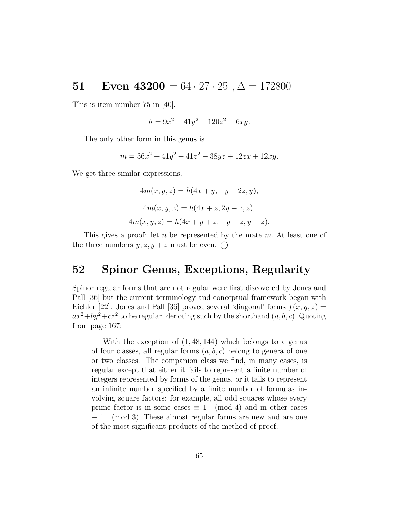### 51 Even  $43200 = 64 \cdot 27 \cdot 25, \Delta = 172800$

This is item number 75 in [40].

$$
h = 9x^2 + 41y^2 + 120z^2 + 6xy.
$$

The only other form in this genus is

$$
m = 36x^2 + 41y^2 + 41z^2 - 38yz + 12zx + 12xy.
$$

We get three similar expressions,

$$
4m(x, y, z) = h(4x + y, -y + 2z, y),
$$
  
\n
$$
4m(x, y, z) = h(4x + z, 2y - z, z),
$$
  
\n
$$
4m(x, y, z) = h(4x + y + z, -y - z, y - z).
$$

This gives a proof: let n be represented by the mate  $m$ . At least one of the three numbers  $y, z, y + z$  must be even.

#### 52 Spinor Genus, Exceptions, Regularity

Spinor regular forms that are not regular were first discovered by Jones and Pall [36] but the current terminology and conceptual framework began with Eichler [22]. Jones and Pall [36] proved several 'diagonal' forms  $f(x, y, z) =$  $ax^2+by^2+cz^2$  to be regular, denoting such by the shorthand  $(a, b, c)$ . Quoting from page 167:

With the exception of (1, 48, 144) which belongs to a genus of four classes, all regular forms  $(a, b, c)$  belong to genera of one or two classes. The companion class we find, in many cases, is regular except that either it fails to represent a finite number of integers represented by forms of the genus, or it fails to represent an infinite number specified by a finite number of formulas involving square factors: for example, all odd squares whose every prime factor is in some cases  $\equiv 1 \pmod{4}$  and in other cases  $\equiv 1 \pmod{3}$ . These almost regular forms are new and are one of the most significant products of the method of proof.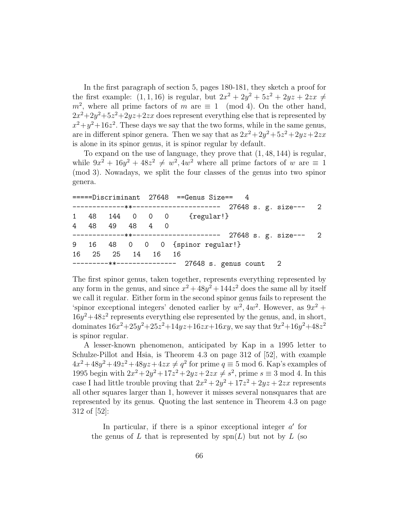In the first paragraph of section 5, pages 180-181, they sketch a proof for the first example:  $(1, 1, 16)$  is regular, but  $2x^2 + 2y^2 + 5z^2 + 2yz + 2zx \neq 0$  $m^2$ , where all prime factors of m are  $\equiv 1 \pmod{4}$ . On the other hand,  $2x^2+2y^2+5z^2+2yz+2zx$  does represent everything else that is represented by  $x^2+y^2+16z^2$ . These days we say that the two forms, while in the same genus, are in different spinor genera. Then we say that as  $2x^2 + 2y^2 + 5z^2 + 2yz + 2zx$ is alone in its spinor genus, it is spinor regular by default.

To expand on the use of language, they prove that (1, 48, 144) is regular, while  $9x^2 + 16y^2 + 48z^2 \neq w^2, 4w^2$  where all prime factors of w are  $\equiv 1$ (mod 3). Nowadays, we split the four classes of the genus into two spinor genera.

|  |  |                        |  |  | =====Discriminant 27648 ==Genus Size== 4                  |  |
|--|--|------------------------|--|--|-----------------------------------------------------------|--|
|  |  |                        |  |  | ------------**--------------------- 27648 s. g. size--- 2 |  |
|  |  |                        |  |  | 1 48 144 0 0 0 {regular!}                                 |  |
|  |  | 4 48 49 48 4 0         |  |  |                                                           |  |
|  |  |                        |  |  |                                                           |  |
|  |  |                        |  |  | 9 16 48 0 0 0 {spinor regular!}                           |  |
|  |  | 16  25  25  14  16  16 |  |  |                                                           |  |
|  |  |                        |  |  | ---------**-------------- 27648 s. genus count 2          |  |

The first spinor genus, taken together, represents everything represented by any form in the genus, and since  $x^2 + 48y^2 + 144z^2$  does the same all by itself we call it regular. Either form in the second spinor genus fails to represent the 'spinor exceptional integers' denoted earlier by  $w^2$ ,  $4w^2$ . However, as  $9x^2$  +  $16y^2 + 48z^2$  represents everything else represented by the genus, and, in short, dominates  $16x^2+25y^2+25z^2+14yz+16zx+16xy$ , we say that  $9x^2+16y^2+48z^2$ is spinor regular.

A lesser-known phenomenon, anticipated by Kap in a 1995 letter to Schulze-Pillot and Hsia, is Theorem 4.3 on page 312 of [52], with example  $4x^2+48y^2+49z^2+48yz+4zx \neq q^2$  for prime  $q \equiv 5 \mod 6$ . Kap's examples of 1995 begin with  $2x^2 + 2y^2 + 17z^2 + 2yz + 2zx \neq s^2$ , prime  $s \equiv 3 \mod 4$ . In this case I had little trouble proving that  $2x^2 + 2y^2 + 17z^2 + 2yz + 2zx$  represents all other squares larger than 1, however it misses several nonsquares that are represented by its genus. Quoting the last sentence in Theorem 4.3 on page 312 of [52]:

In particular, if there is a spinor exceptional integer  $a'$  for the genus of L that is represented by  $\text{spn}(L)$  but not by L (so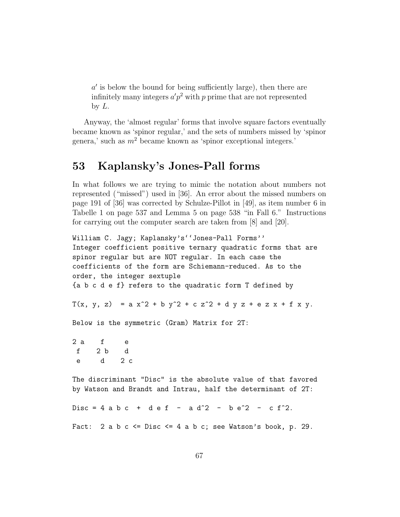$a'$  is below the bound for being sufficiently large), then there are infinitely many integers  $a'p^2$  with p prime that are not represented by  $L$ .

Anyway, the 'almost regular' forms that involve square factors eventually became known as 'spinor regular,' and the sets of numbers missed by 'spinor genera,' such as  $m^2$  became known as 'spinor exceptional integers.'

#### 53 Kaplansky's Jones-Pall forms

In what follows we are trying to mimic the notation about numbers not represented ("missed") used in [36]. An error about the missed numbers on page 191 of [36] was corrected by Schulze-Pillot in [49], as item number 6 in Tabelle 1 on page 537 and Lemma 5 on page 538 "in Fall 6." Instructions for carrying out the computer search are taken from [8] and [20].

```
William C. Jagy; Kaplansky's''Jones-Pall Forms''
Integer coefficient positive ternary quadratic forms that are
spinor regular but are NOT regular. In each case the
coefficients of the form are Schiemann-reduced. As to the
order, the integer sextuple
{a b c d e f} refers to the quadratic form T defined by
T(x, y, z) = a x^2 + b y^2 + c z^2 + d y z + e z x + f x y.
Below is the symmetric (Gram) Matrix for 2T:
2 a f e
 f 2 b d
 e d 2 c
The discriminant "Disc" is the absolute value of that favored
by Watson and Brandt and Intrau, half the determinant of 2T:
Disc = 4 a b c + d e f - a d<sup>2</sup> - b e<sup>2</sup> - c f<sup>2</sup>.
Fact: 2 a b c \leq \text{Disc} \leq 4 a b c; see Watson's book, p. 29.
```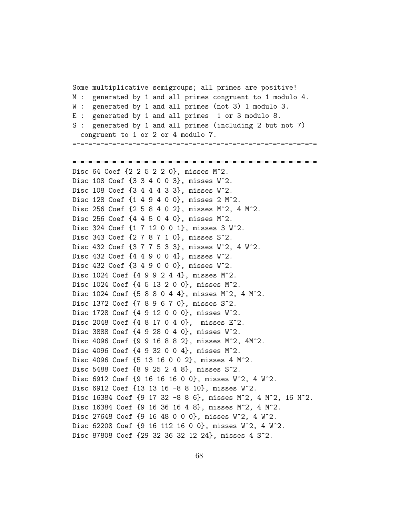Some multiplicative semigroups; all primes are positive! M : generated by 1 and all primes congruent to 1 modulo 4. W : generated by 1 and all primes (not 3) 1 modulo 3. E : generated by 1 and all primes 1 or 3 modulo 8. S : generated by 1 and all primes (including 2 but not 7) congruent to 1 or 2 or 4 modulo 7. =-=-=-=-=-=-=-=-=-=-=-=-=-=-=-=-=-=-=-=-=-=-=-=-=-=-=-=-=-=-= =-=-=-=-=-=-=-=-=-=-=-=-=-=-=-=-=-=-=-=-=-=-=-=-=-=-=-=-=-=-= Disc 64 Coef {2 2 5 2 2 0}, misses M^2. Disc 108 Coef {3 3 4 0 0 3}, misses W^2. Disc 108 Coef {3 4 4 4 3 3}, misses W^2. Disc 128 Coef {1 4 9 4 0 0}, misses 2 M^2. Disc 256 Coef {2 5 8 4 0 2}, misses M^2, 4 M^2. Disc 256 Coef {4 4 5 0 4 0}, misses M^2. Disc 324 Coef {1 7 12 0 0 1}, misses 3 W^2. Disc 343 Coef {2 7 8 7 1 0}, misses S^2. Disc 432 Coef {3 7 7 5 3 3}, misses W^2, 4 W^2. Disc 432 Coef {4 4 9 0 0 4}, misses W^2. Disc 432 Coef {3 4 9 0 0 0}, misses W^2. Disc 1024 Coef {4 9 9 2 4 4}, misses M^2. Disc 1024 Coef {4 5 13 2 0 0}, misses M^2. Disc 1024 Coef {5 8 8 0 4 4}, misses M^2, 4 M^2. Disc 1372 Coef {7 8 9 6 7 0}, misses S^2. Disc 1728 Coef {4 9 12 0 0 0}, misses W^2. Disc 2048 Coef {4 8 17 0 4 0}, misses E^2. Disc 3888 Coef {4 9 28 0 4 0}, misses W^2. Disc 4096 Coef {9 9 16 8 8 2}, misses M^2, 4M^2. Disc 4096 Coef {4 9 32 0 0 4}, misses M^2. Disc 4096 Coef {5 13 16 0 0 2}, misses 4 M^2. Disc 5488 Coef {8 9 25 2 4 8}, misses S^2. Disc 6912 Coef {9 16 16 16 0 0}, misses W^2, 4 W^2. Disc 6912 Coef {13 13 16 -8 8 10}, misses W^2. Disc 16384 Coef {9 17 32 -8 8 6}, misses M^2, 4 M^2, 16 M^2. Disc 16384 Coef {9 16 36 16 4 8}, misses M^2, 4 M^2. Disc 27648 Coef {9 16 48 0 0 0}, misses W^2, 4 W^2. Disc 62208 Coef {9 16 112 16 0 0}, misses W^2, 4 W^2. Disc 87808 Coef {29 32 36 32 12 24}, misses 4 S^2.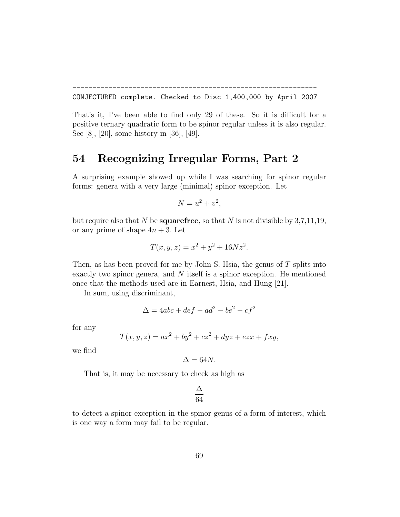CONJECTURED complete. Checked to Disc 1,400,000 by April 2007

-------------------------------------------------------------

That's it, I've been able to find only 29 of these. So it is difficult for a positive ternary quadratic form to be spinor regular unless it is also regular. See [8], [20], some history in [36], [49].

#### 54 Recognizing Irregular Forms, Part 2

A surprising example showed up while I was searching for spinor regular forms: genera with a very large (minimal) spinor exception. Let

$$
N = u^2 + v^2,
$$

but require also that N be **squarefree**, so that N is not divisible by  $3,7,11,19$ , or any prime of shape  $4n + 3$ . Let

$$
T(x, y, z) = x^2 + y^2 + 16Nz^2.
$$

Then, as has been proved for me by John S. Hsia, the genus of  $T$  splits into exactly two spinor genera, and  $N$  itself is a spinor exception. He mentioned once that the methods used are in Earnest, Hsia, and Hung [21].

In sum, using discriminant,

$$
\Delta = 4abc + def - ad^2 - be^2 - cf^2
$$

for any

$$
T(x, y, z) = ax^{2} + by^{2} + cz^{2} + dyz + ezx + fxy,
$$

we find

$$
\Delta = 64N.
$$

That is, it may be necessary to check as high as

$$
\frac{\Delta}{64}
$$

to detect a spinor exception in the spinor genus of a form of interest, which is one way a form may fail to be regular.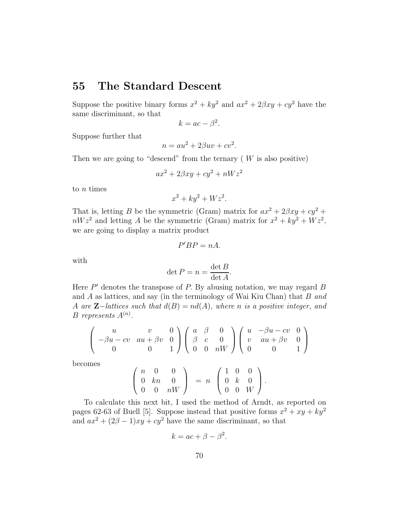#### 55 The Standard Descent

Suppose the positive binary forms  $x^2 + ky^2$  and  $ax^2 + 2\beta xy + cy^2$  have the same discriminant, so that

$$
k = ac - \beta^2.
$$

Suppose further that

$$
n = au^2 + 2\beta uv + cv^2.
$$

Then we are going to "descend" from the ternary  $(W$  is also positive)

$$
ax^2 + 2\beta xy + cy^2 + nWz^2
$$

to  $n$  times

$$
x^2 + ky^2 + Wz^2.
$$

That is, letting B be the symmetric (Gram) matrix for  $ax^2 + 2\beta xy + cy^2 +$  $nWz<sup>2</sup>$  and letting A be the symmetric (Gram) matrix for  $x<sup>2</sup> + ky<sup>2</sup> + Wz<sup>2</sup>$ , we are going to display a matrix product

$$
P'BP=nA.
$$

with

$$
\det P = n = \frac{\det B}{\det A}.
$$

Here  $P'$  denotes the transpose of  $P$ . By abusing notation, we may regard  $B$ and A as lattices, and say (in the terminology of Wai Kiu Chan) that B *and* A *are* Z−*lattices such that* d(B) = nd(A), *where* n *is a positive integer, and*  $B$  *represents*  $A^{(n)}$ .

$$
\left(\begin{array}{ccc} u & v & 0 \\ -\beta u - cv & au + \beta v & 0 \\ 0 & 0 & 1 \end{array}\right) \left(\begin{array}{ccc} a & \beta & 0 \\ \beta & c & 0 \\ 0 & 0 & nW \end{array}\right) \left(\begin{array}{ccc} u & -\beta u - cv & 0 \\ v & au + \beta v & 0 \\ 0 & 0 & 1 \end{array}\right)
$$

becomes

$$
\left(\begin{array}{ccc} n & 0 & 0 \\ 0 & kn & 0 \\ 0 & 0 & nW \end{array}\right) = n \left(\begin{array}{ccc} 1 & 0 & 0 \\ 0 & k & 0 \\ 0 & 0 & W \end{array}\right).
$$

To calculate this next bit, I used the method of Arndt, as reported on pages 62-63 of Buell [5]. Suppose instead that positive forms  $x^2 + xy + ky^2$ and  $ax^2 + (2\beta - 1)xy + cy^2$  have the same discriminant, so that

$$
k = ac + \beta - \beta^2.
$$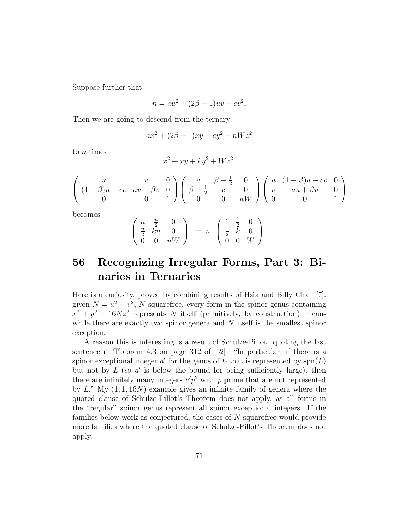Suppose further that

$$
n = au^2 + (2\beta - 1)uv + cv^2.
$$

Then we are going to descend from the ternary

$$
ax^{2} + (2\beta - 1)xy + cy^{2} + nWz^{2}
$$

to n times

$$
x^2 + xy + ky^2 + Wz^2.
$$

$$
\left( \begin{array}{ccc} u & v & 0 \\ (1-\beta)u - cv & au + \beta v & 0 \\ 0 & 0 & 1 \end{array} \right) \left( \begin{array}{ccc} a & \beta - \frac{1}{2} & 0 \\ \beta - \frac{1}{2} & c & 0 \\ 0 & 0 & nW \end{array} \right) \left( \begin{array}{ccc} u & (1-\beta)u - cv & 0 \\ v & au + \beta v & 0 \\ 0 & 0 & 1 \end{array} \right)
$$

becomes

$$
\left(\begin{array}{ccc} n & \frac{n}{2} & 0 \\ \frac{n}{2} & kn & 0 \\ 0 & 0 & nW \end{array}\right) = n \left(\begin{array}{ccc} 1 & \frac{1}{2} & 0 \\ \frac{1}{2} & k & 0 \\ 0 & 0 & W \end{array}\right).
$$

## 56 Recognizing Irregular Forms, Part 3: Binaries in Ternaries

Here is a curiosity, proved by combining results of Hsia and Billy Chan [7]: given  $N = u^2 + v^2$ , N squarefree, every form in the spinor genus containing  $x^2 + y^2 + 16Nz^2$  represents N itself (primitively, by construction), meanwhile there are exactly two spinor genera and  $N$  itself is the smallest spinor exception.

A reason this is interesting is a result of Schulze-Pillot: quoting the last sentence in Theorem 4.3 on page 312 of [52]: "In particular, if there is a spinor exceptional integer a' for the genus of L that is represented by  $\text{spn}(L)$ but not by  $L$  (so  $a'$  is below the bound for being sufficiently large), then there are infinitely many integers  $a'p^2$  with p prime that are not represented by  $L$ ." My  $(1, 1, 16N)$  example gives an infinite family of genera where the quoted clause of Schulze-Pillot's Theorem does not apply, as all forms in the "regular" spinor genus represent all spinor exceptional integers. If the families below work as conjectured, the cases of N squarefree would provide more families where the quoted clause of Schulze-Pillot's Theorem does not apply.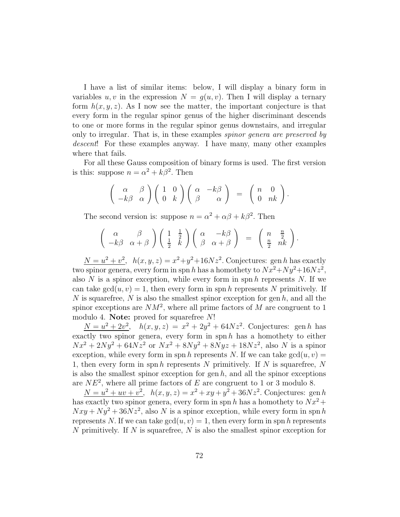I have a list of similar items: below, I will display a binary form in variables u, v in the expression  $N = g(u, v)$ . Then I will display a ternary form  $h(x, y, z)$ . As I now see the matter, the important conjecture is that every form in the regular spinor genus of the higher discriminant descends to one or more forms in the regular spinor genus downstairs, and irregular only to irregular. That is, in these examples *spinor genera are preserved by descent*! For these examples anyway. I have many, many other examples where that fails.

For all these Gauss composition of binary forms is used. The first version is this: suppose  $n = \alpha^2 + k\beta^2$ . Then

$$
\begin{pmatrix} \alpha & \beta \\ -k\beta & \alpha \end{pmatrix} \begin{pmatrix} 1 & 0 \\ 0 & k \end{pmatrix} \begin{pmatrix} \alpha & -k\beta \\ \beta & \alpha \end{pmatrix} = \begin{pmatrix} n & 0 \\ 0 & nk \end{pmatrix}.
$$

The second version is: suppose  $n = \alpha^2 + \alpha\beta + k\beta^2$ . Then

$$
\begin{pmatrix}\n\alpha & \beta \\
-k\beta & \alpha+\beta\n\end{pmatrix}\n\begin{pmatrix}\n1 & \frac{1}{2} \\
\frac{1}{2} & k\n\end{pmatrix}\n\begin{pmatrix}\n\alpha & -k\beta \\
\beta & \alpha+\beta\n\end{pmatrix} = \begin{pmatrix}\nn & \frac{n}{2} \\
\frac{n}{2} & nk\n\end{pmatrix}.
$$

 $N = u^2 + v^2$ ,  $h(x, y, z) = x^2 + y^2 + 16Nz^2$ . Conjectures: gen h has exactly two spinor genera, every form in spn h has a homothety to  $Nx^2 + Ny^2 + 16Nz^2$ , also  $N$  is a spinor exception, while every form in spn  $h$  represents  $N$ . If we can take  $gcd(u, v) = 1$ , then every form in spn h represents N primitively. If N is squarefree, N is also the smallest spinor exception for gen  $h$ , and all the spinor exceptions are  $NM^2$ , where all prime factors of M are congruent to 1 modulo 4. Note: proved for squarefree N!

 $N = u^2 + 2v^2$ ,  $h(x, y, z) = x^2 + 2y^2 + 64Nz^2$ . Conjectures: gen h has exactly two spinor genera, every form in spn  $h$  has a homothety to either  $Nx^{2} + 2Ny^{2} + 64Nz^{2}$  or  $Nx^{2} + 8Ny^{2} + 8Ny^{2} + 18Nz^{2}$ , also N is a spinor exception, while every form in spn h represents N. If we can take  $gcd(u, v) =$ 1, then every form in spn h represents N primitively. If N is squarefree,  $N$ is also the smallest spinor exception for gen  $h$ , and all the spinor exceptions are  $NE^2$ , where all prime factors of E are congruent to 1 or 3 modulo 8.

 $N = u^2 + uv + v^2$ ,  $h(x, y, z) = x^2 + xy + y^2 + 36Nz^2$ . Conjectures: gen h has exactly two spinor genera, every form in spn h has a homothety to  $\tilde{N}x^2 +$  $Nxy + Ny^2 + 36Nz^2$ , also N is a spinor exception, while every form in spn h represents N. If we can take  $gcd(u, v) = 1$ , then every form in spn h represents N primitively. If N is squarefree, N is also the smallest spinor exception for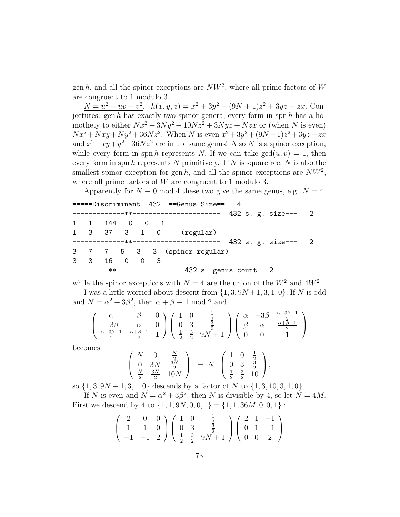gen h, and all the spinor exceptions are  $NW^2$ , where all prime factors of W are congruent to 1 modulo 3.

 $N = u^2 + uv + v^2$ ,  $h(x, y, z) = x^2 + 3y^2 + (9N + 1)z^2 + 3yz + zx$ . Conjectures: gen h has exactly two spinor genera, every form in spn h has a homothety to either  $Nx^2 + 3Ny^2 + 10Nz^2 + 3Nyz + Nzx$  or (when N is even)  $Nx^2 + Nxy + Ny^2 + 36Nz^2$ . When N is even  $x^2 + 3y^2 + (9N + 1)z^2 + 3yz + zx$ and  $x^2 + xy + y^2 + 36Nz^2$  are in the same genus! Also N is a spinor exception, while every form in spn h represents N. If we can take  $gcd(u, v) = 1$ , then every form in spn  $h$  represents  $N$  primitively. If  $N$  is squarefree,  $N$  is also the smallest spinor exception for gen h, and all the spinor exceptions are  $NW^2$ , where all prime factors of W are congruent to 1 modulo 3.

Apparently for  $N \equiv 0 \mod 4$  these two give the same genus, e.g.  $N = 4$ 

|  |               |  | =====Discriminant 432 ==Genus Size== 4 |  |
|--|---------------|--|----------------------------------------|--|
|  |               |  |                                        |  |
|  | 1 1 144 0 0 1 |  |                                        |  |
|  |               |  | 1 3 37 3 1 0 (regular)                 |  |
|  |               |  |                                        |  |
|  |               |  | 3 7 7 5 3 3 (spinor regular)           |  |
|  | 3 3 16 0 0 3  |  |                                        |  |
|  |               |  |                                        |  |

while the spinor exceptions with  $N = 4$  are the union of the  $W^2$  and  $4W^2$ .

I was a little worried about descent from  $\{1, 3, 9N+1, 3, 1, 0\}$ . If N is odd and  $N = \alpha^2 + 3\beta^2$ , then  $\alpha + \beta \equiv 1 \mod 2$  and

$$
\left(\begin{array}{ccc}\alpha&\beta&0\\-3\beta&\alpha&0\\ \frac{\alpha-3\beta-1}{2}&\frac{\alpha+\beta-1}{2}&1\end{array}\right)\left(\begin{array}{ccc}1&0&\frac{1}{2}\\0&3&\frac{3}{2}\\ \frac{1}{2}&\frac{3}{2}&9N+1\end{array}\right)\left(\begin{array}{ccc}\alpha&-3\beta&\frac{\alpha-3\beta-1}{2}\\ \beta&\alpha&\frac{\alpha+\beta-1}{2}\\0&0&1\end{array}\right)
$$

becomes

$$
\begin{pmatrix}\nN & 0 & \frac{N}{2} \\
0 & 3N & \frac{3N}{2} \\
\frac{N}{2} & \frac{3N}{2} & 10N\n\end{pmatrix} = N \begin{pmatrix}\n1 & 0 & \frac{1}{2} \\
0 & 3 & \frac{3}{2} \\
\frac{1}{2} & \frac{3}{2} & 10\n\end{pmatrix},
$$

so  $\{1, 3, 9N + 1, 3, 1, 0\}$  descends by a factor of N to  $\{1, 3, 10, 3, 1, 0\}$ .

If N is even and  $N = \alpha^2 + 3\beta^2$ , then N is divisible by 4, so let  $N = 4M$ . First we descend by 4 to  $\{1, 1, 9N, 0, 0, 1\} = \{1, 1, 36M, 0, 0, 1\}$ :

$$
\left(\begin{array}{rrr}2 & 0 & 0\\1 & 1 & 0\\-1 & -1 & 2\end{array}\right)\left(\begin{array}{rrr}1 & 0 & \frac{1}{2}\\0 & 3 & \frac{3}{2}\\ \frac{1}{2} & \frac{3}{2} & 9N+1\end{array}\right)\left(\begin{array}{rrr}2 & 1 & -1\\0 & 1 & -1\\0 & 0 & 2\end{array}\right)
$$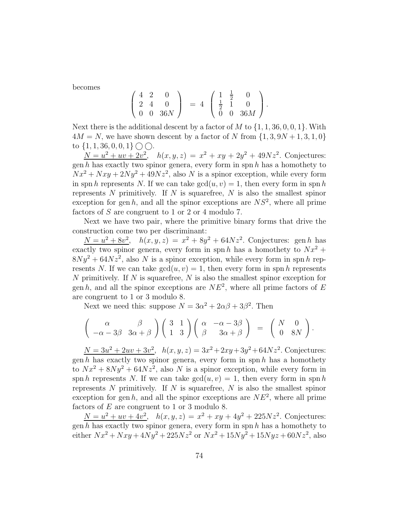becomes

$$
\left(\begin{array}{ccc} 4 & 2 & 0 \\ 2 & 4 & 0 \\ 0 & 0 & 36N \end{array}\right) = 4 \left(\begin{array}{ccc} 1 & \frac{1}{2} & 0 \\ \frac{1}{2} & 1 & 0 \\ 0 & 0 & 36M \end{array}\right).
$$

Next there is the additional descent by a factor of M to  $\{1, 1, 36, 0, 0, 1\}$ . With  $4M = N$ , we have shown descent by a factor of N from  $\{1, 3, 9N + 1, 3, 1, 0\}$ to  $\{1, 1, 36, 0, 0, 1\} \cap \bigcirc$ .

 $N = u^2 + uv + 2v^2$ ,  $h(x, y, z) = x^2 + xy + 2y^2 + 49Nz^2$ . Conjectures: gen h has exactly two spinor genera, every form in spn h has a homothety to  $Nx^2 + Nxy + 2Ny^2 + 49Nz^2$ , also N is a spinor exception, while every form in spn h represents N. If we can take  $gcd(u, v) = 1$ , then every form in spn h represents  $N$  primitively. If  $N$  is squarefree,  $N$  is also the smallest spinor exception for gen h, and all the spinor exceptions are  $NS<sup>2</sup>$ , where all prime factors of  $S$  are congruent to 1 or 2 or 4 modulo 7.

Next we have two pair, where the primitive binary forms that drive the construction come two per discriminant:

 $N = u^2 + 8v^2$ ,  $h(x, y, z) = x^2 + 8y^2 + 64Nz^2$ . Conjectures: gen h has exactly two spinor genera, every form in spn h has a homothety to  $Nx^2 +$  $8Ny^{2} + 64Nz^{2}$ , also N is a spinor exception, while every form in spn h represents N. If we can take  $gcd(u, v) = 1$ , then every form in spn h represents N primitively. If  $N$  is squarefree,  $N$  is also the smallest spinor exception for gen h, and all the spinor exceptions are  $NE^2$ , where all prime factors of E are congruent to 1 or 3 modulo 8.

Next we need this: suppose  $N = 3\alpha^2 + 2\alpha\beta + 3\beta^2$ . Then

$$
\begin{pmatrix}\n\alpha & \beta \\
-\alpha - 3\beta & 3\alpha + \beta\n\end{pmatrix}\n\begin{pmatrix}\n3 & 1 \\
1 & 3\n\end{pmatrix}\n\begin{pmatrix}\n\alpha & -\alpha - 3\beta \\
\beta & 3\alpha + \beta\n\end{pmatrix} = \begin{pmatrix}\nN & 0 \\
0 & 8N\n\end{pmatrix}.
$$

 $N = 3u^2 + 2uv + 3v^2$ ,  $h(x, y, z) = 3x^2 + 2xy + 3y^2 + 64Nz^2$ . Conjectures: gen h has exactly two spinor genera, every form in spn h has a homothety to  $Nx^2 + 8Ny^2 + 64Nz^2$ , also N is a spinor exception, while every form in spn h represents N. If we can take  $gcd(u, v) = 1$ , then every form in spn h represents  $N$  primitively. If  $N$  is squarefree,  $N$  is also the smallest spinor exception for gen h, and all the spinor exceptions are  $NE^2$ , where all prime factors of  $E$  are congruent to 1 or 3 modulo 8.

 $N = u^2 + uv + 4v^2$ ,  $h(x, y, z) = x^2 + xy + 4y^2 + 225Nz^2$ . Conjectures: gen  $h$  has exactly two spinor genera, every form in spn  $h$  has a homothety to either  $Nx^2 + Nxy + 4Ny^2 + 225Nz^2$  or  $Nx^2 + 15Ny^2 + 15Nyz + 60Nz^2$ , also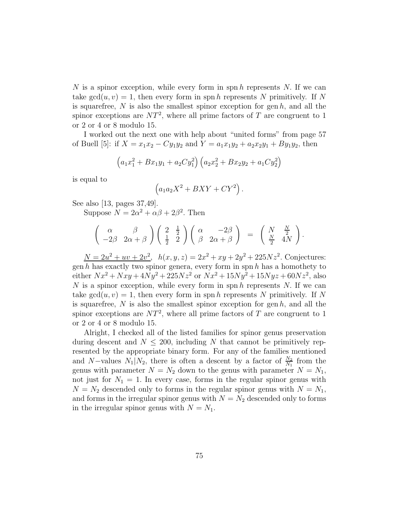N is a spinor exception, while every form in spn h represents N. If we can take  $gcd(u, v) = 1$ , then every form in spn h represents N primitively. If N is squarefree,  $N$  is also the smallest spinor exception for gen  $h$ , and all the spinor exceptions are  $NT^2$ , where all prime factors of T are congruent to 1 or 2 or 4 or 8 modulo 15.

I worked out the next one with help about "united forms" from page 57 of Buell [5]: if  $X = x_1x_2 - Cy_1y_2$  and  $Y = a_1x_1y_2 + a_2x_2y_1 + By_1y_2$ , then

$$
(a_1x_1^2 + Bx_1y_1 + a_2Cy_1^2)(a_2x_2^2 + Bx_2y_2 + a_1Cy_2^2)
$$

is equal to

$$
(a_1a_2X^2 + BXY + CY^2).
$$

See also [13, pages 37,49].

Suppose  $N = 2\alpha^2 + \alpha\beta + 2\beta^2$ . Then

$$
\begin{pmatrix}\n\alpha & \beta \\
-2\beta & 2\alpha + \beta\n\end{pmatrix}\n\begin{pmatrix}\n2 & \frac{1}{2} \\
\frac{1}{2} & 2\n\end{pmatrix}\n\begin{pmatrix}\n\alpha & -2\beta \\
\beta & 2\alpha + \beta\n\end{pmatrix} = \begin{pmatrix}\nN & \frac{N}{2} \\
\frac{N}{2} & 4N\n\end{pmatrix}.
$$

 $N = 2u^2 + uv + 2v^2$ ,  $h(x, y, z) = 2x^2 + xy + 2y^2 + 225Nz^2$ . Conjectures: gen  $h$  has exactly two spinor genera, every form in spn  $h$  has a homothety to either  $Nx^2 + Nxy + 4Ny^2 + 225Nz^2$  or  $Nx^2 + 15Ny^2 + 15Nyz + 60Nz^2$ , also N is a spinor exception, while every form in spn  $h$  represents N. If we can take  $gcd(u, v) = 1$ , then every form in spn h represents N primitively. If N is squarefree,  $N$  is also the smallest spinor exception for gen  $h$ , and all the spinor exceptions are  $NT^2$ , where all prime factors of T are congruent to 1 or 2 or 4 or 8 modulo 15.

Alright, I checked all of the listed families for spinor genus preservation during descent and  $N \leq 200$ , including N that cannot be primitively represented by the appropriate binary form. For any of the families mentioned and N–values  $N_1|N_2$ , there is often a descent by a factor of  $\frac{N_2}{N_1}$  from the genus with parameter  $N = N_2$  down to the genus with parameter  $N = N_1$ , not just for  $N_1 = 1$ . In every case, forms in the regular spinor genus with  $N = N_2$  descended only to forms in the regular spinor genus with  $N = N_1$ , and forms in the irregular spinor genus with  $N = N_2$  descended only to forms in the irregular spinor genus with  $N = N_1$ .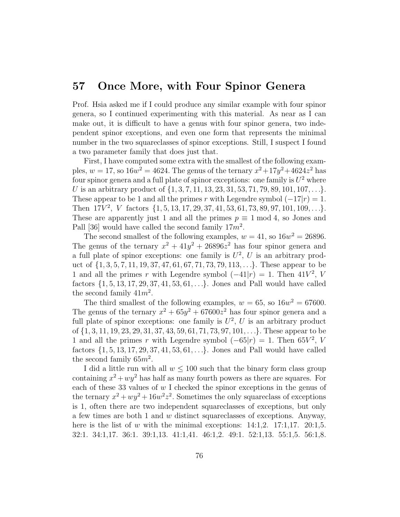# 57 Once More, with Four Spinor Genera

Prof. Hsia asked me if I could produce any similar example with four spinor genera, so I continued experimenting with this material. As near as I can make out, it is difficult to have a genus with four spinor genera, two independent spinor exceptions, and even one form that represents the minimal number in the two squareclasses of spinor exceptions. Still, I suspect I found a two parameter family that does just that.

First, I have computed some extra with the smallest of the following examples,  $w = 17$ , so  $16w^2 = 4624$ . The genus of the ternary  $x^2 + 17y^2 + 4624z^2$  has four spinor genera and a full plate of spinor exceptions: one family is  $U^2$  where U is an arbitrary product of  $\{1, 3, 7, 11, 13, 23, 31, 53, 71, 79, 89, 101, 107, \ldots\}$ . These appear to be 1 and all the primes r with Legendre symbol  $(-17|r) = 1$ . Then  $17V^2$ , V factors  $\{1, 5, 13, 17, 29, 37, 41, 53, 61, 73, 89, 97, 101, 109, \ldots\}$ . These are apparently just 1 and all the primes  $p \equiv 1 \mod 4$ , so Jones and Pall [36] would have called the second family  $17m^2$ .

The second smallest of the following examples,  $w = 41$ , so  $16w^2 = 26896$ . The genus of the ternary  $x^2 + 41y^2 + 26896z^2$  has four spinor genera and a full plate of spinor exceptions: one family is  $U^2$ , U is an arbitrary product of  $\{1, 3, 5, 7, 11, 19, 37, 47, 61, 67, 71, 73, 79, 113, \ldots\}$ . These appear to be 1 and all the primes r with Legendre symbol  $(-41|r) = 1$ . Then  $41V^2$ , V factors  $\{1, 5, 13, 17, 29, 37, 41, 53, 61, \ldots\}$ . Jones and Pall would have called the second family  $41m^2$ .

The third smallest of the following examples,  $w = 65$ , so  $16w^2 = 67600$ . The genus of the ternary  $x^2 + 65y^2 + 67600z^2$  has four spinor genera and a full plate of spinor exceptions: one family is  $U^2$ , U is an arbitrary product of {1, 3, 11, 19, 23, 29, 31, 37, 43, 59, 61, 71, 73, 97, 101, . . .}. These appear to be 1 and all the primes r with Legendre symbol  $(-65|r) = 1$ . Then  $65V^2$ , V factors  $\{1, 5, 13, 17, 29, 37, 41, 53, 61, \ldots\}$ . Jones and Pall would have called the second family  $65m^2$ .

I did a little run with all  $w \leq 100$  such that the binary form class group containing  $x^2 + wy^2$  has half as many fourth powers as there are squares. For each of these 33 values of  $w$  I checked the spinor exceptions in the genus of the ternary  $x^2 + wy^2 + 16w^2z^2$ . Sometimes the only squareclass of exceptions is 1, often there are two independent squareclasses of exceptions, but only a few times are both 1 and w distinct squareclasses of exceptions. Anyway, here is the list of w with the minimal exceptions:  $14:1,2$ .  $17:1,17$ .  $20:1,5$ . 32:1. 34:1,17. 36:1. 39:1,13. 41:1,41. 46:1,2. 49:1. 52:1,13. 55:1,5. 56:1,8.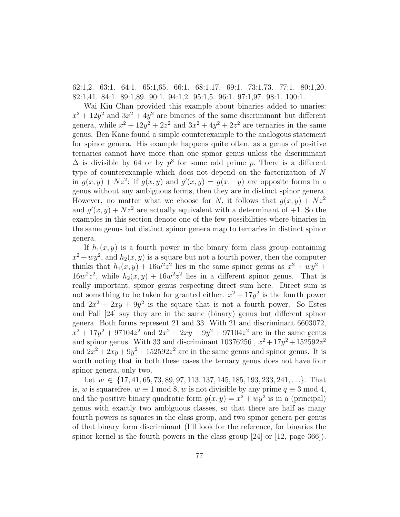62:1,2. 63:1. 64:1. 65:1,65. 66:1. 68:1,17. 69:1. 73:1,73. 77:1. 80:1,20. 82:1,41. 84:1. 89:1,89. 90:1. 94:1,2. 95:1,5. 96:1. 97:1,97. 98:1. 100:1.

Wai Kiu Chan provided this example about binaries added to unaries:  $x^2 + 12y^2$  and  $3x^2 + 4y^2$  are binaries of the same discriminant but different genera, while  $x^2 + 12y^2 + 2z^2$  and  $3x^2 + 4y^2 + 2z^2$  are ternaries in the same genus. Ben Kane found a simple counterexample to the analogous statement for spinor genera. His example happens quite often, as a genus of positive ternaries cannot have more than one spinor genus unless the discriminant  $\Delta$  is divisible by 64 or by  $p^3$  for some odd prime p. There is a different type of counterexample which does not depend on the factorization of N in  $g(x, y) + Nz^2$ : if  $g(x, y)$  and  $g'(x, y) = g(x, -y)$  are opposite forms in a genus without any ambiguous forms, then they are in distinct spinor genera. However, no matter what we choose for N, it follows that  $g(x, y) + Nz^2$ and  $g'(x, y) + Nz^2$  are actually equivalent with a determinant of +1. So the examples in this section denote one of the few possibilities where binaries in the same genus but distinct spinor genera map to ternaries in distinct spinor genera.

If  $h_1(x, y)$  is a fourth power in the binary form class group containing  $x^2 + wy^2$ , and  $h_2(x, y)$  is a square but not a fourth power, then the computer thinks that  $h_1(x, y) + 16w^2z^2$  lies in the same spinor genus as  $x^2 + wy^2 +$  $16w^2z^2$ , while  $h_2(x,y) + 16w^2z^2$  lies in a different spinor genus. That is really important, spinor genus respecting direct sum here. Direct sum is not something to be taken for granted either.  $x^2 + 17y^2$  is the fourth power and  $2x^2 + 2xy + 9y^2$  is the square that is not a fourth power. So Estes and Pall [24] say they are in the same (binary) genus but different spinor genera. Both forms represent 21 and 33. With 21 and discriminant 6603072,  $x^2 + 17y^2 + 97104z^2$  and  $2x^2 + 2xy + 9y^2 + 97104z^2$  are in the same genus and spinor genus. With 33 and discriminant  $10376256$ ,  $x^2 + 17y^2 + 152592z^2$ and  $2x^2 + 2xy + 9y^2 + 152592z^2$  are in the same genus and spinor genus. It is worth noting that in both these cases the ternary genus does not have four spinor genera, only two.

Let  $w \in \{17, 41, 65, 73, 89, 97, 113, 137, 145, 185, 193, 233, 241, \ldots\}$ . That is, w is squarefree,  $w \equiv 1 \mod 8$ , w is not divisible by any prime  $q \equiv 3 \mod 4$ , and the positive binary quadratic form  $g(x, y) = x^2 + wy^2$  is in a (principal) genus with exactly two ambiguous classes, so that there are half as many fourth powers as squares in the class group, and two spinor genera per genus of that binary form discriminant (I'll look for the reference, for binaries the spinor kernel is the fourth powers in the class group [24] or [12, page 366]).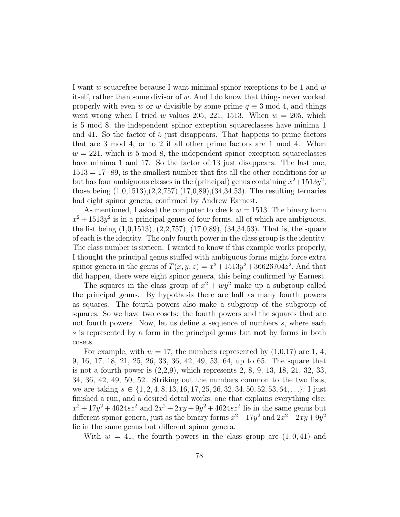I want  $w$  squarefree because I want minimal spinor exceptions to be 1 and  $w$ itself, rather than some divisor of w. And I do know that things never worked properly with even w or w divisible by some prime  $q \equiv 3 \mod 4$ , and things went wrong when I tried w values 205, 221, 1513. When  $w = 205$ , which is 5 mod 8, the independent spinor exception squareclasses have minima 1 and 41. So the factor of 5 just disappears. That happens to prime factors that are 3 mod 4, or to 2 if all other prime factors are 1 mod 4. When  $w = 221$ , which is 5 mod 8, the independent spinor exception squareclasses have minima 1 and 17. So the factor of 13 just disappears. The last one,  $1513 = 17 \cdot 89$ , is the smallest number that fits all the other conditions for w but has four ambiguous classes in the (principal) genus containing  $x^2+1513y^2$ , those being (1,0,1513),(2,2,757),(17,0,89),(34,34,53). The resulting ternaries had eight spinor genera, confirmed by Andrew Earnest.

As mentioned, I asked the computer to check  $w = 1513$ . The binary form  $x^2 + 1513y^2$  is in a principal genus of four forms, all of which are ambiguous, the list being (1,0,1513), (2,2,757), (17,0,89), (34,34,53). That is, the square of each is the identity. The only fourth power in the class group is the identity. The class number is sixteen. I wanted to know if this example works properly, I thought the principal genus stuffed with ambiguous forms might force extra spinor genera in the genus of  $T(x, y, z) = x^2 + 1513y^2 + 36626704z^2$ . And that did happen, there were eight spinor genera, this being confirmed by Earnest.

The squares in the class group of  $x^2 + wy^2$  make up a subgroup called the principal genus. By hypothesis there are half as many fourth powers as squares. The fourth powers also make a subgroup of the subgroup of squares. So we have two cosets: the fourth powers and the squares that are not fourth powers. Now, let us define a sequence of numbers s, where each s is represented by a form in the principal genus but **not** by forms in both cosets.

For example, with  $w = 17$ , the numbers represented by  $(1,0,17)$  are 1, 4, 9, 16, 17, 18, 21, 25, 26, 33, 36, 42, 49, 53, 64, up to 65. The square that is not a fourth power is (2,2,9), which represents 2, 8, 9, 13, 18, 21, 32, 33, 34, 36, 42, 49, 50, 52. Striking out the numbers common to the two lists, we are taking  $s \in \{1, 2, 4, 8, 13, 16, 17, 25, 26, 32, 34, 50, 52, 53, 64, \ldots\}$ . I just finished a run, and a desired detail works, one that explains everything else:  $x^2 + 17y^2 + 4624sz^2$  and  $2x^2 + 2xy + 9y^2 + 4624sz^2$  lie in the same genus but different spinor genera, just as the binary forms  $x^2 + 17y^2$  and  $2x^2 + 2xy + 9y^2$ lie in the same genus but different spinor genera.

With  $w = 41$ , the fourth powers in the class group are  $(1, 0, 41)$  and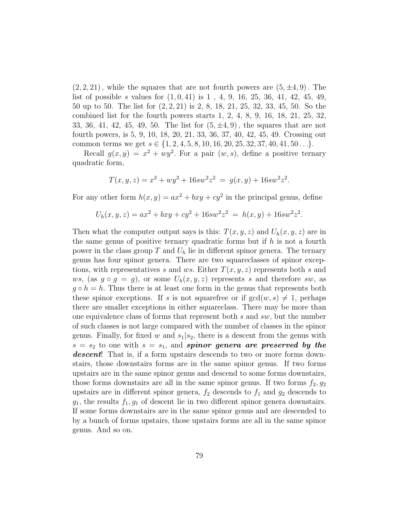$(2, 2, 21)$ , while the squares that are not fourth powers are  $(5, \pm 4, 9)$ . The list of possible s values for  $(1, 0, 41)$  is  $1, 4, 9, 16, 25, 36, 41, 42, 45, 49,$ 50 up to 50. The list for (2, 2, 21) is 2, 8, 18, 21, 25, 32, 33, 45, 50. So the combined list for the fourth powers starts 1, 2, 4, 8, 9, 16, 18, 21, 25, 32, 33, 36, 41, 42, 45, 49, 50. The list for  $(5, \pm 4, 9)$ , the squares that are not fourth powers, is 5, 9, 10, 18, 20, 21, 33, 36, 37, 40, 42, 45, 49. Crossing out common terms we get  $s \in \{1, 2, 4, 5, 8, 10, 16, 20, 25, 32, 37, 40, 41, 50 \ldots\}$ .

Recall  $g(x, y) = x^2 + wy^2$ . For a pair  $(w, s)$ , define a positive ternary quadratic form,

$$
T(x, y, z) = x2 + wy2 + 16sw2z2 = g(x, y) + 16sw2z2.
$$

For any other form  $h(x, y) = ax^2 + bxy + cy^2$  in the principal genus, define

$$
U_h(x, y, z) = ax^2 + bxy + cy^2 + 16sw^2z^2 = h(x, y) + 16sw^2z^2.
$$

Then what the computer output says is this:  $T(x, y, z)$  and  $U_h(x, y, z)$  are in the same genus of positive ternary quadratic forms but if  $h$  is not a fourth power in the class group  $T$  and  $U_h$  lie in different spinor genera. The ternary genus has four spinor genera. There are two squareclasses of spinor exceptions, with representatives s and ws. Either  $T(x, y, z)$  represents both s and ws, (as  $g \circ g = g$ ), or some  $U_h(x, y, z)$  represents s and therefore sw, as  $g \circ h = h$ . Thus there is at least one form in the genus that represents both these spinor exceptions. If s is not squarefree or if  $gcd(w, s) \neq 1$ , perhaps there are smaller exceptions in either squareclass. There may be more than one equivalence class of forms that represent both s and sw, but the number of such classes is not large compared with the number of classes in the spinor genus. Finally, for fixed w and  $s_1|s_2$ , there is a descent from the genus with  $s = s_2$  to one with  $s = s_1$ , and spinor genera are preserved by the descent! That is, if a form upstairs descends to two or more forms downstairs, those downstairs forms are in the same spinor genus. If two forms upstairs are in the same spinor genus and descend to some forms downstairs, those forms downstairs are all in the same spinor genus. If two forms  $f_2, g_2$ upstairs are in different spinor genera,  $f_2$  descends to  $f_1$  and  $g_2$  descends to  $g_1$ , the results  $f_1, g_1$  of descent lie in two different spinor genera downstairs. If some forms downstairs are in the same spinor genus and are descended to by a bunch of forms upstairs, those upstairs forms are all in the same spinor genus. And so on.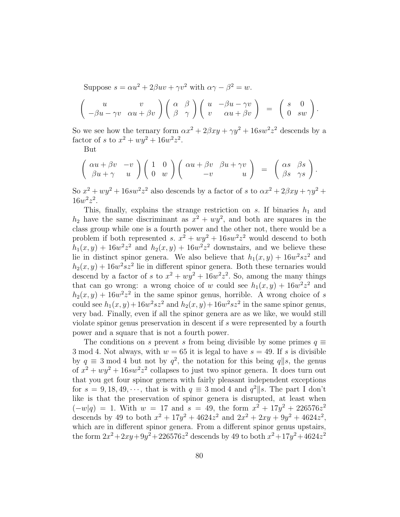Suppose  $s = \alpha u^2 + 2\beta uv + \gamma v^2$  with  $\alpha \gamma - \beta^2 = w$ .

$$
\begin{pmatrix} u & v \\ -\beta u - \gamma v & \alpha u + \beta v \end{pmatrix} \begin{pmatrix} \alpha & \beta \\ \beta & \gamma \end{pmatrix} \begin{pmatrix} u & -\beta u - \gamma v \\ v & \alpha u + \beta v \end{pmatrix} = \begin{pmatrix} s & 0 \\ 0 & sw \end{pmatrix}.
$$

So we see how the ternary form  $\alpha x^2 + 2\beta xy + \gamma y^2 + 16sw^2z^2$  descends by a factor of s to  $x^2 + wy^2 + 16w^2z^2$ .

But

$$
\begin{pmatrix}\n\alpha u + \beta v & -v \\
\beta u + \gamma & u\n\end{pmatrix}\n\begin{pmatrix}\n1 & 0 \\
0 & w\n\end{pmatrix}\n\begin{pmatrix}\n\alpha u + \beta v & \beta u + \gamma v \\
-v & u\n\end{pmatrix} = \begin{pmatrix}\n\alpha s & \beta s \\
\beta s & \gamma s\n\end{pmatrix}.
$$

So  $x^2 + wy^2 + 16sw^2z^2$  also descends by a factor of s to  $\alpha x^2 + 2\beta xy + \gamma y^2 +$  $16w^2z^2$ .

This, finally, explains the strange restriction on s. If binaries  $h_1$  and  $h_2$  have the same discriminant as  $x^2 + wy^2$ , and both are squares in the class group while one is a fourth power and the other not, there would be a problem if both represented s.  $x^2 + wy^2 + 16sw^2z^2$  would descend to both  $h_1(x,y) + 16w^2z^2$  and  $h_2(x,y) + 16w^2z^2$  downstairs, and we believe these lie in distinct spinor genera. We also believe that  $h_1(x, y) + 16w^2sz^2$  and  $h_2(x, y) + 16w^2sz^2$  lie in different spinor genera. Both these ternaries would descend by a factor of s to  $x^2 + wy^2 + 16w^2z^2$ . So, among the many things that can go wrong: a wrong choice of w could see  $h_1(x, y) + 16w^2z^2$  and  $h_2(x, y) + 16w^2z^2$  in the same spinor genus, horrible. A wrong choice of s could see  $h_1(x, y) + 16w^2sz^2$  and  $h_2(x, y) + 16w^2sz^2$  in the same spinor genus, very bad. Finally, even if all the spinor genera are as we like, we would still violate spinor genus preservation in descent if s were represented by a fourth power and a square that is not a fourth power.

The conditions on s prevent s from being divisible by some primes  $q \equiv$ 3 mod 4. Not always, with  $w = 65$  it is legal to have  $s = 49$ . If s is divisible by  $q \equiv 3 \mod 4$  but not by  $q^2$ , the notation for this being  $q||s$ , the genus of  $x^2 + wy^2 + 16sw^2z^2$  collapses to just two spinor genera. It does turn out that you get four spinor genera with fairly pleasant independent exceptions for  $s = 9, 18, 49, \dots$ , that is with  $q \equiv 3 \mod 4$  and  $q^2 || s$ . The part I don't like is that the preservation of spinor genera is disrupted, at least when  $(-w|q) = 1$ . With  $w = 17$  and  $s = 49$ , the form  $x^2 + 17y^2 + 226576z^2$ descends by 49 to both  $x^2 + 17y^2 + 4624z^2$  and  $2x^2 + 2xy + 9y^2 + 4624z^2$ , which are in different spinor genera. From a different spinor genus upstairs, the form  $2x^2 + 2xy + 9y^2 + 226576z^2$  descends by 49 to both  $x^2 + 17y^2 + 4624z^2$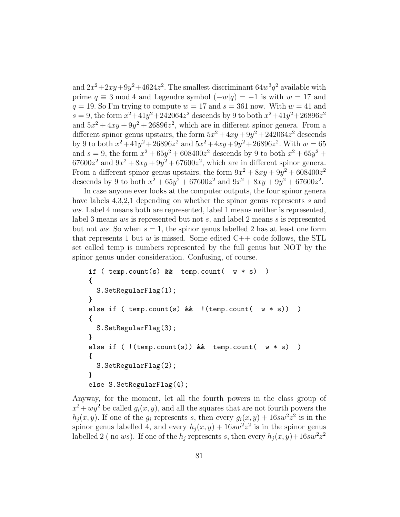and  $2x^2+2xy+9y^2+4624z^2$ . The smallest discriminant  $64w^3q^2$  available with prime  $q \equiv 3 \mod 4$  and Legendre symbol  $(-w|q) = -1$  is with  $w = 17$  and  $q = 19$ . So I'm trying to compute  $w = 17$  and  $s = 361$  now. With  $w = 41$  and  $s = 9$ , the form  $x^2 + 41y^2 + 242064z^2$  descends by 9 to both  $x^2 + 41y^2 + 26896z^2$ and  $5x^2 + 4xy + 9y^2 + 26896z^2$ , which are in different spinor genera. From a different spinor genus upstairs, the form  $5x^2 + 4xy + 9y^2 + 242064z^2$  descends by 9 to both  $x^2 + 41y^2 + 26896z^2$  and  $5x^2 + 4xy + 9y^2 + 26896z^2$ . With  $w = 65$ and  $s = 9$ , the form  $x^2 + 65y^2 + 608400z^2$  descends by 9 to both  $x^2 + 65y^2 +$  $67600z<sup>2</sup>$  and  $9x<sup>2</sup> + 8xy + 9y<sup>2</sup> + 67600z<sup>2</sup>$ , which are in different spinor genera. From a different spinor genus upstairs, the form  $9x^2 + 8xy + 9y^2 + 608400z^2$ descends by 9 to both  $x^2 + 65y^2 + 67600z^2$  and  $9x^2 + 8xy + 9y^2 + 67600z^2$ .

In case anyone ever looks at the computer outputs, the four spinor genera have labels 4,3,2,1 depending on whether the spinor genus represents s and ws. Label 4 means both are represented, label 1 means neither is represented, label 3 means ws is represented but not s, and label 2 means s is represented but not ws. So when  $s = 1$ , the spinor genus labelled 2 has at least one form that represents 1 but w is missed. Some edited  $C++$  code follows, the STL set called temp is numbers represented by the full genus but NOT by the spinor genus under consideration. Confusing, of course.

```
if ( temp.count(s) \& temp.count( w * s) )
{
  S.SetRegularFlag(1);
}
else if ( temp.count(s) && !(temp.count( w * s)) )
{
  S.SetRegularFlag(3);
}
else if ( !(temp.count(s)) \& temp.count( w * s ) ){
  S.SetRegularFlag(2);
}
else S.SetRegularFlag(4);
```
Anyway, for the moment, let all the fourth powers in the class group of  $x^2 + wy^2$  be called  $g_i(x, y)$ , and all the squares that are not fourth powers the  $h_j(x, y)$ . If one of the  $g_i$  represents s, then every  $g_i(x, y) + 16sw^2z^2$  is in the spinor genus labelled 4, and every  $h_j(x, y) + 16sw^2z^2$  is in the spinor genus labelled 2 (no ws). If one of the  $h_j$  represents s, then every  $h_j(x, y) + 16sw^2z^2$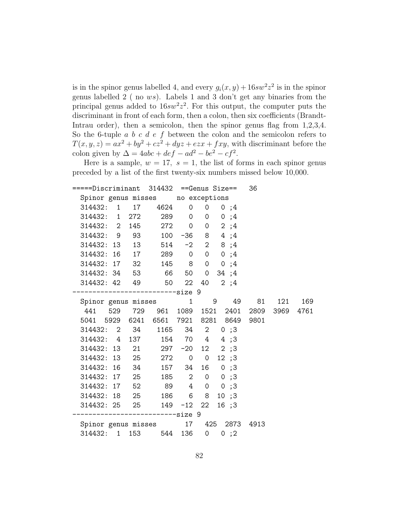is in the spinor genus labelled 4, and every  $g_i(x, y) + 16sw^2z^2$  is in the spinor genus labelled 2 ( no ws). Labels 1 and 3 don't get any binaries from the principal genus added to  $16sw^2z^2$ . For this output, the computer puts the discriminant in front of each form, then a colon, then six coefficients (Brandt-Intrau order), then a semicolon, then the spinor genus flag from  $1,2,3,4$ . So the 6-tuple  $a \, b \, c \, d \, e \, f$  between the colon and the semicolon refers to  $T(x, y, z) = ax^2 + by^2 + cz^2 + dyz + ezx + fxy$ , with discriminant before the colon given by  $\Delta = 4abc + def - ad^2 - be^2 - cf^2$ .

Here is a sample,  $w = 17$ ,  $s = 1$ , the list of forms in each spinor genus preceded by a list of the first twenty-six numbers missed below 10,000.

|  |  |  |         |  |  |                                                                                                                                                           |  |                                                                                                                                                                                                                                                                                                                                                                                                                                                                                                                                                                               | 121                                                                                                                                                         | 169                                            |
|--|--|--|---------|--|--|-----------------------------------------------------------------------------------------------------------------------------------------------------------|--|-------------------------------------------------------------------------------------------------------------------------------------------------------------------------------------------------------------------------------------------------------------------------------------------------------------------------------------------------------------------------------------------------------------------------------------------------------------------------------------------------------------------------------------------------------------------------------|-------------------------------------------------------------------------------------------------------------------------------------------------------------|------------------------------------------------|
|  |  |  |         |  |  |                                                                                                                                                           |  |                                                                                                                                                                                                                                                                                                                                                                                                                                                                                                                                                                               |                                                                                                                                                             | 4761                                           |
|  |  |  |         |  |  |                                                                                                                                                           |  |                                                                                                                                                                                                                                                                                                                                                                                                                                                                                                                                                                               |                                                                                                                                                             |                                                |
|  |  |  |         |  |  |                                                                                                                                                           |  |                                                                                                                                                                                                                                                                                                                                                                                                                                                                                                                                                                               |                                                                                                                                                             |                                                |
|  |  |  |         |  |  |                                                                                                                                                           |  |                                                                                                                                                                                                                                                                                                                                                                                                                                                                                                                                                                               |                                                                                                                                                             |                                                |
|  |  |  |         |  |  |                                                                                                                                                           |  |                                                                                                                                                                                                                                                                                                                                                                                                                                                                                                                                                                               |                                                                                                                                                             |                                                |
|  |  |  |         |  |  |                                                                                                                                                           |  |                                                                                                                                                                                                                                                                                                                                                                                                                                                                                                                                                                               |                                                                                                                                                             |                                                |
|  |  |  |         |  |  |                                                                                                                                                           |  |                                                                                                                                                                                                                                                                                                                                                                                                                                                                                                                                                                               |                                                                                                                                                             |                                                |
|  |  |  |         |  |  |                                                                                                                                                           |  |                                                                                                                                                                                                                                                                                                                                                                                                                                                                                                                                                                               |                                                                                                                                                             |                                                |
|  |  |  |         |  |  |                                                                                                                                                           |  |                                                                                                                                                                                                                                                                                                                                                                                                                                                                                                                                                                               |                                                                                                                                                             |                                                |
|  |  |  |         |  |  |                                                                                                                                                           |  |                                                                                                                                                                                                                                                                                                                                                                                                                                                                                                                                                                               |                                                                                                                                                             |                                                |
|  |  |  |         |  |  |                                                                                                                                                           |  |                                                                                                                                                                                                                                                                                                                                                                                                                                                                                                                                                                               |                                                                                                                                                             |                                                |
|  |  |  |         |  |  |                                                                                                                                                           |  |                                                                                                                                                                                                                                                                                                                                                                                                                                                                                                                                                                               |                                                                                                                                                             |                                                |
|  |  |  |         |  |  |                                                                                                                                                           |  |                                                                                                                                                                                                                                                                                                                                                                                                                                                                                                                                                                               |                                                                                                                                                             |                                                |
|  |  |  |         |  |  |                                                                                                                                                           |  |                                                                                                                                                                                                                                                                                                                                                                                                                                                                                                                                                                               |                                                                                                                                                             |                                                |
|  |  |  | 314432: |  |  | 1 17 4624 0<br>314432: 2 145 272 0<br>------------------------size 9<br>314432: 16 34 157 34<br>314432: 18 25 186 6 8<br>--------------------------size 9 |  | Spinor genus misses no exceptions<br>$0 \t 0 ; 4$<br>314432: 1 272 289 0 0 0 ;4<br>$0 \t 2 \t ; 4$<br>314432: 9 93 100 -36 8 4;4<br>314432: 13  13  514  -2  2  8  ;4<br>314432: 16 17 289 0 0 0 ;4<br>314432: 17 32 145 8 0 0;4<br>314432: 34 53 66 50 0 34 ; 4<br>314432: 42 49 50 22 40 2;4<br>314432: 2 34 1165 34 2 0;3<br>314432: 4 137 154 70 4 4 ;3<br>314432: 13 21 297 -20 12 2;3<br>314432: 13 25 272 0 0 12 ;3<br>$16 \t 0 ; 3$<br>314432: 17 25 185 2 0 0;3<br>314432: 17 52 89 4 0 0;3<br>10;3<br>314432: 25 25 149 -12 22 16 ;3<br>314432: 1 153 544 136 0 0;2 | =====Discriminant 314432 ==Genus Size== 36<br>Spinor genus misses 1 9 49<br>5041 5929 6241 6561 7921 8281 8649 9801<br>Spinor genus misses 17 425 2873 4913 | 81<br>441 529 729 961 1089 1521 2401 2809 3969 |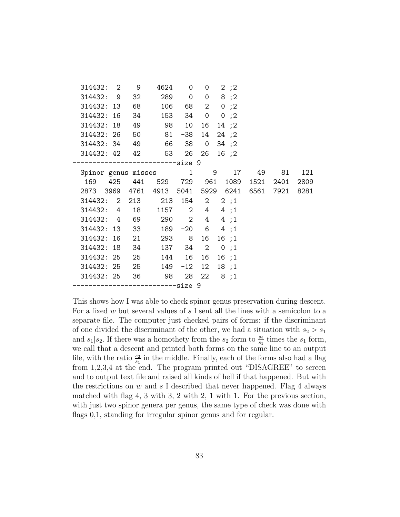| 314432: 2                   |  | 9  | 4624       | $\overline{0}$ | 0               | 2;2                                          |  |           |      |
|-----------------------------|--|----|------------|----------------|-----------------|----------------------------------------------|--|-----------|------|
| 314432: 9                   |  | 32 |            | 289 0          | $\overline{0}$  | 8;2                                          |  |           |      |
| 314432: 13                  |  | 68 | 106        |                | 68 2            | 0;2                                          |  |           |      |
| 314432: 16                  |  | 34 |            |                |                 | 153 34 0 0;2                                 |  |           |      |
| 314432: 18                  |  |    | 49 98      | 10             | 16 <sup>1</sup> | 14 ;2                                        |  |           |      |
| 314432: 26                  |  | 50 |            | 81 -38         | 14              | 24 ;2                                        |  |           |      |
| 314432: 34                  |  |    | 49 66 38 0 |                |                 | 34 ;2                                        |  |           |      |
| 314432: 42 42               |  |    |            |                |                 | 53 26 26 16 ;2                               |  |           |      |
|                             |  |    |            |                |                 |                                              |  |           |      |
| Spinor genus misses 1 9     |  |    |            |                |                 | 17                                           |  | 49 81     | 121  |
|                             |  |    |            |                |                 | 169 425 441 529 729 961 1089                 |  | 1521 2401 | 2809 |
|                             |  |    |            |                |                 | 2873 3969 4761 4913 5041 5929 6241 6561 7921 |  |           | 8281 |
| 314432: 2 213 213 154 2 2;1 |  |    |            |                |                 |                                              |  |           |      |
| 314432: 4 18                |  |    |            |                |                 | 1157 2 4 4;1                                 |  |           |      |
| 314432: 4 69 290 2 4 4;1    |  |    |            |                |                 |                                              |  |           |      |
| 314432: 13 33 189 -20 6 4;1 |  |    |            |                |                 |                                              |  |           |      |
| 314432: 16                  |  |    | 21 293 8   |                |                 | 16 16 ;1                                     |  |           |      |
| 314432: 18                  |  | 34 |            |                |                 | 137 34 2 0;1                                 |  |           |      |
| 314432: 25                  |  | 25 |            | 144 16         | 16              | 16;1                                         |  |           |      |
| 314432: 25 25               |  |    |            | 149 -12        | 12 <sup>°</sup> | 18;1                                         |  |           |      |
| 314432: 25 36               |  |    | - 98       |                | 28 22           | 8;1                                          |  |           |      |
| --------size 9              |  |    |            |                |                 |                                              |  |           |      |
|                             |  |    |            |                |                 |                                              |  |           |      |

This shows how I was able to check spinor genus preservation during descent. For a fixed w but several values of  $s$  I sent all the lines with a semicolon to a separate file. The computer just checked pairs of forms: if the discriminant of one divided the discriminant of the other, we had a situation with  $s_2 > s_1$ and  $s_1|s_2$ . If there was a homothety from the  $s_2$  form to  $\frac{s_2}{s_1}$  times the  $s_1$  form, we call that a descent and printed both forms on the same line to an output file, with the ratio  $\frac{s_2}{s_1}$  in the middle. Finally, each of the forms also had a flag from 1,2,3,4 at the end. The program printed out "DISAGREE" to screen and to output text file and raised all kinds of hell if that happened. But with the restrictions on  $w$  and  $s$  I described that never happened. Flag 4 always matched with flag 4, 3 with 3, 2 with 2, 1 with 1. For the previous section, with just two spinor genera per genus, the same type of check was done with flags 0,1, standing for irregular spinor genus and for regular.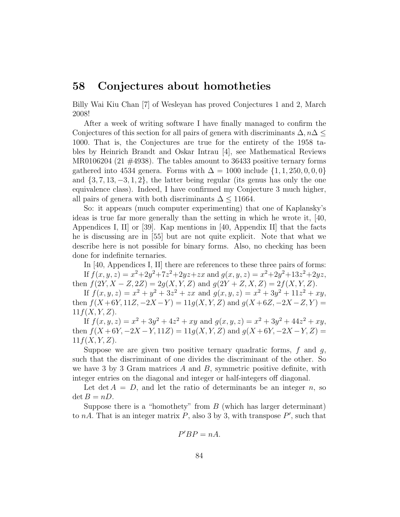### 58 Conjectures about homotheties

Billy Wai Kiu Chan [7] of Wesleyan has proved Conjectures 1 and 2, March 2008!

After a week of writing software I have finally managed to confirm the Conjectures of this section for all pairs of genera with discriminants  $\Delta$ ,  $n\Delta$  < 1000. That is, the Conjectures are true for the entirety of the 1958 tables by Heinrich Brandt and Oskar Intrau [4], see Mathematical Reviews MR0106204 (21  $\#4938$ ). The tables amount to 36433 positive ternary forms gathered into 4534 genera. Forms with  $\Delta = 1000$  include  $\{1, 1, 250, 0, 0, 0\}$ and  $\{3, 7, 13, -3, 1, 2\}$ , the latter being regular (its genus has only the one equivalence class). Indeed, I have confirmed my Conjecture 3 much higher, all pairs of genera with both discriminants  $\Delta$  < 11664.

So: it appears (much computer experimenting) that one of Kaplansky's ideas is true far more generally than the setting in which he wrote it, [40, Appendices I, II] or [39]. Kap mentions in [40, Appendix II] that the facts he is discussing are in [55] but are not quite explicit. Note that what we describe here is not possible for binary forms. Also, no checking has been done for indefinite ternaries.

In [40, Appendices I, II] there are references to these three pairs of forms: If  $f(x, y, z) = x^2 + 2y^2 + 7z^2 + 2yz + zx$  and  $g(x, y, z) = x^2 + 2y^2 + 13z^2 + 2yz$ , then  $f(2Y, X - Z, 2Z) = 2g(X, Y, Z)$  and  $g(2Y + Z, X, Z) = 2f(X, Y, Z)$ .

If  $f(x, y, z) = x^2 + y^2 + 3z^2 + zx$  and  $g(x, y, z) = x^2 + 3y^2 + 11z^2 + xy$ , then  $f(X+6Y, 11Z, -2X-Y) = 11g(X, Y, Z)$  and  $g(X+6Z, -2X-Z, Y) =$  $11f(X, Y, Z)$ .

If  $f(x, y, z) = x^2 + 3y^2 + 4z^2 + xy$  and  $g(x, y, z) = x^2 + 3y^2 + 44z^2 + xy$ , then  $f(X+6Y, -2X-Y, 11Z) = 11g(X, Y, Z)$  and  $g(X+6Y, -2X-Y, Z)$  $11f(X, Y, Z)$ .

Suppose we are given two positive ternary quadratic forms,  $f$  and  $g$ , such that the discriminant of one divides the discriminant of the other. So we have 3 by 3 Gram matrices  $A$  and  $B$ , symmetric positive definite, with integer entries on the diagonal and integer or half-integers off diagonal.

Let det  $A = D$ , and let the ratio of determinants be an integer n, so  $\det B = nD.$ 

Suppose there is a "homothety" from  $B$  (which has larger determinant) to nA. That is an integer matrix  $\tilde{P}$ , also 3 by 3, with transpose  $P'$ , such that

$$
P'BP=nA.
$$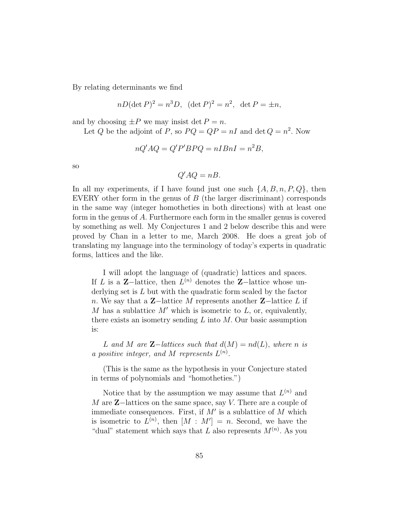By relating determinants we find

$$
nD(\det P)^2 = n^3D
$$
,  $(\det P)^2 = n^2$ ,  $\det P = \pm n$ ,

and by choosing  $\pm P$  we may insist det  $P = n$ .

Let Q be the adjoint of P, so  $PQ = QP = nI$  and  $\det Q = n^2$ . Now

$$
nQ'AQ = Q'P'BPQ = nIBnI = n^2B,
$$

so

$$
Q'AQ = nB.
$$

In all my experiments, if I have found just one such  $\{A, B, n, P, Q\}$ , then EVERY other form in the genus of  $B$  (the larger discriminant) corresponds in the same way (integer homotheties in both directions) with at least one form in the genus of A. Furthermore each form in the smaller genus is covered by something as well. My Conjectures 1 and 2 below describe this and were proved by Chan in a letter to me, March 2008. He does a great job of translating my language into the terminology of today's experts in quadratic forms, lattices and the like.

I will adopt the language of (quadratic) lattices and spaces. If L is a **Z**-lattice, then  $L^{(n)}$  denotes the **Z**-lattice whose underlying set is L but with the quadratic form scaled by the factor n. We say that a  $Z-$ lattice M represents another  $Z-$ lattice L if M has a sublattice  $M'$  which is isometric to  $L$ , or, equivalently, there exists an isometry sending  $L$  into  $M$ . Our basic assumption is:

*L* and *M* are **Z**−*lattices such that*  $d(M) = nd(L)$ *, where n is a positive integer, and*  $M$  *represents*  $L^{(n)}$ .

(This is the same as the hypothesis in your Conjecture stated in terms of polynomials and "homotheties.")

Notice that by the assumption we may assume that  $L^{(n)}$  and M are Z−lattices on the same space, say V. There are a couple of immediate consequences. First, if  $M'$  is a sublattice of  $M$  which is isometric to  $L^{(n)}$ , then  $[M : M'] = n$ . Second, we have the "dual" statement which says that L also represents  $M^{(n)}$ . As you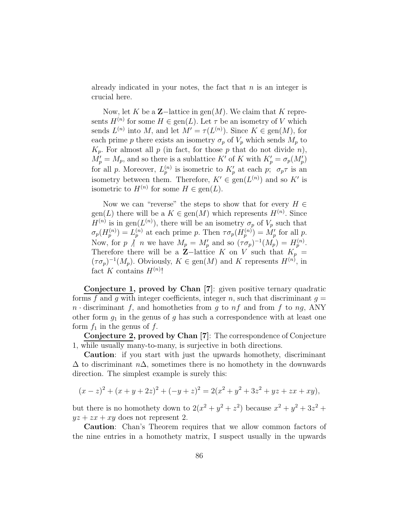already indicated in your notes, the fact that  $n$  is an integer is crucial here.

Now, let K be a  $\mathbb{Z}-$ lattice in gen $(M)$ . We claim that K represents  $H^{(n)}$  for some  $H \in \text{gen}(L)$ . Let  $\tau$  be an isometry of V which sends  $L^{(n)}$  into M, and let  $M' = \tau(L^{(n)})$ . Since  $K \in \text{gen}(M)$ , for each prime p there exists an isometry  $\sigma_p$  of  $V_p$  which sends  $M_p$  to  $K_p$ . For almost all p (in fact, for those p that do not divide n),  $M'_p = M_p$ , and so there is a sublattice K<sup>'</sup> of K with  $K'_p = \sigma_p(M'_p)$ for all p. Moreover,  $L_p^{(n)}$  is isometric to  $K_p'$  at each  $p$ ;  $\sigma_p \tau$  is an isometry between them. Therefore,  $K' \in \text{gen}(L^{(n)})$  and so  $K'$  is isometric to  $H^{(n)}$  for some  $H \in \text{gen}(L)$ .

Now we can "reverse" the steps to show that for every  $H \in$  $\text{gen}(L)$  there will be a  $K \in \text{gen}(M)$  which represents  $H^{(n)}$ . Since  $H^{(n)}$  is in gen( $L^{(n)}$ ), there will be an isometry  $\sigma_p$  of  $V_p$  such that  $\sigma_p(H_p^{(n)}) = L_p^{(n)}$  at each prime p. Then  $\tau \sigma_p(H_p^{(n)}) = M'_p$  for all p. Now, for p  $\bigwedge^n n$  we have  $M_p = M'_p$  and so  $(\tau \sigma_p)^{-1}(M_p) = H_p^{(n)}$ . Therefore there will be a  $Z$ -lattice K on V such that  $K_p$  =  $(\tau \sigma_p)^{-1}(M_p)$ . Obviously,  $K \in \text{gen}(M)$  and K represents  $H^{(n)}$ , in fact K contains  $H^{(n)}!$ 

Conjecture 1, proved by Chan [7]: given positive ternary quadratic forms f and g with integer coefficients, integer n, such that discriminant  $g =$  $n \cdot$  discriminant f, and homotheties from g to  $nf$  and from f to  $ng$ , ANY other form  $g_1$  in the genus of g has such a correspondence with at least one form  $f_1$  in the genus of f.

Conjecture 2, proved by Chan [7]: The correspondence of Conjecture 1, while usually many-to-many, is surjective in both directions.

Caution: if you start with just the upwards homothety, discriminant  $\Delta$  to discriminant  $n\Delta$ , sometimes there is no homothety in the downwards direction. The simplest example is surely this:

$$
(x-z)^{2} + (x + y + 2z)^{2} + (-y + z)^{2} = 2(x^{2} + y^{2} + 3z^{2} + yz + zx + xy),
$$

but there is no homothety down to  $2(x^2 + y^2 + z^2)$  because  $x^2 + y^2 + 3z^2 + z^2$  $yz + zx + xy$  does not represent 2.

Caution: Chan's Theorem requires that we allow common factors of the nine entries in a homothety matrix, I suspect usually in the upwards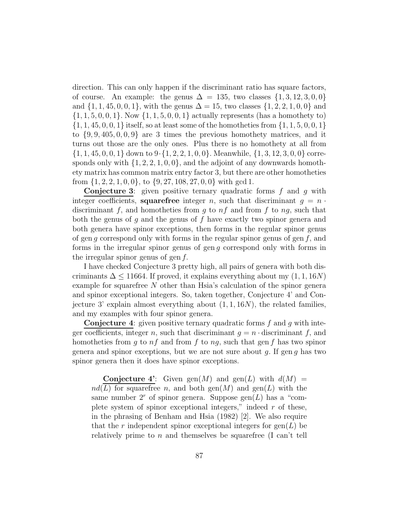direction. This can only happen if the discriminant ratio has square factors, of course. An example: the genus  $\Delta = 135$ , two classes  $\{1, 3, 12, 3, 0, 0\}$ and  $\{1, 1, 45, 0, 0, 1\}$ , with the genus  $\Delta = 15$ , two classes  $\{1, 2, 2, 1, 0, 0\}$  and  $\{1, 1, 5, 0, 0, 1\}$ . Now  $\{1, 1, 5, 0, 0, 1\}$  actually represents (has a homothety to)  $\{1, 1, 45, 0, 0, 1\}$  itself, so at least some of the homotheties from  $\{1, 1, 5, 0, 0, 1\}$ to  $\{9, 9, 405, 0, 0, 9\}$  are 3 times the previous homothety matrices, and it turns out those are the only ones. Plus there is no homothety at all from  $\{1, 1, 45, 0, 0, 1\}$  down to  $9 \cdot \{1, 2, 2, 1, 0, 0\}$ . Meanwhile,  $\{1, 3, 12, 3, 0, 0\}$  corresponds only with  $\{1, 2, 2, 1, 0, 0\}$ , and the adjoint of any downwards homothety matrix has common matrix entry factor 3, but there are other homotheties from  $\{1, 2, 2, 1, 0, 0\}$ , to  $\{9, 27, 108, 27, 0, 0\}$  with gcd 1.

**Conjecture 3:** given positive ternary quadratic forms  $f$  and  $q$  with integer coefficients, squarefree integer n, such that discriminant  $q = n$ . discriminant f, and homotheties from g to  $nf$  and from f to  $ng$ , such that both the genus of q and the genus of  $f$  have exactly two spinor genera and both genera have spinor exceptions, then forms in the regular spinor genus of gen g correspond only with forms in the regular spinor genus of gen  $f$ , and forms in the irregular spinor genus of gen g correspond only with forms in the irregular spinor genus of gen f.

I have checked Conjecture 3 pretty high, all pairs of genera with both discriminants  $\Delta \leq 11664$ . If proved, it explains everything about my  $(1, 1, 16N)$ example for squarefree  $N$  other than Hsia's calculation of the spinor genera and spinor exceptional integers. So, taken together, Conjecture 4' and Conjecture 3' explain almost everything about  $(1, 1, 16N)$ , the related families, and my examples with four spinor genera.

**Conjecture 4:** given positive ternary quadratic forms  $f$  and  $g$  with integer coefficients, integer n, such that discriminant  $g = n \cdot$  discriminant f, and homotheties from q to  $nf$  and from f to  $nq$ , such that gen f has two spinor genera and spinor exceptions, but we are not sure about  $g$ . If gen  $g$  has two spinor genera then it does have spinor exceptions.

**Conjecture 4':** Given gen(M) and gen(L) with  $d(M)$  =  $nd(\overline{L})$  for squarefree n, and both gen(M) and gen(L) with the same number  $2^r$  of spinor genera. Suppose gen(L) has a "complete system of spinor exceptional integers," indeed  $r$  of these, in the phrasing of Benham and Hsia (1982) [2]. We also require that the r independent spinor exceptional integers for  $\text{gen}(L)$  be relatively prime to n and themselves be squarefree (I can't tell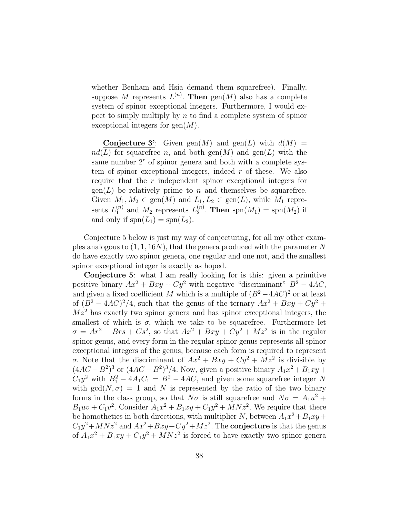whether Benham and Hsia demand them squarefree). Finally, suppose M represents  $L^{(n)}$ . Then  $\text{gen}(M)$  also has a complete system of spinor exceptional integers. Furthermore, I would expect to simply multiply by  $n$  to find a complete system of spinor exceptional integers for  $\text{gen}(M)$ .

**Conjecture 3':** Given gen(M) and gen(L) with  $d(M)$  =  $nd(L)$  for squarefree n, and both  $gen(M)$  and  $gen(L)$  with the same number  $2<sup>r</sup>$  of spinor genera and both with a complete system of spinor exceptional integers, indeed  $r$  of these. We also require that the r independent spinor exceptional integers for  $\text{gen}(L)$  be relatively prime to n and themselves be squarefree. Given  $M_1, M_2 \in \text{gen}(M)$  and  $L_1, L_2 \in \text{gen}(L)$ , while  $M_1$  represents  $L_1^{(n)}$  and  $M_2$  represents  $L_2^{(n)}$  $2^{(n)}$ . Then spn $(M_1) = \text{spn}(M_2)$  if and only if  $\text{spn}(L_1) = \text{spn}(L_2)$ .

Conjecture 5 below is just my way of conjecturing, for all my other examples analogous to  $(1, 1, 16N)$ , that the genera produced with the parameter N do have exactly two spinor genera, one regular and one not, and the smallest spinor exceptional integer is exactly as hoped.

Conjecture 5: what I am really looking for is this: given a primitive positive binary  $Ax^2 + Bxy + Cy^2$  with negative "discriminant"  $B^2 - 4AC$ , and given a fixed coefficient M which is a multiple of  $(B^2 - 4AC)^2$  or at least of  $(B^2 - 4AC)^2/4$ , such that the genus of the ternary  $Ax^2 + Bxy + Cy^2 + C$  $Mz<sup>2</sup>$  has exactly two spinor genera and has spinor exceptional integers, the smallest of which is  $\sigma$ , which we take to be squarefree. Furthermore let  $\sigma = Ar^2 + Brs + Cs^2$ , so that  $Ax^2 + Bxy + Cy^2 + Mz^2$  is in the regular spinor genus, and every form in the regular spinor genus represents all spinor exceptional integers of the genus, because each form is required to represent σ. Note that the discriminant of  $Ax^2 + Bxy + Cy^2 + Mz^2$  is divisible by  $(4AC - B^2)^3$  or  $(4AC - B^2)^3/4$ . Now, given a positive binary  $A_1x^2 + B_1xy + C_1x^2 + C_2x^3$  $C_1y^2$  with  $B_1^2 - 4A_1C_1 = B^2 - 4AC$ , and given some squarefree integer N with  $gcd(N, \sigma) = 1$  and N is represented by the ratio of the two binary forms in the class group, so that  $N\sigma$  is still squarefree and  $N\sigma = A_1u^2 +$  $B_1uv + C_1v^2$ . Consider  $A_1x^2 + B_1xy + C_1y^2 + MNz^2$ . We require that there be homotheties in both directions, with multiplier N, between  $A_1x^2 + B_1xy +$  $C_1y^2 + MNz^2$  and  $Ax^2 + Bxy + Cy^2 + Mz^2$ . The **conjecture** is that the genus of  $A_1x^2 + B_1xy + C_1y^2 + MNz^2$  is forced to have exactly two spinor genera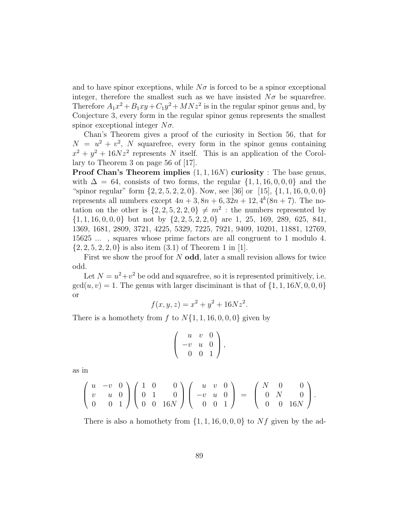and to have spinor exceptions, while  $N\sigma$  is forced to be a spinor exceptional integer, therefore the smallest such as we have insisted  $N\sigma$  be squarefree. Therefore  $A_1x^2 + B_1xy + C_1y^2 + MNz^2$  is in the regular spinor genus and, by Conjecture 3, every form in the regular spinor genus represents the smallest spinor exceptional integer  $N\sigma$ .

Chan's Theorem gives a proof of the curiosity in Section 56, that for  $N = u^2 + v^2$ , N squarefree, every form in the spinor genus containing  $x^2 + y^2 + 16Nz^2$  represents N itself. This is an application of the Corollary to Theorem 3 on page 56 of [17].

**Proof Chan's Theorem implies**  $(1, 1, 16N)$  **curiosity** : The base genus, with  $\Delta = 64$ , consists of two forms, the regular  $\{1, 1, 16, 0, 0, 0\}$  and the "spinor regular" form  $\{2, 2, 5, 2, 2, 0\}$ . Now, see [36] or [15],  $\{1, 1, 16, 0, 0, 0\}$ represents all numbers except  $4n + 3$ ,  $8n + 6$ ,  $32n + 12$ ,  $4^{k}(8n + 7)$ . The notation on the other is  $\{2, 2, 5, 2, 2, 0\} \neq m^2$ : the numbers represented by  $\{1, 1, 16, 0, 0, 0\}$  but not by  $\{2, 2, 5, 2, 2, 0\}$  are 1, 25, 169, 289, 625, 841, 1369, 1681, 2809, 3721, 4225, 5329, 7225, 7921, 9409, 10201, 11881, 12769, 15625 ... , squares whose prime factors are all congruent to 1 modulo 4.  $\{2, 2, 5, 2, 2, 0\}$  is also item  $(3.1)$  of Theorem 1 in [1].

First we show the proof for  $N$  odd, later a small revision allows for twice odd.

Let  $N = u^2 + v^2$  be odd and squarefree, so it is represented primitively, i.e.  $gcd(u, v) = 1$ . The genus with larger disciminant is that of  $\{1, 1, 16N, 0, 0, 0\}$ or

$$
f(x, y, z) = x^2 + y^2 + 16Nz^2.
$$

There is a homothety from f to  $N\{1, 1, 16, 0, 0, 0\}$  given by

$$
\left(\begin{array}{ccc} u & v & 0 \\ -v & u & 0 \\ 0 & 0 & 1 \end{array}\right),
$$

as in

$$
\left(\begin{array}{ccc} u & -v & 0 \\ v & u & 0 \\ 0 & 0 & 1 \end{array}\right) \left(\begin{array}{ccc} 1 & 0 & 0 \\ 0 & 1 & 0 \\ 0 & 0 & 16N \end{array}\right) \left(\begin{array}{ccc} u & v & 0 \\ -v & u & 0 \\ 0 & 0 & 1 \end{array}\right) \ = \ \left(\begin{array}{ccc} N & 0 & 0 \\ 0 & N & 0 \\ 0 & 0 & 16N \end{array}\right).
$$

There is also a homothety from  $\{1, 1, 16, 0, 0, 0\}$  to Nf given by the ad-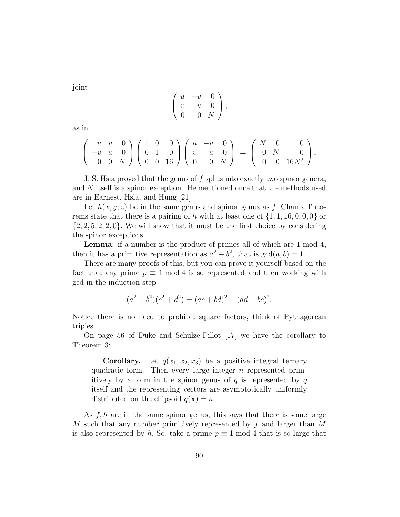joint

$$
\left(\begin{array}{ccc} u & -v & 0 \\ v & u & 0 \\ 0 & 0 & N \end{array}\right),
$$

as in

$$
\left(\begin{array}{ccc} u & v & 0 \\ -v & u & 0 \\ 0 & 0 & N \end{array}\right) \left(\begin{array}{ccc} 1 & 0 & 0 \\ 0 & 1 & 0 \\ 0 & 0 & 16 \end{array}\right) \left(\begin{array}{ccc} u & -v & 0 \\ v & u & 0 \\ 0 & 0 & N \end{array}\right) \ = \ \left(\begin{array}{ccc} N & 0 & 0 \\ 0 & N & 0 \\ 0 & 0 & 16N^2 \end{array}\right).
$$

J. S. Hsia proved that the genus of f splits into exactly two spinor genera, and N itself is a spinor exception. He mentioned once that the methods used are in Earnest, Hsia, and Hung [21].

Let  $h(x, y, z)$  be in the same genus and spinor genus as f. Chan's Theorems state that there is a pairing of h with at least one of  $\{1, 1, 16, 0, 0, 0\}$  or  $\{2, 2, 5, 2, 2, 0\}$ . We will show that it must be the first choice by considering the spinor exceptions.

Lemma: if a number is the product of primes all of which are 1 mod 4, then it has a primitive representation as  $a^2 + b^2$ , that is  $gcd(a, b) = 1$ .

There are many proofs of this, but you can prove it yourself based on the fact that any prime  $p \equiv 1 \mod 4$  is so represented and then working with gcd in the induction step

$$
(a2 + b2)(c2 + d2) = (ac + bd)2 + (ad - bc)2.
$$

Notice there is no need to prohibit square factors, think of Pythagorean triples.

On page 56 of Duke and Schulze-Pillot [17] we have the corollary to Theorem 3:

**Corollary.** Let  $q(x_1, x_2, x_3)$  be a positive integral ternary quadratic form. Then every large integer *n* represented primitively by a form in the spinor genus of  $q$  is represented by  $q$ itself and the representing vectors are asymptotically uniformly distributed on the ellipsoid  $q(\mathbf{x}) = n$ .

As  $f, h$  are in the same spinor genus, this says that there is some large M such that any number primitively represented by  $f$  and larger than M is also represented by h. So, take a prime  $p \equiv 1 \mod 4$  that is so large that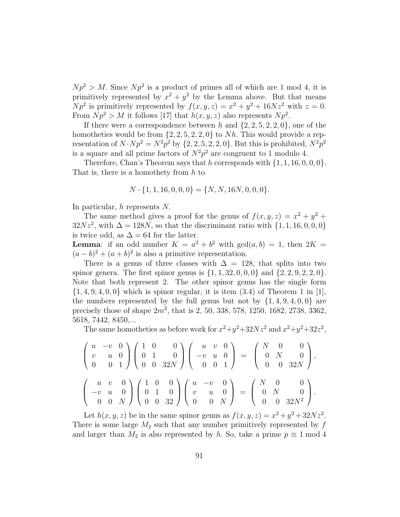$Np^2 > M$ . Since  $Np^2$  is a product of primes all of which are 1 mod 4, it is primitively represented by  $x^2 + y^2$  by the Lemma above. But that means  $Np^2$  is primitively represented by  $f(x, y, z) = x^2 + y^2 + 16Nz^2$  with  $z = 0$ . From  $Np^2 > M$  it follows [17] that  $h(x, y, z)$  also represents  $Np^2$ .

If there were a correspondence between h and  $\{2, 2, 5, 2, 2, 0\}$ , one of the homotheties would be from  $\{2, 2, 5, 2, 2, 0\}$  to Nh. This would provide a representation of  $N \cdot Np^2 = N^2p^2$  by  $\{2, 2, 5, 2, 2, 0\}$ . But this is prohibited,  $N^2p^2$ is a square and all prime factors of  $N^2p^2$  are congruent to 1 modulo 4.

Therefore, Chan's Theorem says that h corresponds with  $\{1, 1, 16, 0, 0, 0\}$ . That is, there is a homothety from h to

$$
N \cdot \{1, 1, 16, 0, 0, 0\} = \{N, N, 16N, 0, 0, 0\}.
$$

In particular, h represents N.

The same method gives a proof for the genus of  $f(x, y, z) = x^2 + y^2 + z^2$  $32Nz^2$ , with  $\Delta = 128N$ , so that the discriminant ratio with  $\{1, 1, 16, 0, 0, 0\}$ is twice odd, as  $\Delta = 64$  for the latter.

**Lemma**: if an odd number  $K = a^2 + b^2$  with  $gcd(a, b) = 1$ , then  $2K =$  $(a - b)^2 + (a + b)^2$  is also a primitive representation.

There is a genus of three classes with  $\Delta = 128$ , that splits into two spinor genera. The first spinor genus is  $\{1, 1, 32, 0, 0, 0\}$  and  $\{2, 2, 9, 2, 2, 0\}$ . Note that both represent 2. The other spinor genus has the single form  $\{1, 4, 9, 4, 0, 0\}$  which is spinor regular, it is item  $(3.4)$  of Theorem 1 in [1], the numbers represented by the full genus but not by  $\{1, 4, 9, 4, 0, 0\}$  are precisely those of shape  $2m^2$ , that is 2, 50, 338, 578, 1250, 1682, 2738, 3362, 5618, 7442, 8450,...

The same homotheties as before work for  $x^2+y^2+32Nz^2$  and  $x^2+y^2+32z^2$ ,

$$
\begin{pmatrix} u & -v & 0 \\ v & u & 0 \\ 0 & 0 & 1 \end{pmatrix} \begin{pmatrix} 1 & 0 & 0 \\ 0 & 1 & 0 \\ 0 & 0 & 32N \end{pmatrix} \begin{pmatrix} u & v & 0 \\ -v & u & 0 \\ 0 & 0 & 1 \end{pmatrix} = \begin{pmatrix} N & 0 & 0 \\ 0 & N & 0 \\ 0 & 0 & 32N \end{pmatrix},
$$

$$
\begin{pmatrix} u & v & 0 \\ -v & u & 0 \\ 0 & 0 & N \end{pmatrix} \begin{pmatrix} 1 & 0 & 0 \\ 0 & 1 & 0 \\ 0 & 0 & 32 \end{pmatrix} \begin{pmatrix} u & -v & 0 \\ v & u & 0 \\ 0 & 0 & N \end{pmatrix} = \begin{pmatrix} N & 0 & 0 \\ 0 & N & 0 \\ 0 & 0 & 32N^2 \end{pmatrix}.
$$

Let  $h(x, y, z)$  be in the same spinor genus as  $f(x, y, z) = x^2 + y^2 + 32Nz^2$ . There is some large  $M_2$  such that any number primitively represented by  $f$ and larger than  $M_2$  is also represented by h. So, take a prime  $p \equiv 1 \mod 4$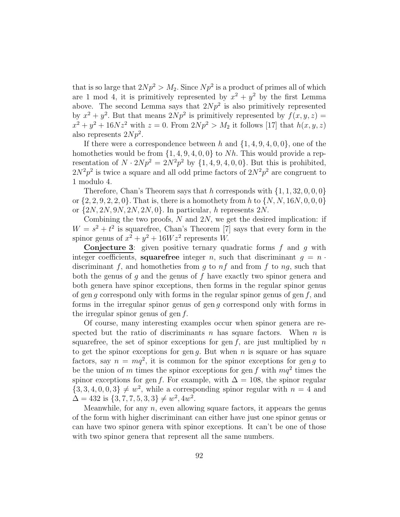that is so large that  $2Np^2 > M_2$ . Since  $Np^2$  is a product of primes all of which are 1 mod 4, it is primitively represented by  $x^2 + y^2$  by the first Lemma above. The second Lemma says that  $2Np^2$  is also primitively represented by  $x^2 + y^2$ . But that means  $2Np^2$  is primitively represented by  $f(x, y, z) =$  $x^2 + y^2 + 16Nz^2$  with  $z = 0$ . From  $2Np^2 > M_2$  it follows [17] that  $h(x, y, z)$ also represents  $2Np^2$ .

If there were a correspondence between h and  $\{1, 4, 9, 4, 0, 0\}$ , one of the homotheties would be from  $\{1, 4, 9, 4, 0, 0\}$  to Nh. This would provide a representation of  $N \cdot 2Np^2 = 2N^2p^2$  by  $\{1, 4, 9, 4, 0, 0\}$ . But this is prohibited,  $2N^2p^2$  is twice a square and all odd prime factors of  $2N^2p^2$  are congruent to 1 modulo 4.

Therefore, Chan's Theorem says that h corresponds with  $\{1, 1, 32, 0, 0, 0\}$ or  $\{2, 2, 9, 2, 2, 0\}$ . That is, there is a homothety from h to  $\{N, N, 16N, 0, 0, 0\}$ or  $\{2N, 2N, 9N, 2N, 2N, 0\}$ . In particular, h represents  $2N$ .

Combining the two proofs,  $N$  and  $2N$ , we get the desired implication: if  $W = s^2 + t^2$  is squarefree, Chan's Theorem [7] says that every form in the spinor genus of  $x^2 + y^2 + 16Wz^2$  represents W.

**Conjecture 3:** given positive ternary quadratic forms  $f$  and  $g$  with integer coefficients, squarefree integer n, such that discriminant  $q = n$ . discriminant f, and homotheties from q to  $nf$  and from f to  $nq$ , such that both the genus of  $g$  and the genus of  $f$  have exactly two spinor genera and both genera have spinor exceptions, then forms in the regular spinor genus of gen q correspond only with forms in the regular spinor genus of gen  $f$ , and forms in the irregular spinor genus of gen g correspond only with forms in the irregular spinor genus of gen  $f$ .

Of course, many interesting examples occur when spinor genera are respected but the ratio of discriminants n has square factors. When  $n$  is squarefree, the set of spinor exceptions for gen f, are just multiplied by n to get the spinor exceptions for gen g. But when  $n$  is square or has square factors, say  $n = mq^2$ , it is common for the spinor exceptions for gen g to be the union of m times the spinor exceptions for gen f with  $mq^2$  times the spinor exceptions for gen f. For example, with  $\Delta = 108$ , the spinor regular  $\{3, 3, 4, 0, 0, 3\} \neq w^2$ , while a corresponding spinor regular with  $n = 4$  and  $\Delta = 432$  is  $\{3, 7, 7, 5, 3, 3\} \neq w^2, 4w^2$ .

Meanwhile, for any  $n$ , even allowing square factors, it appears the genus of the form with higher discriminant can either have just one spinor genus or can have two spinor genera with spinor exceptions. It can't be one of those with two spinor genera that represent all the same numbers.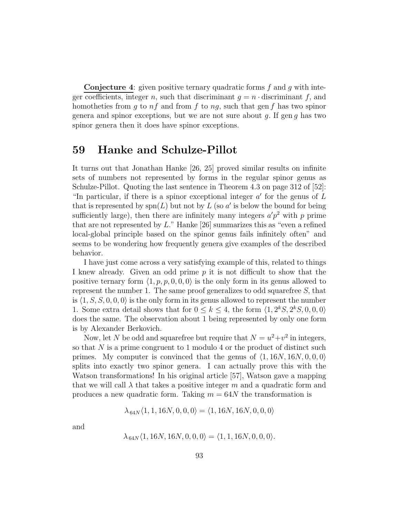**Conjecture 4:** given positive ternary quadratic forms  $f$  and  $g$  with integer coefficients, integer n, such that discriminant  $g = n \cdot$  discriminant f, and homotheties from g to  $nf$  and from f to  $ng$ , such that gen f has two spinor genera and spinor exceptions, but we are not sure about q. If gen q has two spinor genera then it does have spinor exceptions.

# 59 Hanke and Schulze-Pillot

It turns out that Jonathan Hanke [26, 25] proved similar results on infinite sets of numbers not represented by forms in the regular spinor genus as Schulze-Pillot. Quoting the last sentence in Theorem 4.3 on page 312 of [52]: "In particular, if there is a spinor exceptional integer  $a'$  for the genus of  $L$ that is represented by  $\text{spn}(L)$  but not by L (so a' is below the bound for being sufficiently large), then there are infinitely many integers  $a'p^2$  with p prime that are not represented by L." Hanke [26] summarizes this as "even a refined local-global principle based on the spinor genus fails infinitely often" and seems to be wondering how frequently genera give examples of the described behavior.

I have just come across a very satisfying example of this, related to things I knew already. Given an odd prime p it is not difficult to show that the positive ternary form  $\langle 1, p, p, 0, 0, 0 \rangle$  is the only form in its genus allowed to represent the number 1. The same proof generalizes to odd squarefree  $S$ , that is  $\langle 1, S, S, 0, 0, 0 \rangle$  is the only form in its genus allowed to represent the number 1. Some extra detail shows that for  $0 \le k \le 4$ , the form  $\langle 1, 2^kS, 2^kS, 0, 0, 0 \rangle$ does the same. The observation about 1 being represented by only one form is by Alexander Berkovich.

Now, let N be odd and squarefree but require that  $N = u^2 + v^2$  in integers, so that  $N$  is a prime congruent to 1 modulo 4 or the product of distinct such primes. My computer is convinced that the genus of  $\langle 1, 16N, 16N, 0, 0, 0 \rangle$ splits into exactly two spinor genera. I can actually prove this with the Watson transformations! In his original article [57], Watson gave a mapping that we will call  $\lambda$  that takes a positive integer m and a quadratic form and produces a new quadratic form. Taking  $m = 64N$  the transformation is

$$
\lambda_{64N}\langle 1, 1, 16N, 0, 0, 0 \rangle = \langle 1, 16N, 16N, 0, 0, 0 \rangle
$$

and

$$
\lambda_{64N}\langle 1, 16N, 16N, 0, 0, 0 \rangle = \langle 1, 1, 16N, 0, 0, 0 \rangle.
$$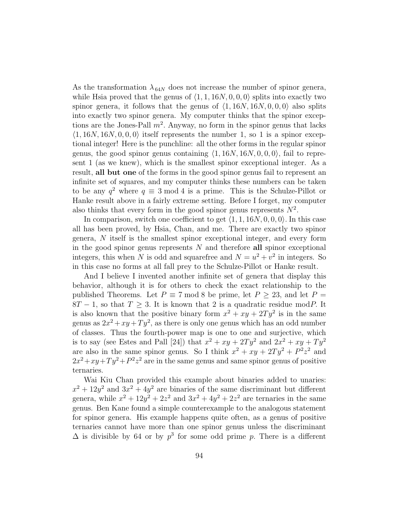As the transformation  $\lambda_{64N}$  does not increase the number of spinor genera, while Hsia proved that the genus of  $\langle 1, 1, 16N, 0, 0, 0 \rangle$  splits into exactly two spinor genera, it follows that the genus of  $\langle 1, 16N, 16N, 0, 0, 0 \rangle$  also splits into exactly two spinor genera. My computer thinks that the spinor exceptions are the Jones-Pall  $m^2$ . Anyway, no form in the spinor genus that lacks  $\langle 1, 16N, 16N, 0, 0, 0 \rangle$  itself represents the number 1, so 1 is a spinor exceptional integer! Here is the punchline: all the other forms in the regular spinor genus, the good spinor genus containing  $\langle 1, 16N, 16N, 0, 0, 0 \rangle$ , fail to represent 1 (as we knew), which is the smallest spinor exceptional integer. As a result, all but one of the forms in the good spinor genus fail to represent an infinite set of squares, and my computer thinks these numbers can be taken to be any  $q^2$  where  $q \equiv 3 \mod 4$  is a prime. This is the Schulze-Pillot or Hanke result above in a fairly extreme setting. Before I forget, my computer also thinks that every form in the good spinor genus represents  $N^2$ .

In comparison, switch one coefficient to get  $\langle 1, 1, 16N, 0, 0, 0 \rangle$ . In this case all has been proved, by Hsia, Chan, and me. There are exactly two spinor genera, N itself is the smallest spinor exceptional integer, and every form in the good spinor genus represents  $N$  and therefore all spinor exceptional integers, this when N is odd and squarefree and  $N = u^2 + v^2$  in integers. So in this case no forms at all fall prey to the Schulze-Pillot or Hanke result.

And I believe I invented another infinite set of genera that display this behavior, although it is for others to check the exact relationship to the published Theorems. Let  $P \equiv 7 \mod 8$  be prime, let  $P > 23$ , and let  $P =$  $8T - 1$ , so that  $T \geq 3$ . It is known that 2 is a quadratic residue modP. It is also known that the positive binary form  $x^2 + xy + 2Ty^2$  is in the same genus as  $2x^2 + xy + Ty^2$ , as there is only one genus which has an odd number of classes. Thus the fourth-power map is one to one and surjective, which is to say (see Estes and Pall [24]) that  $x^2 + xy + 2Ty^2$  and  $2x^2 + xy + Ty^2$ are also in the same spinor genus. So I think  $x^2 + xy + 2Ty^2 + P^2z^2$  and  $2x^2+xy+Ty^2+P^2z^2$  are in the same genus and same spinor genus of positive ternaries.

Wai Kiu Chan provided this example about binaries added to unaries:  $x^2 + 12y^2$  and  $3x^2 + 4y^2$  are binaries of the same discriminant but different genera, while  $x^2 + 12y^2 + 2z^2$  and  $3x^2 + 4y^2 + 2z^2$  are ternaries in the same genus. Ben Kane found a simple counterexample to the analogous statement for spinor genera. His example happens quite often, as a genus of positive ternaries cannot have more than one spinor genus unless the discriminant  $\Delta$  is divisible by 64 or by  $p^3$  for some odd prime p. There is a different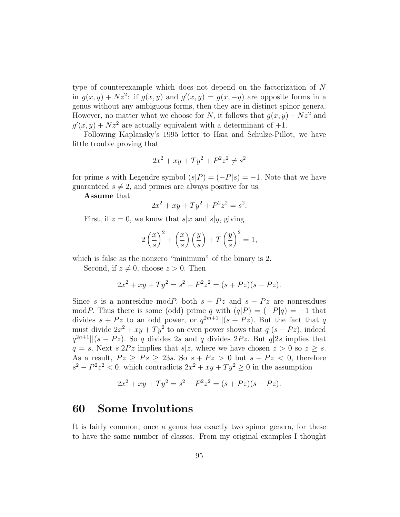type of counterexample which does not depend on the factorization of N in  $g(x, y) + Nz^2$ : if  $g(x, y)$  and  $g'(x, y) = g(x, -y)$  are opposite forms in a genus without any ambiguous forms, then they are in distinct spinor genera. However, no matter what we choose for N, it follows that  $q(x, y) + Nz^2$  and  $g'(x, y) + Nz^2$  are actually equivalent with a determinant of  $+1$ .

Following Kaplansky's 1995 letter to Hsia and Schulze-Pillot, we have little trouble proving that

$$
2x^2 + xy + Ty^2 + P^2z^2 \neq s^2
$$

for prime s with Legendre symbol  $(s|P) = (-P|s) = -1$ . Note that we have guaranteed  $s \neq 2$ , and primes are always positive for us.

Assume that

$$
2x^2 + xy + Ty^2 + P^2z^2 = s^2.
$$

First, if  $z = 0$ , we know that  $s|x$  and  $s|y$ , giving

$$
2\left(\frac{x}{s}\right)^2 + \left(\frac{x}{s}\right)\left(\frac{y}{s}\right) + T\left(\frac{y}{s}\right)^2 = 1,
$$

which is false as the nonzero "minimum" of the binary is 2.

Second, if  $z \neq 0$ , choose  $z > 0$ . Then

$$
2x^2 + xy + Ty^2 = s^2 - P^2 z^2 = (s + Pz)(s - Pz).
$$

Since s is a nonresidue modP, both  $s + Pz$  and  $s - Pz$  are nonresidues modP. Thus there is some (odd) prime q with  $(q|P) = (-P|q) = -1$  that divides  $s + Pz$  to an odd power, or  $q^{2m+1}||(s + Pz)$ . But the fact that q must divide  $2x^2 + xy + Ty^2$  to an even power shows that  $q|(s - Pz)$ , indeed  $q^{2n+1}$ ||(s – Pz). So q divides 2s and q divides 2Pz. But q|2s implies that  $q = s$ . Next  $s|2Pz$  implies that  $s|z$ , where we have chosen  $z > 0$  so  $z \geq s$ . As a result,  $Pz \geq Ps \geq 23s$ . So  $s + Pz > 0$  but  $s - Pz < 0$ , therefore  $s^2 - P^2 z^2 < 0$ , which contradicts  $2x^2 + xy + Ty^2 \ge 0$  in the assumption

$$
2x2 + xy + Ty2 = s2 - P2z2 = (s + Pz)(s - Pz).
$$

## 60 Some Involutions

It is fairly common, once a genus has exactly two spinor genera, for these to have the same number of classes. From my original examples I thought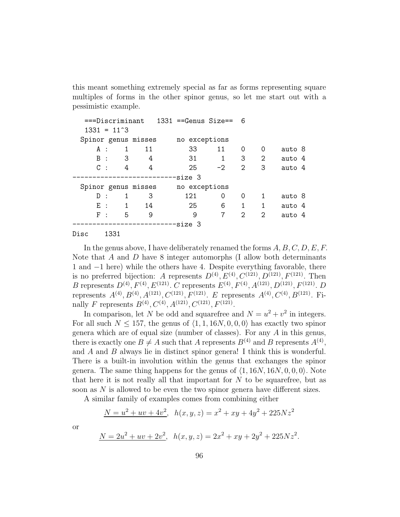this meant something extremely special as far as forms representing square multiples of forms in the other spinor genus, so let me start out with a pessimistic example.

| ===Discriminant      |                            |    | $1331$ ==Genus Size== 6 |           |                             |                             |        |  |
|----------------------|----------------------------|----|-------------------------|-----------|-----------------------------|-----------------------------|--------|--|
| $1331 = 11^{\circ}3$ |                            |    |                         |           |                             |                             |        |  |
| Spinor genus misses  |                            |    | no exceptions           |           |                             |                             |        |  |
| A :                  | $1 \quad$                  | 11 | 33                      | 11        | 0                           | 0                           | auto 8 |  |
| $B$ :                | $\overline{\phantom{a}}$ 3 | 4  | 31                      | $1 \quad$ | 3                           | 2                           | auto 4 |  |
| $C$ :                | $\overline{4}$             | 4  | 25                      | $-2$      | $\overline{2}$              | 3                           | auto 4 |  |
|                      |                            |    | --size 3                |           |                             |                             |        |  |
| Spinor genus misses  |                            |    | no exceptions           |           |                             |                             |        |  |
| D:                   | 1                          | 3  | 121                     | $\Omega$  | 0                           | 1                           | auto 8 |  |
| $E$ :                | 1                          | 14 | 25                      | 6         | $\mathbf 1$                 | 1                           | auto 4 |  |
| $F$ :                | 5                          | 9  | 9                       | 7         | $\mathcal{D}_{\mathcal{L}}$ | $\mathcal{D}_{\mathcal{L}}$ | auto 4 |  |
|                      |                            |    | --------------size 3    |           |                             |                             |        |  |
|                      |                            |    |                         |           |                             |                             |        |  |

#### Disc 1331

In the genus above, I have deliberately renamed the forms  $A, B, C, D, E, F$ . Note that A and D have 8 integer automorphs (I allow both determinants 1 and −1 here) while the others have 4. Despite everything favorable, there is no preferred bijection: A represents  $D^{(4)}$ ,  $E^{(4)}$ ,  $C^{(121)}$ ,  $D^{(121)}$ ,  $F^{(121)}$ . Then B represents  $D^{(4)}$ ,  $F^{(4)}$ ,  $E^{(121)}$ . C represents  $E^{(4)}$ ,  $F^{(4)}$ ,  $A^{(121)}$ ,  $D^{(121)}$ ,  $F^{(121)}$ . D represents  $A^{(4)}, B^{(4)}, A^{(121)}, C^{(121)}, F^{(121)}$ . E represents  $A^{(4)}, C^{(4)}, B^{(121)}$ . Finally F represents  $B^{(4)}$ ,  $C^{(4)}$ ,  $A^{(121)}$ ,  $C^{(121)}$ ,  $F^{(121)}$ .

In comparison, let N be odd and squarefree and  $N = u^2 + v^2$  in integers. For all such  $N \le 157$ , the genus of  $\langle 1, 1, 16N, 0, 0, 0 \rangle$  has exactly two spinor genera which are of equal size (number of classes). For any A in this genus, there is exactly one  $B \neq A$  such that A represents  $B^{(4)}$  and B represents  $A^{(4)}$ , and  $A$  and  $B$  always lie in distinct spinor genera! I think this is wonderful. There is a built-in involution within the genus that exchanges the spinor genera. The same thing happens for the genus of  $\langle 1, 16N, 16N, 0, 0, 0 \rangle$ . Note that here it is not really all that important for  $N$  to be squarefree, but as soon as N is allowed to be even the two spinor genera have different sizes.

A similar family of examples comes from combining either

$$
\underline{N = u^2 + uv + 4v^2}, \ \ h(x, y, z) = x^2 + xy + 4y^2 + 225Nz^2
$$

or

$$
\underline{N = 2u^2 + uv + 2v^2}, \ \ h(x, y, z) = 2x^2 + xy + 2y^2 + 225Nz^2.
$$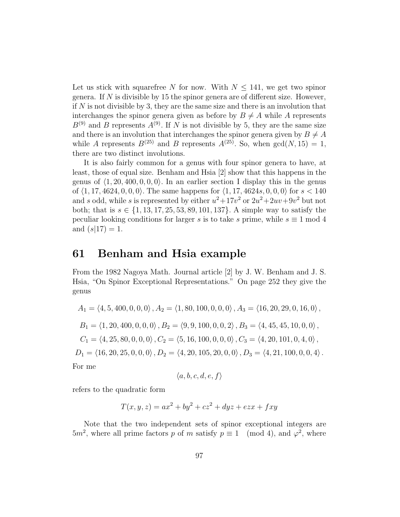Let us stick with squarefree N for now. With  $N \le 141$ , we get two spinor genera. If  $N$  is divisible by 15 the spinor genera are of different size. However, if  $N$  is not divisible by 3, they are the same size and there is an involution that interchanges the spinor genera given as before by  $B \neq A$  while A represents  $B^{(9)}$  and B represents  $A^{(9)}$ . If N is not divisible by 5, they are the same size and there is an involution that interchanges the spinor genera given by  $B \neq A$ while A represents  $B^{(25)}$  and B represents  $A^{(25)}$ . So, when  $gcd(N, 15) = 1$ , there are two distinct involutions.

It is also fairly common for a genus with four spinor genera to have, at least, those of equal size. Benham and Hsia [2] show that this happens in the genus of  $\langle 1, 20, 400, 0, 0, 0 \rangle$ . In an earlier section I display this in the genus of  $\langle 1, 17, 4624, 0, 0, 0 \rangle$ . The same happens for  $\langle 1, 17, 4624s, 0, 0, 0 \rangle$  for  $s < 140$ and s odd, while s is represented by either  $u^2 + 17v^2$  or  $2u^2 + 2uv + 9v^2$  but not both; that is  $s \in \{1, 13, 17, 25, 53, 89, 101, 137\}$ . A simple way to satisfy the peculiar looking conditions for larger s is to take s prime, while  $s \equiv 1 \mod 4$ and  $(s|17) = 1$ .

#### 61 Benham and Hsia example

From the 1982 Nagoya Math. Journal article [2] by J. W. Benham and J. S. Hsia, "On Spinor Exceptional Representations." On page 252 they give the genus

$$
A_1 = \langle 4, 5, 400, 0, 0, 0 \rangle, A_2 = \langle 1, 80, 100, 0, 0, 0 \rangle, A_3 = \langle 16, 20, 29, 0, 16, 0 \rangle,
$$
  
\n
$$
B_1 = \langle 1, 20, 400, 0, 0, 0 \rangle, B_2 = \langle 9, 9, 100, 0, 0, 2 \rangle, B_3 = \langle 4, 45, 45, 10, 0, 0 \rangle,
$$
  
\n
$$
C_1 = \langle 4, 25, 80, 0, 0, 0 \rangle, C_2 = \langle 5, 16, 100, 0, 0, 0 \rangle, C_3 = \langle 4, 20, 101, 0, 4, 0 \rangle,
$$
  
\n
$$
D_1 = \langle 16, 20, 25, 0, 0, 0 \rangle, D_2 = \langle 4, 20, 105, 20, 0, 0 \rangle, D_3 = \langle 4, 21, 100, 0, 0, 4 \rangle.
$$
  
\nFor me

$$
\langle a,b,c,d,e,f \rangle
$$

refers to the quadratic form

$$
T(x, y, z) = ax2 + by2 + cz2 + dyz + ezx + fxy
$$

Note that the two independent sets of spinor exceptional integers are  $5m^2$ , where all prime factors p of m satisfy  $p \equiv 1 \pmod{4}$ , and  $\varphi^2$ , where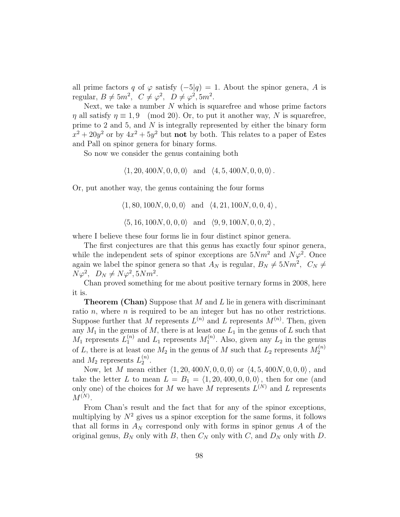all prime factors q of  $\varphi$  satisfy  $(-5|q) = 1$ . About the spinor genera, A is regular,  $B \neq 5m^2$ ,  $C \neq \varphi^2$ ,  $D \neq \varphi^2$ ,  $5m^2$ .

Next, we take a number  $N$  which is squarefree and whose prime factors  $\eta$  all satisfy  $\eta \equiv 1, 9 \pmod{20}$ . Or, to put it another way, N is squarefree, prime to 2 and 5, and  $N$  is integrally represented by either the binary form  $x^2 + 20y^2$  or by  $4x^2 + 5y^2$  but **not** by both. This relates to a paper of Estes and Pall on spinor genera for binary forms.

So now we consider the genus containing both

 $\langle 1, 20, 400N, 0, 0, 0 \rangle$  and  $\langle 4, 5, 400N, 0, 0, 0 \rangle$ .

Or, put another way, the genus containing the four forms

 $\langle 1, 80, 100N, 0, 0, 0 \rangle$  and  $\langle 4, 21, 100N, 0, 0, 4 \rangle$ ,  $\langle 5, 16, 100N, 0, 0, 0 \rangle$  and  $\langle 9, 9, 100N, 0, 0, 2 \rangle$ ,

where I believe these four forms lie in four distinct spinor genera.

The first conjectures are that this genus has exactly four spinor genera, while the independent sets of spinor exceptions are  $5Nm^2$  and  $N\varphi^2$ . Once again we label the spinor genera so that  $A_N$  is regular,  $B_N \neq 5Nm^2$ ,  $C_N \neq$  $N\varphi^2$ ,  $D_N \neq N\varphi^2$ ,  $5Nm^2$ .

Chan proved something for me about positive ternary forms in 2008, here it is.

**Theorem (Chan)** Suppose that  $M$  and  $L$  lie in genera with discriminant ratio n, where  $n$  is required to be an integer but has no other restrictions. Suppose further that M represents  $L^{(n)}$  and L represents  $M^{(n)}$ . Then, given any  $M_1$  in the genus of  $M$ , there is at least one  $L_1$  in the genus of  $L$  such that  $M_1$  represents  $L_1^{(n)}$  and  $L_1$  represents  $M_1^{(n)}$  $1^{(n)}$ . Also, given any  $L_2$  in the genus of L, there is at least one  $M_2$  in the genus of M such that  $L_2$  represents  $M_2^{(n)}$ 2 and  $M_2$  represents  $L_2^{(n)}$  $2^{(n)}$ .

Now, let M mean either  $\langle 1, 20, 400N, 0, 0, 0 \rangle$  or  $\langle 4, 5, 400N, 0, 0, 0 \rangle$ , and take the letter L to mean  $L = B_1 = \langle 1, 20, 400, 0, 0, 0 \rangle$ , then for one (and only one) of the choices for M we have M represents  $L^{(N)}$  and L represents  $M^{(N)}$ .

From Chan's result and the fact that for any of the spinor exceptions, multiplying by  $N^2$  gives us a spinor exception for the same forms, it follows that all forms in  $A_N$  correspond only with forms in spinor genus A of the original genus,  $B_N$  only with B, then  $C_N$  only with  $C$ , and  $D_N$  only with D.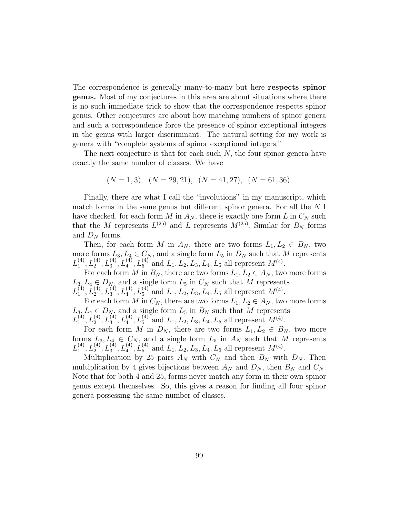The correspondence is generally many-to-many but here respects spinor genus. Most of my conjectures in this area are about situations where there is no such immediate trick to show that the correspondence respects spinor genus. Other conjectures are about how matching numbers of spinor genera and such a correspondence force the presence of spinor exceptional integers in the genus with larger discriminant. The natural setting for my work is genera with "complete systems of spinor exceptional integers."

The next conjecture is that for each such  $N$ , the four spinor genera have exactly the same number of classes. We have

$$
(N = 1, 3), (N = 29, 21), (N = 41, 27), (N = 61, 36).
$$

Finally, there are what I call the "involutions" in my manuscript, which match forms in the same genus but different spinor genera. For all the N I have checked, for each form M in  $A_N$ , there is exactly one form L in  $C_N$  such that the M represents  $L^{(25)}$  and L represents  $M^{(25)}$ . Similar for  $B_N$  forms and  $D_N$  forms.

Then, for each form M in  $A_N$ , there are two forms  $L_1, L_2 \in B_N$ , two more forms  $L_3, L_4 \in C_N$ , and a single form  $L_5$  in  $D_N$  such that M represents  $L_1^{(4)}$  $L_1^{(4)}$ ,  $L_2^{(4)}$ ,  $L_3^{(4)}$ ,  $L_4^{(4)}$ ,  $L_5^{(4)}$  and  $L_1$ ,  $L_2$ ,  $L_3$ ,  $L_4$ ,  $L_5$  all represent  $M^{(4)}$ .

For each form M in  $B_N$ , there are two forms  $L_1, L_2 \in A_N$ , two more forms  $L_3, L_4 \in D_N$ , and a single form  $L_5$  in  $C_N$  such that M represents  $L_1^{(4)}$  $L_1^{(4)}$ ,  $L_2^{(4)}$ ,  $L_3^{(4)}$ ,  $L_4^{(4)}$ ,  $L_5^{(4)}$  and  $L_1$ ,  $L_2$ ,  $L_3$ ,  $L_4$ ,  $L_5$  all represent  $M^{(4)}$ .

For each form M in  $C_N$ , there are two forms  $L_1, L_2 \in A_N$ , two more forms  $L_3, L_4 \in D_N$ , and a single form  $L_5$  in  $B_N$  such that M represents  $L_1^{(4)}$  $L_1^{(4)}$ ,  $L_2^{(4)}$ ,  $L_3^{(4)}$ ,  $L_4^{(4)}$ ,  $L_5^{(4)}$  and  $L_1$ ,  $L_2$ ,  $L_3$ ,  $L_4$ ,  $L_5$  all represent  $M^{(4)}$ .

For each form M in  $D_N$ , there are two forms  $L_1, L_2 \in B_N$ , two more forms  $L_3, L_4 \in C_N$ , and a single form  $L_5$  in  $A_N$  such that M represents  $L_1^{(4)}$  $L_1^{(4)}$ ,  $L_2^{(4)}$ ,  $L_3^{(4)}$ ,  $L_4^{(4)}$ ,  $L_5^{(4)}$  and  $L_1$ ,  $L_2$ ,  $L_3$ ,  $L_4$ ,  $L_5$  all represent  $M^{(4)}$ .

Multiplication by 25 pairs  $A_N$  with  $C_N$  and then  $B_N$  with  $D_N$ . Then multiplication by 4 gives bijections between  $A_N$  and  $D_N$ , then  $B_N$  and  $C_N$ . Note that for both 4 and 25, forms never match any form in their own spinor genus except themselves. So, this gives a reason for finding all four spinor genera possessing the same number of classes.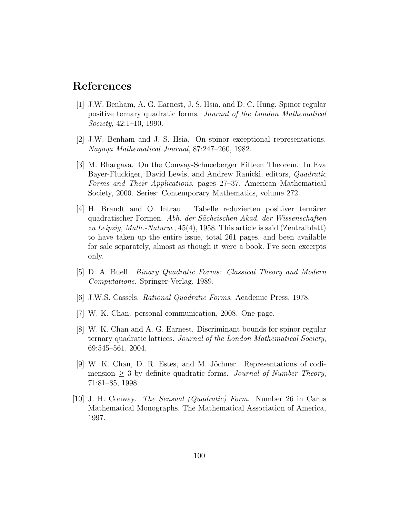# References

- [1] J.W. Benham, A. G. Earnest, J. S. Hsia, and D. C. Hung. Spinor regular positive ternary quadratic forms. *Journal of the London Mathematical Society*, 42:1–10, 1990.
- [2] J.W. Benham and J. S. Hsia. On spinor exceptional representations. *Nagoya Mathematical Journal*, 87:247–260, 1982.
- [3] M. Bhargava. On the Conway-Schneeberger Fifteen Theorem. In Eva Bayer-Fluckiger, David Lewis, and Andrew Ranicki, editors, *Quadratic Forms and Their Applications*, pages 27–37. American Mathematical Society, 2000. Series: Contemporary Mathematics, volume 272.
- [4] H. Brandt and O. Intrau. Tabelle reduzierten positiver ternärer quadratischer Formen. *Abh. der S¨achsischen Akad. der Wissenschaften zu Leipzig, Math.-Naturw.*, 45(4), 1958. This article is said (Zentralblatt) to have taken up the entire issue, total 261 pages, and been available for sale separately, almost as though it were a book. I've seen excerpts only.
- [5] D. A. Buell. *Binary Quadratic Forms: Classical Theory and Modern Computations*. Springer-Verlag, 1989.
- [6] J.W.S. Cassels. *Rational Quadratic Forms*. Academic Press, 1978.
- [7] W. K. Chan. personal communication, 2008. One page.
- [8] W. K. Chan and A. G. Earnest. Discriminant bounds for spinor regular ternary quadratic lattices. *Journal of the London Mathematical Society*, 69:545–561, 2004.
- [9] W. K. Chan, D. R. Estes, and M. Jöchner. Representations of codimension  $\geq 3$  by definite quadratic forms. *Journal of Number Theory*, 71:81–85, 1998.
- [10] J. H. Conway. *The Sensual (Quadratic) Form*. Number 26 in Carus Mathematical Monographs. The Mathematical Association of America, 1997.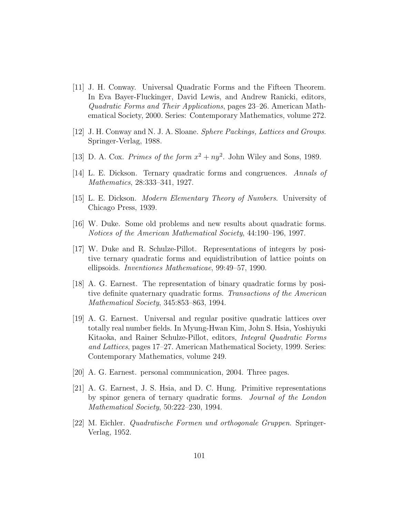- [11] J. H. Conway. Universal Quadratic Forms and the Fifteen Theorem. In Eva Bayer-Fluckinger, David Lewis, and Andrew Ranicki, editors, *Quadratic Forms and Their Applications*, pages 23–26. American Mathematical Society, 2000. Series: Contemporary Mathematics, volume 272.
- [12] J. H. Conway and N. J. A. Sloane. *Sphere Packings, Lattices and Groups*. Springer-Verlag, 1988.
- [13] D. A. Cox. *Primes of the form*  $x^2 + ny^2$ . John Wiley and Sons, 1989.
- [14] L. E. Dickson. Ternary quadratic forms and congruences. *Annals of Mathematics*, 28:333–341, 1927.
- [15] L. E. Dickson. *Modern Elementary Theory of Numbers*. University of Chicago Press, 1939.
- [16] W. Duke. Some old problems and new results about quadratic forms. *Notices of the American Mathematical Society*, 44:190–196, 1997.
- [17] W. Duke and R. Schulze-Pillot. Representations of integers by positive ternary quadratic forms and equidistribution of lattice points on ellipsoids. *Inventiones Mathematicae*, 99:49–57, 1990.
- [18] A. G. Earnest. The representation of binary quadratic forms by positive definite quaternary quadratic forms. *Transactions of the American Mathematical Society*, 345:853–863, 1994.
- [19] A. G. Earnest. Universal and regular positive quadratic lattices over totally real number fields. In Myung-Hwan Kim, John S. Hsia, Yoshiyuki Kitaoka, and Rainer Schulze-Pillot, editors, *Integral Quadratic Forms and Lattices*, pages 17–27. American Mathematical Society, 1999. Series: Contemporary Mathematics, volume 249.
- [20] A. G. Earnest. personal communication, 2004. Three pages.
- [21] A. G. Earnest, J. S. Hsia, and D. C. Hung. Primitive representations by spinor genera of ternary quadratic forms. *Journal of the London Mathematical Society*, 50:222–230, 1994.
- [22] M. Eichler. *Quadratische Formen und orthogonale Gruppen*. Springer-Verlag, 1952.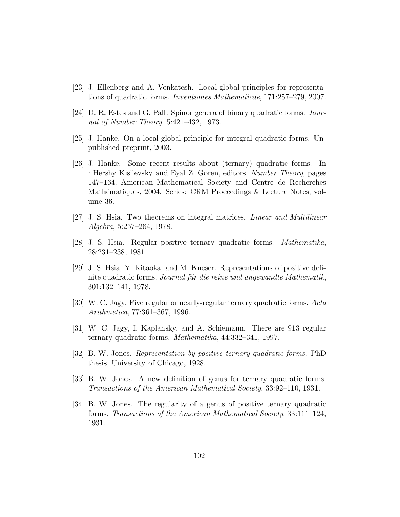- [23] J. Ellenberg and A. Venkatesh. Local-global principles for representations of quadratic forms. *Inventiones Mathematicae*, 171:257–279, 2007.
- [24] D. R. Estes and G. Pall. Spinor genera of binary quadratic forms. *Journal of Number Theory*, 5:421–432, 1973.
- [25] J. Hanke. On a local-global principle for integral quadratic forms. Unpublished preprint, 2003.
- [26] J. Hanke. Some recent results about (ternary) quadratic forms. In : Hershy Kisilevsky and Eyal Z. Goren, editors, *Number Theory*, pages 147–164. American Mathematical Society and Centre de Recherches Mathématiques, 2004. Series: CRM Proceedings & Lecture Notes, volume 36.
- [27] J. S. Hsia. Two theorems on integral matrices. *Linear and Multilinear Algebra*, 5:257–264, 1978.
- [28] J. S. Hsia. Regular positive ternary quadratic forms. *Mathematika*, 28:231–238, 1981.
- [29] J. S. Hsia, Y. Kitaoka, and M. Kneser. Representations of positive definite quadratic forms. *Journal für die reine und angewandte Mathematik*, 301:132–141, 1978.
- [30] W. C. Jagy. Five regular or nearly-regular ternary quadratic forms. *Acta Arithmetica*, 77:361–367, 1996.
- [31] W. C. Jagy, I. Kaplansky, and A. Schiemann. There are 913 regular ternary quadratic forms. *Mathematika*, 44:332–341, 1997.
- [32] B. W. Jones. *Representation by positive ternary quadratic forms*. PhD thesis, University of Chicago, 1928.
- [33] B. W. Jones. A new definition of genus for ternary quadratic forms. *Transactions of the American Mathematical Society*, 33:92–110, 1931.
- [34] B. W. Jones. The regularity of a genus of positive ternary quadratic forms. *Transactions of the American Mathematical Society*, 33:111–124, 1931.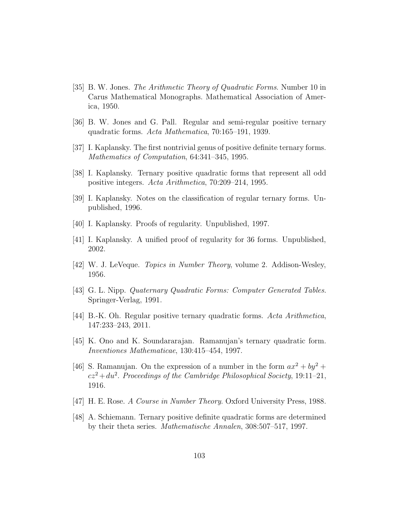- [35] B. W. Jones. *The Arithmetic Theory of Quadratic Forms*. Number 10 in Carus Mathematical Monographs. Mathematical Association of America, 1950.
- [36] B. W. Jones and G. Pall. Regular and semi-regular positive ternary quadratic forms. *Acta Mathematica*, 70:165–191, 1939.
- [37] I. Kaplansky. The first nontrivial genus of positive definite ternary forms. *Mathematics of Computation*, 64:341–345, 1995.
- [38] I. Kaplansky. Ternary positive quadratic forms that represent all odd positive integers. *Acta Arithmetica*, 70:209–214, 1995.
- [39] I. Kaplansky. Notes on the classification of regular ternary forms. Unpublished, 1996.
- [40] I. Kaplansky. Proofs of regularity. Unpublished, 1997.
- [41] I. Kaplansky. A unified proof of regularity for 36 forms. Unpublished, 2002.
- [42] W. J. LeVeque. *Topics in Number Theory*, volume 2. Addison-Wesley, 1956.
- [43] G. L. Nipp. *Quaternary Quadratic Forms: Computer Generated Tables*. Springer-Verlag, 1991.
- [44] B.-K. Oh. Regular positive ternary quadratic forms. *Acta Arithmetica*, 147:233–243, 2011.
- [45] K. Ono and K. Soundararajan. Ramanujan's ternary quadratic form. *Inventiones Mathematicae*, 130:415–454, 1997.
- [46] S. Ramanujan. On the expression of a number in the form  $ax^2 + by^2 +$  $cz^2 + du^2$ . *Proceedings of the Cambridge Philosophical Society*, 19:11–21, 1916.
- [47] H. E. Rose. *A Course in Number Theory*. Oxford University Press, 1988.
- [48] A. Schiemann. Ternary positive definite quadratic forms are determined by their theta series. *Mathematische Annalen*, 308:507–517, 1997.